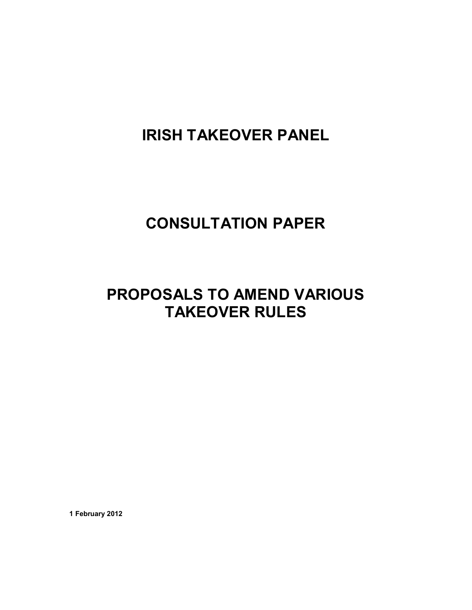# **IRISH TAKEOVER PANEL**

# **CONSULTATION PAPER**

# **PROPOSALS TO AMEND VARIOUS TAKEOVER RULES**

**1 February 2012**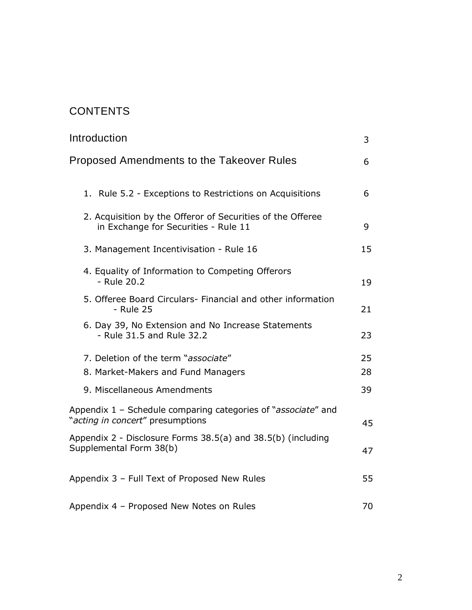# **CONTENTS**

| Introduction                                                                                       | 3  |
|----------------------------------------------------------------------------------------------------|----|
| Proposed Amendments to the Takeover Rules                                                          | 6  |
| 1. Rule 5.2 - Exceptions to Restrictions on Acquisitions                                           | 6  |
| 2. Acquisition by the Offeror of Securities of the Offeree<br>in Exchange for Securities - Rule 11 | 9  |
| 3. Management Incentivisation - Rule 16                                                            | 15 |
| 4. Equality of Information to Competing Offerors<br>- Rule 20.2                                    | 19 |
| 5. Offeree Board Circulars- Financial and other information<br>- Rule 25                           | 21 |
| 6. Day 39, No Extension and No Increase Statements<br>- Rule 31.5 and Rule 32.2                    | 23 |
| 7. Deletion of the term "associate"                                                                | 25 |
| 8. Market-Makers and Fund Managers                                                                 | 28 |
| 9. Miscellaneous Amendments                                                                        | 39 |
| Appendix 1 - Schedule comparing categories of "associate" and<br>"acting in concert" presumptions  | 45 |
| Appendix 2 - Disclosure Forms 38.5(a) and 38.5(b) (including<br>Supplemental Form 38(b)            | 47 |
| Appendix 3 - Full Text of Proposed New Rules                                                       | 55 |
| Appendix 4 - Proposed New Notes on Rules                                                           | 70 |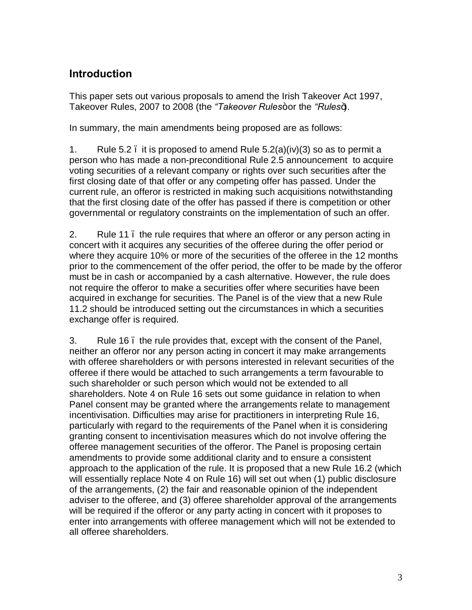# **Introduction**

This paper sets out various proposals to amend the Irish Takeover Act 1997, Takeover Rules, 2007 to 2008 (the "Takeover Rules+or the "Rules+).

In summary, the main amendments being proposed are as follows:

1. Rule 5.2  $\mu$  it is proposed to amend Rule 5.2(a)(iv)(3) so as to permit a person who has made a non-preconditional Rule 2.5 announcement to acquire voting securities of a relevant company or rights over such securities after the first closing date of that offer or any competing offer has passed. Under the current rule, an offeror is restricted in making such acquisitions notwithstanding that the first closing date of the offer has passed if there is competition or other governmental or regulatory constraints on the implementation of such an offer.

2. Rule 11 the rule requires that where an offeror or any person acting in concert with it acquires any securities of the offeree during the offer period or where they acquire 10% or more of the securities of the offeree in the 12 months prior to the commencement of the offer period, the offer to be made by the offeror must be in cash or accompanied by a cash alternative. However, the rule does not require the offeror to make a securities offer where securities have been acquired in exchange for securities. The Panel is of the view that a new Rule 11.2 should be introduced setting out the circumstances in which a securities exchange offer is required.

3. Rule 16 – the rule provides that, except with the consent of the Panel, neither an offeror nor any person acting in concert it may make arrangements with offeree shareholders or with persons interested in relevant securities of the offeree if there would be attached to such arrangements a term favourable to such shareholder or such person which would not be extended to all shareholders. Note 4 on Rule 16 sets out some guidance in relation to when Panel consent may be granted where the arrangements relate to management incentivisation. Difficulties may arise for practitioners in interpreting Rule 16, particularly with regard to the requirements of the Panel when it is considering granting consent to incentivisation measures which do not involve offering the offeree management securities of the offeror. The Panel is proposing certain amendments to provide some additional clarity and to ensure a consistent approach to the application of the rule. It is proposed that a new Rule 16.2 (which will essentially replace Note 4 on Rule 16) will set out when (1) public disclosure of the arrangements, (2) the fair and reasonable opinion of the independent adviser to the offeree, and (3) offeree shareholder approval of the arrangements will be required if the offeror or any party acting in concert with it proposes to enter into arrangements with offeree management which will not be extended to all offeree shareholders.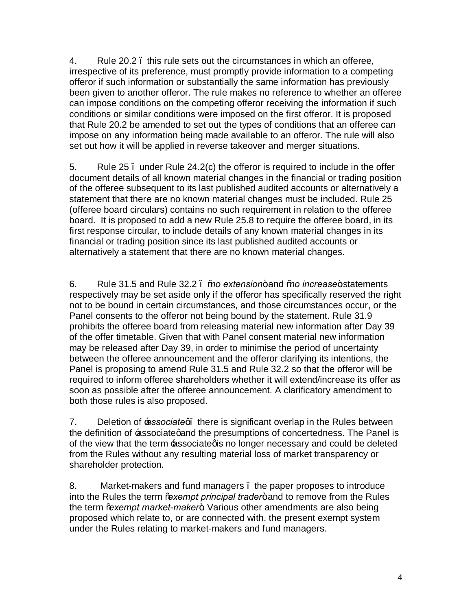4. Rule 20.2 – this rule sets out the circumstances in which an offeree, irrespective of its preference, must promptly provide information to a competing offeror if such information or substantially the same information has previously been given to another offeror. The rule makes no reference to whether an offeree can impose conditions on the competing offeror receiving the information if such conditions or similar conditions were imposed on the first offeror. It is proposed that Rule 20.2 be amended to set out the types of conditions that an offeree can impose on any information being made available to an offeror. The rule will also set out how it will be applied in reverse takeover and merger situations.

5. Rule 25  $\mu$  under Rule 24.2(c) the offeror is required to include in the offer document details of all known material changes in the financial or trading position of the offeree subsequent to its last published audited accounts or alternatively a statement that there are no known material changes must be included. Rule 25 (offeree board circulars) contains no such requirement in relation to the offeree board. It is proposed to add a new Rule 25.8 to require the offeree board, in its first response circular, to include details of any known material changes in its financial or trading position since its last published audited accounts or alternatively a statement that there are no known material changes.

6. Rule 31.5 and Rule 32.2 – "*no extension*" and "*no increase*" statements respectively may be set aside only if the offeror has specifically reserved the right not to be bound in certain circumstances, and those circumstances occur, or the Panel consents to the offeror not being bound by the statement. Rule 31.9 prohibits the offeree board from releasing material new information after Day 39 of the offer timetable. Given that with Panel consent material new information may be released after Day 39, in order to minimise the period of uncertainty between the offeree announcement and the offeror clarifying its intentions, the Panel is proposing to amend Rule 31.5 and Rule 32.2 so that the offeror will be required to inform offeree shareholders whether it will extend/increase its offer as soon as possible after the offeree announcement. A clarificatory amendment to both those rules is also proposed.

7. Deletion of *associateg* there is significant overlap in the Rules between the definition of  $\equiv$  associategand the presumptions of concertedness. The Panel is of the view that the term **Basociated is no longer necessary and could be deleted** from the Rules without any resulting material loss of market transparency or shareholder protection.

8. Market-makers and fund managers – the paper proposes to introduce into the Rules the term *"*exempt principal trader+ and to remove from the Rules the term *"*exempt market-maker+. Various other amendments are also being proposed which relate to, or are connected with, the present exempt system under the Rules relating to market-makers and fund managers.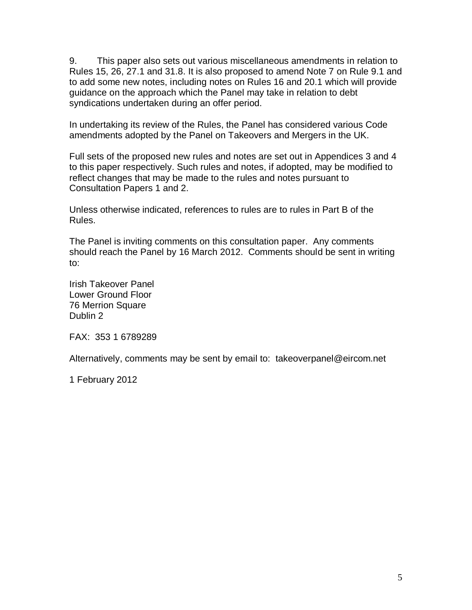9. This paper also sets out various miscellaneous amendments in relation to Rules 15, 26, 27.1 and 31.8. It is also proposed to amend Note 7 on Rule 9.1 and to add some new notes, including notes on Rules 16 and 20.1 which will provide guidance on the approach which the Panel may take in relation to debt syndications undertaken during an offer period.

In undertaking its review of the Rules, the Panel has considered various Code amendments adopted by the Panel on Takeovers and Mergers in the UK.

Full sets of the proposed new rules and notes are set out in Appendices 3 and 4 to this paper respectively. Such rules and notes, if adopted, may be modified to reflect changes that may be made to the rules and notes pursuant to Consultation Papers 1 and 2.

Unless otherwise indicated, references to rules are to rules in Part B of the Rules.

The Panel is inviting comments on this consultation paper. Any comments should reach the Panel by 16 March 2012. Comments should be sent in writing to:

Irish Takeover Panel Lower Ground Floor 76 Merrion Square Dublin 2

FAX: 353 1 6789289

Alternatively, comments may be sent by email to: [takeoverpanel@eircom.net](mailto:takeoverpanel@eircom.net)

1 February 2012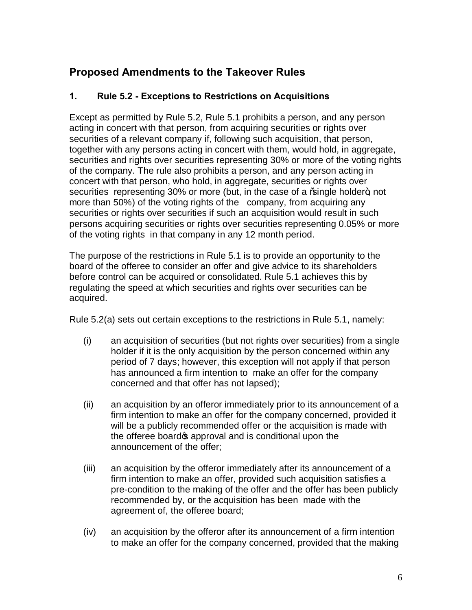# **Proposed Amendments to the Takeover Rules**

# **1. Rule 5.2 - Exceptions to Restrictions on Acquisitions**

Except as permitted by Rule 5.2, Rule 5.1 prohibits a person, and any person acting in concert with that person, from acquiring securities or rights over securities of a relevant company if, following such acquisition, that person, together with any persons acting in concert with them, would hold, in aggregate, securities and rights over securities representing 30% or more of the voting rights of the company. The rule also prohibits a person, and any person acting in concert with that person, who hold, in aggregate, securities or rights over securities representing 30% or more (but, in the case of a %single holder+, not more than 50%) of the voting rights of the company, from acquiring any securities or rights over securities if such an acquisition would result in such persons acquiring securities or rights over securities representing 0.05% or more of the voting rights in that company in any 12 month period.

The purpose of the restrictions in Rule 5.1 is to provide an opportunity to the board of the offeree to consider an offer and give advice to its shareholders before control can be acquired or consolidated. Rule 5.1 achieves this by regulating the speed at which securities and rights over securities can be acquired.

Rule 5.2(a) sets out certain exceptions to the restrictions in Rule 5.1, namely:

- (i) an acquisition of securities (but not rights over securities) from a single holder if it is the only acquisition by the person concerned within any period of 7 days; however, this exception will not apply if that person has announced a firm intention to make an offer for the company concerned and that offer has not lapsed);
- (ii) an acquisition by an offeror immediately prior to its announcement of a firm intention to make an offer for the company concerned, provided it will be a publicly recommended offer or the acquisition is made with the offeree board **s** approval and is conditional upon the announcement of the offer;
- (iii) an acquisition by the offeror immediately after its announcement of a firm intention to make an offer, provided such acquisition satisfies a pre-condition to the making of the offer and the offer has been publicly recommended by, or the acquisition has been made with the agreement of, the offeree board;
- (iv) an acquisition by the offeror after its announcement of a firm intention to make an offer for the company concerned, provided that the making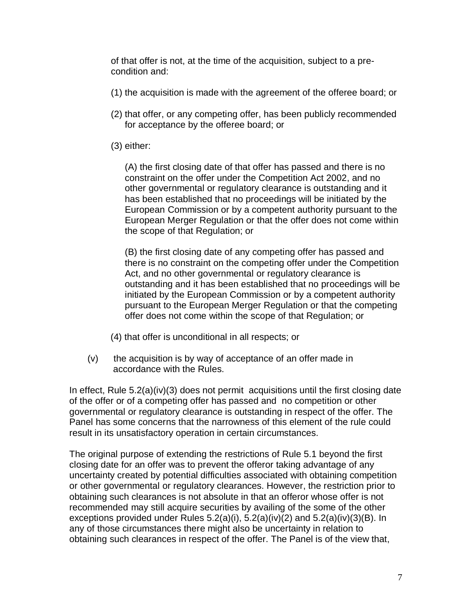of that offer is not, at the time of the acquisition, subject to a precondition and:

- (1) the acquisition is made with the agreement of the offeree board; or
- (2) that offer, or any competing offer, has been publicly recommended for acceptance by the offeree board; or
- (3) either:

(A) the first closing date of that offer has passed and there is no constraint on the offer under the Competition Act 2002, and no other governmental or regulatory clearance is outstanding and it has been established that no proceedings will be initiated by the European Commission or by a competent authority pursuant to the European Merger Regulation or that the offer does not come within the scope of that Regulation; or

(B) the first closing date of any competing offer has passed and there is no constraint on the competing offer under the Competition Act, and no other governmental or regulatory clearance is outstanding and it has been established that no proceedings will be initiated by the European Commission or by a competent authority pursuant to the European Merger Regulation or that the competing offer does not come within the scope of that Regulation; or

- (4) that offer is unconditional in all respects; or
- $(v)$  the acquisition is by way of acceptance of an offer made in accordance with the Rules.

In effect, Rule 5.2(a)(iv)(3) does not permit acquisitions until the first closing date of the offer or of a competing offer has passed and no competition or other governmental or regulatory clearance is outstanding in respect of the offer. The Panel has some concerns that the narrowness of this element of the rule could result in its unsatisfactory operation in certain circumstances.

The original purpose of extending the restrictions of Rule 5.1 beyond the first closing date for an offer was to prevent the offeror taking advantage of any uncertainty created by potential difficulties associated with obtaining competition or other governmental or regulatory clearances. However, the restriction prior to obtaining such clearances is not absolute in that an offeror whose offer is not recommended may still acquire securities by availing of the some of the other exceptions provided under Rules  $5.2(a)(i)$ ,  $5.2(a)(iv)(2)$  and  $5.2(a)(iv)(3)(B)$ . In any of those circumstances there might also be uncertainty in relation to obtaining such clearances in respect of the offer. The Panel is of the view that,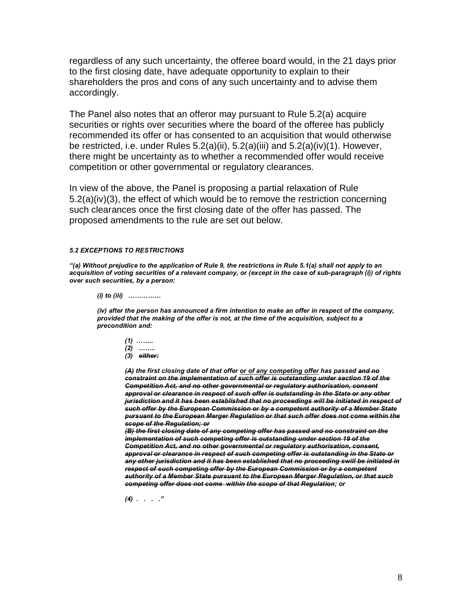regardless of any such uncertainty, the offeree board would, in the 21 days prior to the first closing date, have adequate opportunity to explain to their shareholders the pros and cons of any such uncertainty and to advise them accordingly.

The Panel also notes that an offeror may pursuant to Rule 5.2(a) acquire securities or rights over securities where the board of the offeree has publicly recommended its offer or has consented to an acquisition that would otherwise be restricted, i.e. under Rules 5.2(a)(ii), 5.2(a)(iii) and 5.2(a)(iv)(1). However, there might be uncertainty as to whether a recommended offer would receive competition or other governmental or regulatory clearances.

In view of the above, the Panel is proposing a partial relaxation of Rule 5.2(a)(iv)(3), the effect of which would be to remove the restriction concerning such clearances once the first closing date of the offer has passed. The proposed amendments to the rule are set out below.

### *5.2 EXCEPTIONS TO RESTRICTIONS*

*"(a) Without prejudice to the application of Rule 9, the restrictions in Rule 5.1(a) shall not apply to an acquisition of voting securities of a relevant company, or (except in the case of sub-paragraph (i)) of rights over such securities, by a person:*

#### *(i) to (iii) ……………*

*(iv) after the person has announced a firm intention to make an offer in respect of the company, provided that the making of the offer is not, at the time of the acquisition, subject to a precondition and:*

- *(1) …….. (2) ……..*
- *(3) either:*

*(A) the first closing date of that offer or of any competing offer has passed and no constraint on the implementation of such offer is outstanding under section 19 of the Competition Act, and no other governmental or regulatory authorisation, consent approval or clearance in respect of such offer is outstanding in the State or any other jurisdiction and it has been established that no proceedings will be initiated in respect of such offer by the European Commission or by a competent authority of a Member State pursuant to the European Merger Regulation or that such offer does not come within the scope of the Regulation; or*

*(B) the first closing date of any competing offer has passed and no constraint on the implementation of such competing offer is outstanding under section 19 of the Competition Act, and no other governmental or regulatory authorisation, consent, approval or clearance in respect of such competing offer is outstanding in the State or any other jurisdiction and it has been established that no proceeding swill be initiated in respect of such competing offer by the European Commission or by a competent authority of a Member State pursuant to the European Merger Regulation, or that such competing offer does not come within the scope of that Regulation; or* 

*(4) . . . ."*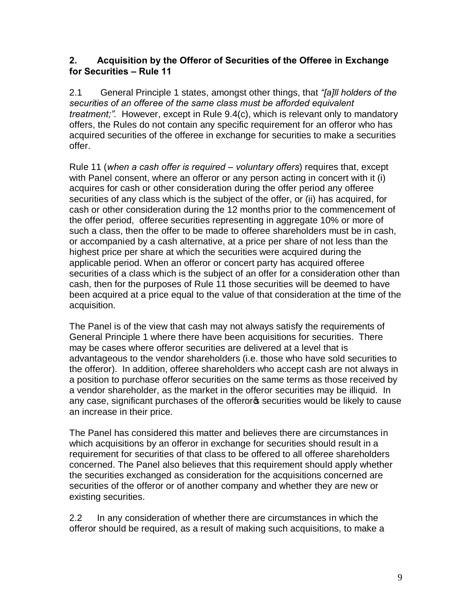# **2. Acquisition by the Offeror of Securities of the Offeree in Exchange for Securities – Rule 11**

2.1 General Principle 1 states, amongst other things, that *"[a]ll holders of the securities of an offeree of the same class must be afforded equivalent treatment;".* However, except in Rule 9.4(c), which is relevant only to mandatory offers, the Rules do not contain any specific requirement for an offeror who has acquired securities of the offeree in exchange for securities to make a securities offer.

Rule 11 (*when a cash offer is required – voluntary offers*) requires that, except with Panel consent, where an offeror or any person acting in concert with it (i) acquires for cash or other consideration during the offer period any offeree securities of any class which is the subject of the offer, or (ii) has acquired, for cash or other consideration during the 12 months prior to the commencement of the offer period, offeree securities representing in aggregate 10% or more of such a class, then the offer to be made to offeree shareholders must be in cash, or accompanied by a cash alternative, at a price per share of not less than the highest price per share at which the securities were acquired during the applicable period. When an offeror or concert party has acquired offeree securities of a class which is the subject of an offer for a consideration other than cash, then for the purposes of Rule 11 those securities will be deemed to have been acquired at a price equal to the value of that consideration at the time of the acquisition.

The Panel is of the view that cash may not always satisfy the requirements of General Principle 1 where there have been acquisitions for securities. There may be cases where offeror securities are delivered at a level that is advantageous to the vendor shareholders (i.e. those who have sold securities to the offeror). In addition, offeree shareholders who accept cash are not always in a position to purchase offeror securities on the same terms as those received by a vendor shareholder, as the market in the offeror securities may be illiquid. In any case, significant purchases of the offeror is securities would be likely to cause an increase in their price.

The Panel has considered this matter and believes there are circumstances in which acquisitions by an offeror in exchange for securities should result in a requirement for securities of that class to be offered to all offeree shareholders concerned. The Panel also believes that this requirement should apply whether the securities exchanged as consideration for the acquisitions concerned are securities of the offeror or of another company and whether they are new or existing securities.

2.2 In any consideration of whether there are circumstances in which the offeror should be required, as a result of making such acquisitions, to make a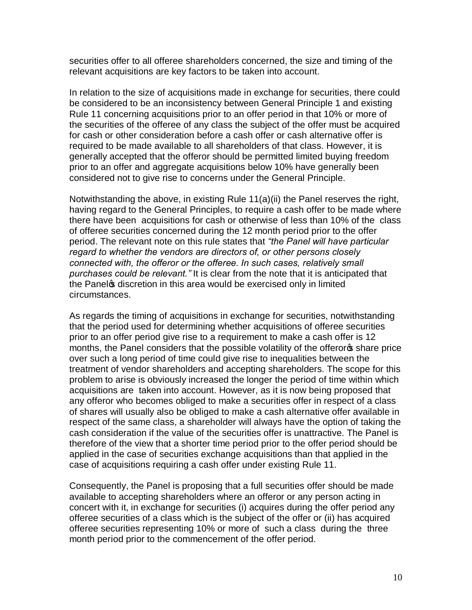securities offer to all offeree shareholders concerned, the size and timing of the relevant acquisitions are key factors to be taken into account.

In relation to the size of acquisitions made in exchange for securities, there could be considered to be an inconsistency between General Principle 1 and existing Rule 11 concerning acquisitions prior to an offer period in that 10% or more of the securities of the offeree of any class the subject of the offer must be acquired for cash or other consideration before a cash offer or cash alternative offer is required to be made available to all shareholders of that class. However, it is generally accepted that the offeror should be permitted limited buying freedom prior to an offer and aggregate acquisitions below 10% have generally been considered not to give rise to concerns under the General Principle.

Notwithstanding the above, in existing Rule 11(a)(ii) the Panel reserves the right, having regard to the General Principles, to require a cash offer to be made where there have been acquisitions for cash or otherwise of less than 10% of the class of offeree securities concerned during the 12 month period prior to the offer period. The relevant note on this rule states that *"the Panel will have particular regard to whether the vendors are directors of, or other persons closely connected with, the offeror or the offeree. In such cases, relatively small purchases could be relevant."* It is clear from the note that it is anticipated that the Panel<sub>®</sub> discretion in this area would be exercised only in limited circumstances.

As regards the timing of acquisitions in exchange for securities, notwithstanding that the period used for determining whether acquisitions of offeree securities prior to an offer period give rise to a requirement to make a cash offer is 12 months, the Panel considers that the possible volatility of the offeror of share price over such a long period of time could give rise to inequalities between the treatment of vendor shareholders and accepting shareholders. The scope for this problem to arise is obviously increased the longer the period of time within which acquisitions are taken into account. However, as it is now being proposed that any offeror who becomes obliged to make a securities offer in respect of a class of shares will usually also be obliged to make a cash alternative offer available in respect of the same class, a shareholder will always have the option of taking the cash consideration if the value of the securities offer is unattractive. The Panel is therefore of the view that a shorter time period prior to the offer period should be applied in the case of securities exchange acquisitions than that applied in the case of acquisitions requiring a cash offer under existing Rule 11.

Consequently, the Panel is proposing that a full securities offer should be made available to accepting shareholders where an offeror or any person acting in concert with it, in exchange for securities (i) acquires during the offer period any offeree securities of a class which is the subject of the offer or (ii) has acquired offeree securities representing 10% or more of such a class during the three month period prior to the commencement of the offer period.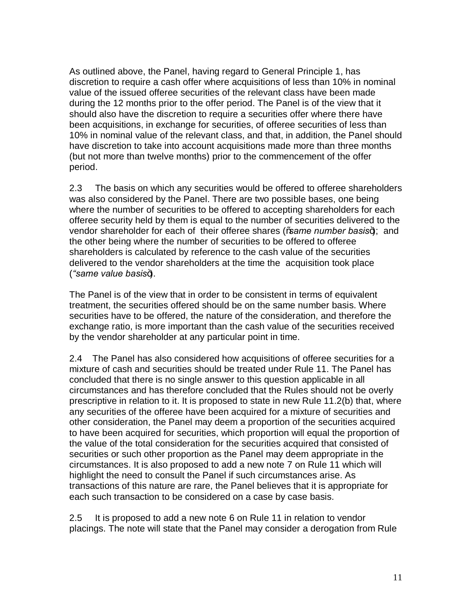As outlined above, the Panel, having regard to General Principle 1, has discretion to require a cash offer where acquisitions of less than 10% in nominal value of the issued offeree securities of the relevant class have been made during the 12 months prior to the offer period. The Panel is of the view that it should also have the discretion to require a securities offer where there have been acquisitions, in exchange for securities, of offeree securities of less than 10% in nominal value of the relevant class, and that, in addition, the Panel should have discretion to take into account acquisitions made more than three months (but not more than twelve months) prior to the commencement of the offer period.

2.3 The basis on which any securities would be offered to offeree shareholders was also considered by the Panel. There are two possible bases, one being where the number of securities to be offered to accepting shareholders for each offeree security held by them is equal to the number of securities delivered to the vendor shareholder for each of their offeree shares (*"same number basis+*); and the other being where the number of securities to be offered to offeree shareholders is calculated by reference to the cash value of the securities delivered to the vendor shareholders at the time the acquisition took place (*"same value basis*").

The Panel is of the view that in order to be consistent in terms of equivalent treatment, the securities offered should be on the same number basis. Where securities have to be offered, the nature of the consideration, and therefore the exchange ratio, is more important than the cash value of the securities received by the vendor shareholder at any particular point in time.

2.4 The Panel has also considered how acquisitions of offeree securities for a mixture of cash and securities should be treated under Rule 11. The Panel has concluded that there is no single answer to this question applicable in all circumstances and has therefore concluded that the Rules should not be overly prescriptive in relation to it. It is proposed to state in new Rule 11.2(b) that, where any securities of the offeree have been acquired for a mixture of securities and other consideration, the Panel may deem a proportion of the securities acquired to have been acquired for securities, which proportion will equal the proportion of the value of the total consideration for the securities acquired that consisted of securities or such other proportion as the Panel may deem appropriate in the circumstances. It is also proposed to add a new note 7 on Rule 11 which will highlight the need to consult the Panel if such circumstances arise. As transactions of this nature are rare, the Panel believes that it is appropriate for each such transaction to be considered on a case by case basis.

2.5 It is proposed to add a new note 6 on Rule 11 in relation to vendor placings. The note will state that the Panel may consider a derogation from Rule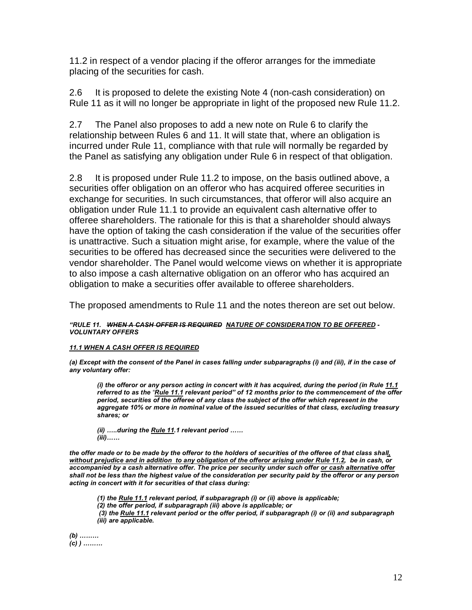11.2 in respect of a vendor placing if the offeror arranges for the immediate placing of the securities for cash.

2.6 It is proposed to delete the existing Note 4 (non-cash consideration) on Rule 11 as it will no longer be appropriate in light of the proposed new Rule 11.2.

2.7 The Panel also proposes to add a new note on Rule 6 to clarify the relationship between Rules 6 and 11. It will state that, where an obligation is incurred under Rule 11, compliance with that rule will normally be regarded by the Panel as satisfying any obligation under Rule 6 in respect of that obligation.

2.8It is proposed under Rule 11.2 to impose, on the basis outlined above, a securities offer obligation on an offeror who has acquired offeree securities in exchange for securities. In such circumstances, that offeror will also acquire an obligation under Rule 11.1 to provide an equivalent cash alternative offer to offeree shareholders. The rationale for this is that a shareholder should always have the option of taking the cash consideration if the value of the securities offer is unattractive. Such a situation might arise, for example, where the value of the securities to be offered has decreased since the securities were delivered to the vendor shareholder. The Panel would welcome views on whether it is appropriate to also impose a cash alternative obligation on an offeror who has acquired an obligation to make a securities offer available to offeree shareholders.

The proposed amendments to Rule 11 and the notes thereon are set out below.

## *"RULE 11. WHEN A CASH OFFER IS REQUIRED NATURE OF CONSIDERATION TO BE OFFERED - VOLUNTARY OFFERS*

## *11.1 WHEN A CASH OFFER IS REQUIRED*

*(a) Except with the consent of the Panel in cases falling under subparagraphs (i) and (iii), if in the case of any voluntary offer:*

*(i) the offeror or any person acting in concert with it has acquired, during the period (in Rule 11.1 referred to as the "Rule 11.1 relevant period" of 12 months prior to the commencement of the offer period, securities of the offeree of any class the subject of the offer which represent in the aggregate 10% or more in nominal value of the issued securities of that class, excluding treasury shares; or*

*(ii) …..during the Rule 11.1 relevant period …… (iii)……*

*the offer made or to be made by the offeror to the holders of securities of the offeree of that class shall, without prejudice and in addition to any obligation of the offeror arising under Rule 11.2, be in cash, or accompanied by a cash alternative offer. The price per security under such offer or cash alternative offer shall not be less than the highest value of the consideration per security paid by the offeror or any person acting in concert with it for securities of that class during:*

*(1) the Rule 11.1 relevant period, if subparagraph (i) or (ii) above is applicable;*

*(2) the offer period, if subparagraph (iii) above is applicable; or* 

*(3) the Rule 11.1 relevant period or the offer period, if subparagraph (i) or (ii) and subparagraph (iii) are applicable.*

*(b) ……… (c) ) ………*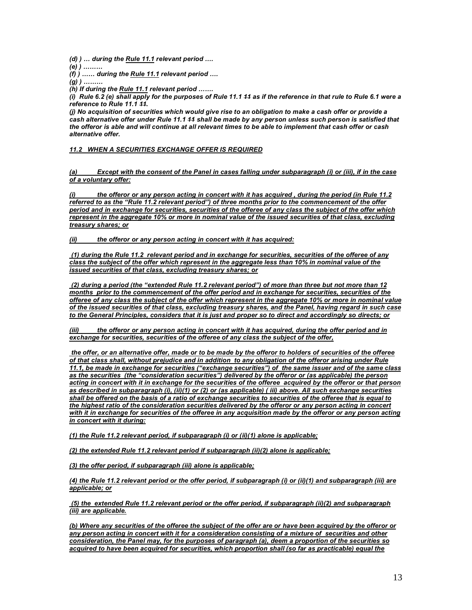*(d) ) … during the Rule 11.1 relevant period ….*

*(e) ) ………*

*(f) ) …… during the Rule 11.1 relevant period ….*

*(g) ) ………*

*(h) If during the Rule 11.1 relevant period …….*

*(i) Rule 6.2 (e) shall apply for the purposes of Rule 11.1 11 as if the reference in that rule to Rule 6.1 were a reference to Rule 11.1 11.*

*(j) No acquisition of securities which would give rise to an obligation to make a cash offer or provide a cash alternative offer under Rule 11.1 11 shall be made by any person unless such person is satisfied that the offeror is able and will continue at all relevant times to be able to implement that cash offer or cash alternative offer.*

### *11.2 WHEN A SECURITIES EXCHANGE OFFER IS REQUIRED*

#### *(a) Except with the consent of the Panel in cases falling under subparagraph (i) or (iii), if in the case of a voluntary offer:*

*(i) the offeror or any person acting in concert with it has acquired , during the period (in Rule 11.2 referred to as the "Rule 11.2 relevant period") of three months prior to the commencement of the offer period and in exchange for securities, securities of the offeree of any class the subject of the offer which represent in the aggregate 10% or more in nominal value of the issued securities of that class, excluding treasury shares; or*

*(ii) the offeror or any person acting in concert with it has acquired:*

*(1) during the Rule 11.2 relevant period and in exchange for securities, securities of the offeree of any class the subject of the offer which represent in the aggregate less than 10% in nominal value of the issued securities of that class, excluding treasury shares; or*

*(2) during a period (the "extended Rule 11.2 relevant period") of more than three but not more than 12 months prior to the commencement of the offer period and in exchange for securities, securities of the offeree of any class the subject of the offer which represent in the aggregate 10% or more in nominal value of the issued securities of that class, excluding treasury shares, and the Panel, having regard in such case to the General Principles, considers that it is just and proper so to direct and accordingly so directs; or*

*(iii) the offeror or any person acting in concert with it has acquired, during the offer period and in exchange for securities, securities of the offeree of any class the subject of the offer,*

*the offer, or an alternative offer, made or to be made by the offeror to holders of securities of the offeree of that class shall, without prejudice and in addition to any obligation of the offeror arising under Rule 11.1, be made in exchange for securities ("exchange securities") of the same issuer and of the same class as the securities (the "consideration securities") delivered by the offeror or (as applicable) the person acting in concert with it in exchange for the securities of the offeree acquired by the offeror or that person as described in subparagraph (i), (ii)(1) or (2) or (as applicable) ( iii) above. All such exchange securities shall be offered on the basis of a ratio of exchange securities to securities of the offeree that is equal to the highest ratio of the consideration securities delivered by the offeror or any person acting in concert with it in exchange for securities of the offeree in any acquisition made by the offeror or any person acting in concert with it during:*

*(1) the Rule 11.2 relevant period, if subparagraph (i) or (ii)(1) alone is applicable;*

*(2) the extended Rule 11.2 relevant period if subparagraph (ii)(2) alone is applicable;*

*(3) the offer period, if subparagraph (iii) alone is applicable;*

*(4) the Rule 11.2 relevant period or the offer period, if subparagraph (i) or (ii)(1) and subparagraph (iii) are applicable; or*

*(5) the extended Rule 11.2 relevant period or the offer period, if subparagraph (ii)(2) and subparagraph (iii) are applicable.*

*(b) Where any securities of the offeree the subject of the offer are or have been acquired by the offeror or any person acting in concert with it for a consideration consisting of a mixture of securities and other consideration, the Panel may, for the purposes of paragraph (a), deem a proportion of the securities so acquired to have been acquired for securities, which proportion shall (so far as practicable) equal the*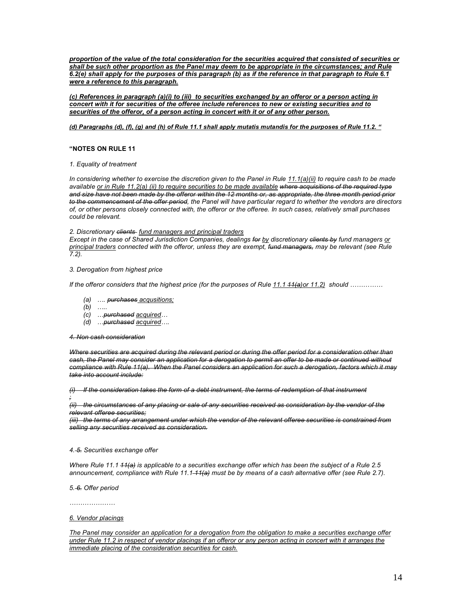*proportion of the value of the total consideration for the securities acquired that consisted of securities or shall be such other proportion as the Panel may deem to be appropriate in the circumstances; and Rule 6.2(e) shall apply for the purposes of this paragraph (b) as if the reference in that paragraph to Rule 6.1 were a reference to this paragraph.*

*(c) References in paragraph (a)(i) to (iii) to securities exchanged by an offeror or a person acting in concert with it for securities of the offeree include references to new or existing securities and to securities of the offeror, of a person acting in concert with it or of any other person.*

## *(d) Paragraphs (d), (f), (g) and (h) of Rule 11.1 shall apply mutatis mutandis for the purposes of Rule 11.2. "*

#### **"NOTES ON RULE 11**

#### *1. Equality of treatment*

*In considering whether to exercise the discretion given to the Panel in Rule 11.1(a)(ii) to require cash to be made available or in Rule 11.2(a) (ii) to require securities to be made available where acquisitions of the required type and size have not been made by the offeror within the 12 months or, as appropriate, the three month period prior to the commencement of the offer period, the Panel will have particular regard to whether the vendors are directors of, or other persons closely connected with, the offeror or the offeree. In such cases, relatively small purchases could be relevant.*

#### *2. Discretionary clients fund managers and principal traders*

*Except in the case of Shared Jurisdiction Companies, dealings for by discretionary clients by fund managers or principal traders connected with the offeror, unless they are exempt, fund managers, may be relevant (see Rule 7.2).*

### *3. Derogation from highest price*

*If the offeror considers that the highest price (for the purposes of Rule 11.1*  $\frac{1}{4}$  *a)or 11.2) should ……………* 

- *(a) …. purchases acqusitions;*
- *(b) …..*
- *(c) …purchased acquired…*
- *(d) …purchased acquired….*

#### *4. Non cash consideration*

*Where securities are acquired during the relevant period or during the offer period for a consideration other than*  cash, the Panel may consider an application for a derogation to permit an offer to be made or continued without *compliance with Rule 11(a). When the Panel considers an application for such a derogation, factors which it may take into account include:*

*(i) If the consideration takes the form of a debt instrument, the terms of redemption of that instrument ;*

*(ii) the circumstances of any placing or sale of any securities received as consideration by the vendor of the relevant offeree securities;*

*(iii) the terms of any arrangement under which the vendor of the relevant offeree securities is constrained from selling any securities received as consideration.*

#### *4. 5. Securities exchange offer*

*Where Rule 11.1 11(a) is applicable to a securities exchange offer which has been the subject of a Rule 2.5 announcement, compliance with Rule 11.1 11(a) must be by means of a cash alternative offer (see Rule 2.7).*

*5. 6. Offer period*

*…………………*

#### *6. Vendor placings*

*The Panel may consider an application for a derogation from the obligation to make a securities exchange offer under Rule 11.2 in respect of vendor placings if an offeror or any person acting in concert with it arranges the immediate placing of the consideration securities for cash.*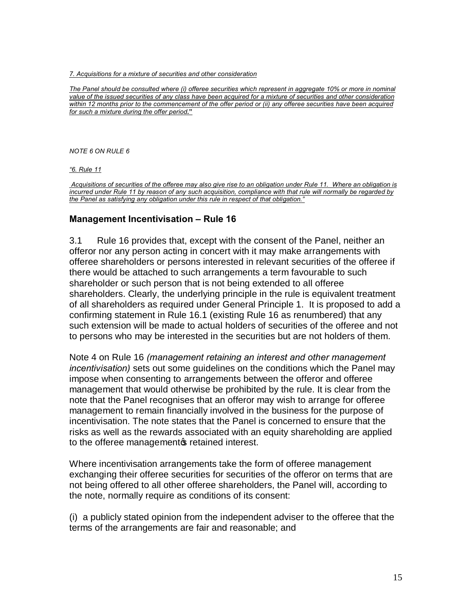## *7. Acquisitions for a mixture of securities and other consideration*

*The Panel should be consulted where (i) offeree securities which represent in aggregate 10% or more in nominal value of the issued securities of any class have been acquired for a mixture of securities and other consideration within 12 months prior to the commencement of the offer period or (ii) any offeree securities have been acquired for such a mixture during the offer period***."**

*NOTE 6 ON RULE 6*

*"6. Rule 11*

*Acquisitions of securities of the offeree may also give rise to an obligation under Rule 11. Where an obligation is incurred under Rule 11 by reason of any such acquisition, compliance with that rule will normally be regarded by the Panel as satisfying any obligation under this rule in respect of that obligation."*

## **Management Incentivisation – Rule 16**

3.1 Rule 16 provides that, except with the consent of the Panel, neither an offeror nor any person acting in concert with it may make arrangements with offeree shareholders or persons interested in relevant securities of the offeree if there would be attached to such arrangements a term favourable to such shareholder or such person that is not being extended to all offeree shareholders. Clearly, the underlying principle in the rule is equivalent treatment of all shareholders as required under General Principle 1. It is proposed to add a confirming statement in Rule 16.1 (existing Rule 16 as renumbered) that any such extension will be made to actual holders of securities of the offeree and not to persons who may be interested in the securities but are not holders of them.

Note 4 on Rule 16 *(management retaining an interest and other management incentivisation)* sets out some guidelines on the conditions which the Panel may impose when consenting to arrangements between the offeror and offeree management that would otherwise be prohibited by the rule. It is clear from the note that the Panel recognises that an offeror may wish to arrange for offeree management to remain financially involved in the business for the purpose of incentivisation. The note states that the Panel is concerned to ensure that the risks as well as the rewards associated with an equity shareholding are applied to the offeree management of retained interest.

Where incentivisation arrangements take the form of offeree management exchanging their offeree securities for securities of the offeror on terms that are not being offered to all other offeree shareholders, the Panel will, according to the note, normally require as conditions of its consent:

(i) a publicly stated opinion from the independent adviser to the offeree that the terms of the arrangements are fair and reasonable; and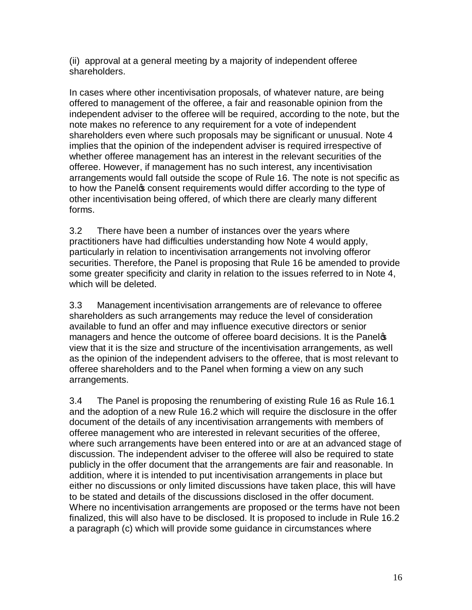(ii) approval at a general meeting by a majority of independent offeree shareholders.

In cases where other incentivisation proposals, of whatever nature, are being offered to management of the offeree, a fair and reasonable opinion from the independent adviser to the offeree will be required, according to the note, but the note makes no reference to any requirement for a vote of independent shareholders even where such proposals may be significant or unusual. Note 4 implies that the opinion of the independent adviser is required irrespective of whether offeree management has an interest in the relevant securities of the offeree. However, if management has no such interest, any incentivisation arrangements would fall outside the scope of Rule 16. The note is not specific as to how the Panel pconsent requirements would differ according to the type of other incentivisation being offered, of which there are clearly many different forms.

3.2 There have been a number of instances over the years where practitioners have had difficulties understanding how Note 4 would apply, particularly in relation to incentivisation arrangements not involving offeror securities. Therefore, the Panel is proposing that Rule 16 be amended to provide some greater specificity and clarity in relation to the issues referred to in Note 4, which will be deleted.

3.3 Management incentivisation arrangements are of relevance to offeree shareholders as such arrangements may reduce the level of consideration available to fund an offer and may influence executive directors or senior managers and hence the outcome of offeree board decisions. It is the Panelos view that it is the size and structure of the incentivisation arrangements, as well as the opinion of the independent advisers to the offeree, that is most relevant to offeree shareholders and to the Panel when forming a view on any such arrangements.

3.4 The Panel is proposing the renumbering of existing Rule 16 as Rule 16.1 and the adoption of a new Rule 16.2 which will require the disclosure in the offer document of the details of any incentivisation arrangements with members of offeree management who are interested in relevant securities of the offeree, where such arrangements have been entered into or are at an advanced stage of discussion. The independent adviser to the offeree will also be required to state publicly in the offer document that the arrangements are fair and reasonable. In addition, where it is intended to put incentivisation arrangements in place but either no discussions or only limited discussions have taken place, this will have to be stated and details of the discussions disclosed in the offer document. Where no incentivisation arrangements are proposed or the terms have not been finalized, this will also have to be disclosed. It is proposed to include in Rule 16.2 a paragraph (c) which will provide some guidance in circumstances where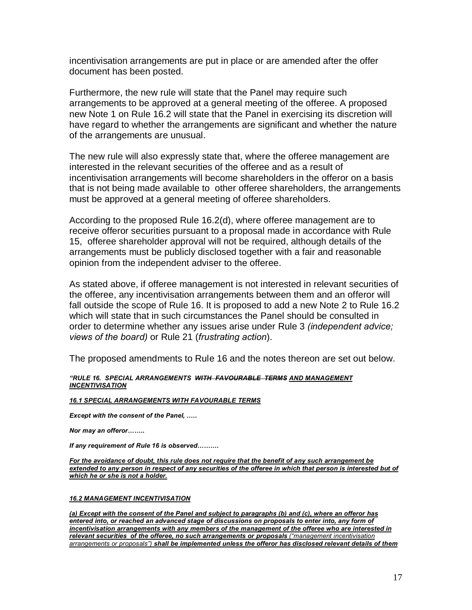incentivisation arrangements are put in place or are amended after the offer document has been posted.

Furthermore, the new rule will state that the Panel may require such arrangements to be approved at a general meeting of the offeree. A proposed new Note 1 on Rule 16.2 will state that the Panel in exercising its discretion will have regard to whether the arrangements are significant and whether the nature of the arrangements are unusual.

The new rule will also expressly state that, where the offeree management are interested in the relevant securities of the offeree and as a result of incentivisation arrangements will become shareholders in the offeror on a basis that is not being made available to other offeree shareholders, the arrangements must be approved at a general meeting of offeree shareholders.

According to the proposed Rule 16.2(d), where offeree management are to receive offeror securities pursuant to a proposal made in accordance with Rule 15, offeree shareholder approval will not be required, although details of the arrangements must be publicly disclosed together with a fair and reasonable opinion from the independent adviser to the offeree.

As stated above, if offeree management is not interested in relevant securities of the offeree, any incentivisation arrangements between them and an offeror will fall outside the scope of Rule 16. It is proposed to add a new Note 2 to Rule 16.2 which will state that in such circumstances the Panel should be consulted in order to determine whether any issues arise under Rule 3 *(independent advice; views of the board)* or Rule 21 (*frustrating action*).

The proposed amendments to Rule 16 and the notes thereon are set out below.

## *"RULE 16. SPECIAL ARRANGEMENTS WITH FAVOURABLE TERMS AND MANAGEMENT INCENTIVISATION*

## *16.1 SPECIAL ARRANGEMENTS WITH FAVOURABLE TERMS*

*Except with the consent of the Panel, .….*

*Nor may an offeror……..*

*If any requirement of Rule 16 is observed……….*

*For the avoidance of doubt, this rule does not require that the benefit of any such arrangement be extended to any person in respect of any securities of the offeree in which that person is interested but of which he or she is not a holder.* 

## *16.2 MANAGEMENT INCENTIVISATION*

*(a) Except with the consent of the Panel and subject to paragraphs (b) and (c), where an offeror has entered into, or reached an advanced stage of discussions on proposals to enter into, any form of incentivisation arrangements with any members of the management of the offeree who are interested in relevant securities of the offeree, no such arrangements or proposals ("management incentivisation arrangements or proposals") shall be implemented unless the offeror has disclosed relevant details of them*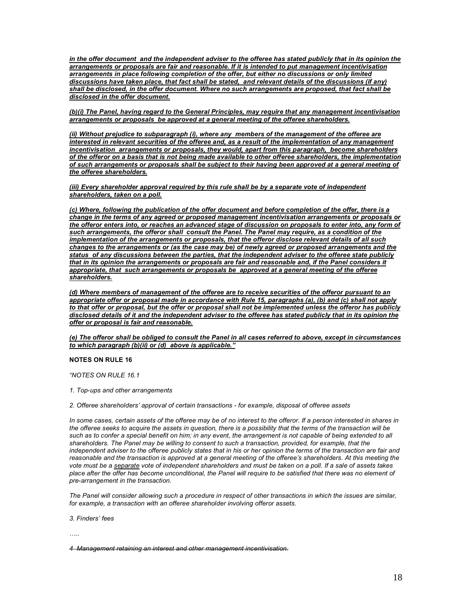*in the offer document and the independent adviser to the offeree has stated publicly that in its opinion the arrangements or proposals are fair and reasonable. If it is intended to put management incentivisation arrangements in place following completion of the offer, but either no discussions or only limited discussions have taken place, that fact shall be stated, and relevant details of the discussions (if any) shall be disclosed, in the offer document. Where no such arrangements are proposed, that fact shall be disclosed in the offer document.* 

*(b)(i) The Panel, having regard to the General Principles, may require that any management incentivisation arrangements or proposals be approved at a general meeting of the offeree shareholders.* 

*(ii) Without prejudice to subparagraph (i), where any members of the management of the offeree are interested in relevant securities of the offeree and, as a result of the implementation of any management incentivisation arrangements or proposals, they would, apart from this paragraph, become shareholders of the offeror on a basis that is not being made available to other offeree shareholders, the implementation of such arrangements or proposals shall be subject to their having been approved at a general meeting of the offeree shareholders.* 

*(iii) Every shareholder approval required by this rule shall be by a separate vote of independent shareholders, taken on a poll.*

*(c) Where, following the publication of the offer document and before completion of the offer, there is a change in the terms of any agreed or proposed management incentivisation arrangements or proposals or the offeror enters into, or reaches an advanced stage of discussion on proposals to enter into, any form of such arrangements, the offeror shall consult the Panel. The Panel may require, as a condition of the implementation of the arrangements or proposals, that the offeror disclose relevant details of all such changes to the arrangements or (as the case may be) of newly agreed or proposed arrangements and the status of any discussions between the parties, that the independent adviser to the offeree state publicly that in its opinion the arrangements or proposals are fair and reasonable and, if the Panel considers it appropriate, that such arrangements or proposals be approved at a general meeting of the offeree shareholders.*

*(d) Where members of management of the offeree are to receive securities of the offeror pursuant to an appropriate offer or proposal made in accordance with Rule 15, paragraphs (a), (b) and (c) shall not apply to that offer or proposal, but the offer or proposal shall not be implemented unless the offeror has publicly disclosed details of it and the independent adviser to the offeree has stated publicly that in its opinion the offer or proposal is fair and reasonable.*

*(e) The offeror shall be obliged to consult the Panel in all cases referred to above, except in circumstances to which paragraph (b)(ii) or (d) above is applicable."*

#### **NOTES ON RULE 16**

*"NOTES ON RULE 16.1*

*1. Top-ups and other arrangements*

*2. Offeree shareholders' approval of certain transactions - for example, disposal of offeree assets*

In some cases, certain assets of the offeree may be of no interest to the offeror. If a person interested in shares in *the offeree seeks to acquire the assets in question, there is a possibility that the terms of the transaction will be*  such as to confer a special benefit on him; in any event, the arrangement is not capable of being extended to all *shareholders. The Panel may be willing to consent to such a transaction, provided, for example, that the independent adviser to the offeree publicly states that in his or her opinion the terms of the transaction are fair and reasonable and the transaction is approved at a general meeting of the offeree's shareholders. At this meeting the vote must be a separate vote of independent shareholders and must be taken on a poll. If a sale of assets takes*  place after the offer has become unconditional, the Panel will require to be satisfied that there was no element of *pre-arrangement in the transaction.*

*The Panel will consider allowing such a procedure in respect of other transactions in which the issues are similar, for example, a transaction with an offeree shareholder involving offeror assets.*

*3. Finders' fees*

*…..*

*4 Management retaining an interest and other management incentivisation.*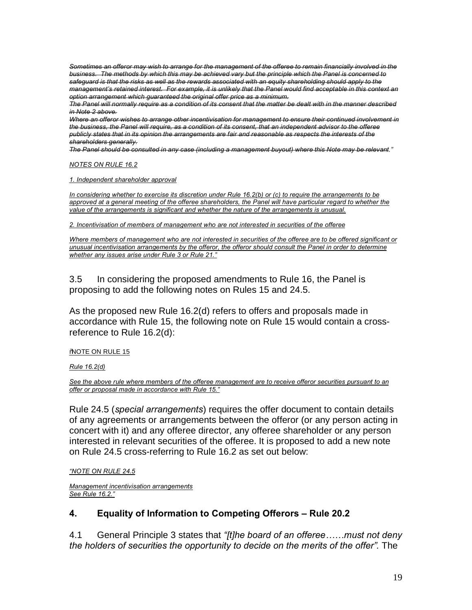*Sometimes an offeror may wish to arrange for the management of the offeree to remain financially involved in the business. The methods by which this may be achieved vary but the principle which the Panel is concerned to safeguard is that the risks as well as the rewards associated with an equity shareholding should apply to the management's retained interest. For example, it is unlikely that the Panel would find acceptable in this context an option arrangement which guaranteed the original offer price as a minimum.*

*The Panel will normally require as a condition of its consent that the matter be dealt with in the manner described in Note 2 above.*

*Where an offeror wishes to arrange other incentivisation for management to ensure their continued involvement in the business, the Panel will require, as a condition of its consent, that an independent advisor to the offeree publicly states that in its opinion the arrangements are fair and reasonable as respects the interests of the shareholders generally.*

*The Panel should be consulted in any case (including a management buyout) where this Note may be relevant."*

*NOTES ON RULE 16.2*

*1. Independent shareholder approval*

*In considering whether to exercise its discretion under Rule 16.2(b) or (c) to require the arrangements to be approved at a general meeting of the offeree shareholders, the Panel will have particular regard to whether the value of the arrangements is significant and whether the nature of the arrangements is unusual.*

*2. Incentivisation of members of management who are not interested in securities of the offeree* 

*Where members of management who are not interested in securities of the offeree are to be offered significant or unusual incentivisation arrangements by the offeror, the offeror should consult the Panel in order to determine whether any issues arise under Rule 3 or Rule 21."*

3.5 In considering the proposed amendments to Rule 16, the Panel is proposing to add the following notes on Rules 15 and 24.5.

As the proposed new Rule 16.2(d) refers to offers and proposals made in accordance with Rule 15, the following note on Rule 15 would contain a crossreference to Rule 16.2(d):

**WOTE ON RULE 15** 

*Rule 16.2(d)*

*See the above rule where members of the offeree management are to receive offeror securities pursuant to an offer or proposal made in accordance with Rule 15."*

Rule 24.5 (*special arrangements*) requires the offer document to contain details of any agreements or arrangements between the offeror (or any person acting in concert with it) and any offeree director, any offeree shareholder or any person interested in relevant securities of the offeree. It is proposed to add a new note on Rule 24.5 cross-referring to Rule 16.2 as set out below:

*"NOTE ON RULE 24.5*

*Management incentivisation arrangements See Rule 16.2."*

## **4. Equality of Information to Competing Offerors – Rule 20.2**

4.1 General Principle 3 states that *"[t]he board of an offeree……must not deny the holders of securities the opportunity to decide on the merits of the offer".* The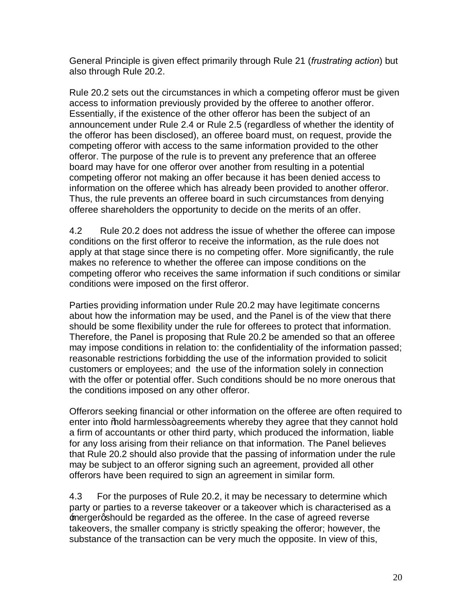General Principle is given effect primarily through Rule 21 (*frustrating action*) but also through Rule 20.2.

Rule 20.2 sets out the circumstances in which a competing offeror must be given access to information previously provided by the offeree to another offeror. Essentially, if the existence of the other offeror has been the subject of an announcement under Rule 2.4 or Rule 2.5 (regardless of whether the identity of the offeror has been disclosed), an offeree board must, on request, provide the competing offeror with access to the same information provided to the other offeror. The purpose of the rule is to prevent any preference that an offeree board may have for one offeror over another from resulting in a potential competing offeror not making an offer because it has been denied access to information on the offeree which has already been provided to another offeror. Thus, the rule prevents an offeree board in such circumstances from denying offeree shareholders the opportunity to decide on the merits of an offer.

4.2 Rule 20.2 does not address the issue of whether the offeree can impose conditions on the first offeror to receive the information, as the rule does not apply at that stage since there is no competing offer. More significantly, the rule makes no reference to whether the offeree can impose conditions on the competing offeror who receives the same information if such conditions or similar conditions were imposed on the first offeror.

Parties providing information under Rule 20.2 may have legitimate concerns about how the information may be used, and the Panel is of the view that there should be some flexibility under the rule for offerees to protect that information. Therefore, the Panel is proposing that Rule 20.2 be amended so that an offeree may impose conditions in relation to: the confidentiality of the information passed; reasonable restrictions forbidding the use of the information provided to solicit customers or employees; and the use of the information solely in connection with the offer or potential offer. Such conditions should be no more onerous that the conditions imposed on any other offeror.

Offerors seeking financial or other information on the offeree are often required to enter into % bold harmless+agreements whereby they agree that they cannot hold a firm of accountants or other third party, which produced the information, liable for any loss arising from their reliance on that information. The Panel believes that Rule 20.2 should also provide that the passing of information under the rule may be subject to an offeror signing such an agreement, provided all other offerors have been required to sign an agreement in similar form.

4.3 For the purposes of Rule 20.2, it may be necessary to determine which party or parties to a reverse takeover or a takeover which is characterised as a mergergshould be regarded as the offeree. In the case of agreed reverse takeovers, the smaller company is strictly speaking the offeror; however, the substance of the transaction can be very much the opposite. In view of this,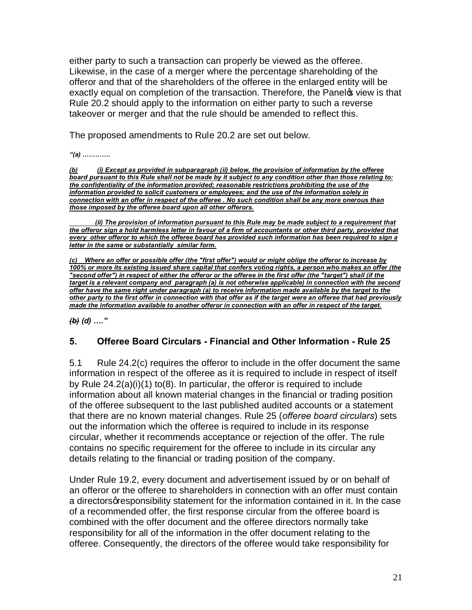either party to such a transaction can properly be viewed as the offeree. Likewise, in the case of a merger where the percentage shareholding of the offeror and that of the shareholders of the offeree in the enlarged entity will be exactly equal on completion of the transaction. Therefore, the Panelos view is that Rule 20.2 should apply to the information on either party to such a reverse takeover or merger and that the rule should be amended to reflect this.

The proposed amendments to Rule 20.2 are set out below.

*"(a) ………….*

*(b) (i) Except as provided in subparagraph (ii) below, the provision of information by the offeree board pursuant to this Rule shall not be made by it subject to any condition other than those relating to: the confidentiality of the information provided; reasonable restrictions prohibiting the use of the information provided to solicit customers or employees; and the use of the information solely in connection with an offer in respect of the offeree . No such condition shall be any more onerous than those imposed by the offeree board upon all other offerors.*

 *(ii) The provision of information pursuant to this Rule may be made subject to a requirement that the offeror sign a hold harmless letter in favour of a firm of accountants or other third party, provided that every other offeror to which the offeree board has provided such information has been required to sign a letter in the same or substantially similar form.*

*(c) Where an offer or possible offer (the "first offer") would or might oblige the offeror to increase by 100% or more its existing issued share capital that confers voting rights, a person who makes an offer (the "second offer") in respect of either the offeror or the offeree in the first offer (the "target") shall (if the target is a relevant company and paragraph (a) is not otherwise applicable) in connection with the second offer have the same right under paragraph (a) to receive information made available by the target to the other party to the first offer in connection with that offer as if the target were an offeree that had previously made the information available to another offeror in connection with an offer in respect of the target.*

*(b) (d) …."*

# **5. Offeree Board Circulars - Financial and Other Information - Rule 25**

5.1 Rule 24.2(c) requires the offeror to include in the offer document the same information in respect of the offeree as it is required to include in respect of itself by Rule 24.2(a)(i)(1) to(8). In particular, the offeror is required to include information about all known material changes in the financial or trading position of the offeree subsequent to the last published audited accounts or a statement that there are no known material changes. Rule 25 (*offeree board circulars*) sets out the information which the offeree is required to include in its response circular, whether it recommends acceptance or rejection of the offer. The rule contains no specific requirement for the offeree to include in its circular any details relating to the financial or trading position of the company*.*

Under Rule 19.2, every document and advertisement issued by or on behalf of an offeror or the offeree to shareholders in connection with an offer must contain a directors gresponsibility statement for the information contained in it. In the case of a recommended offer, the first response circular from the offeree board is combined with the offer document and the offeree directors normally take responsibility for all of the information in the offer document relating to the offeree. Consequently, the directors of the offeree would take responsibility for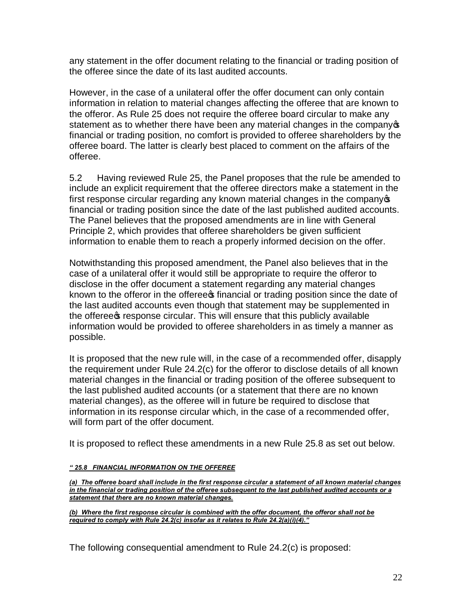any statement in the offer document relating to the financial or trading position of the offeree since the date of its last audited accounts.

However, in the case of a unilateral offer the offer document can only contain information in relation to material changes affecting the offeree that are known to the offeror. As Rule 25 does not require the offeree board circular to make any statement as to whether there have been any material changes in the company financial or trading position, no comfort is provided to offeree shareholders by the offeree board. The latter is clearly best placed to comment on the affairs of the offeree.

5.2 Having reviewed Rule 25, the Panel proposes that the rule be amended to include an explicit requirement that the offeree directors make a statement in the first response circular regarding any known material changes in the company financial or trading position since the date of the last published audited accounts. The Panel believes that the proposed amendments are in line with General Principle 2, which provides that offeree shareholders be given sufficient information to enable them to reach a properly informed decision on the offer.

Notwithstanding this proposed amendment, the Panel also believes that in the case of a unilateral offer it would still be appropriate to require the offeror to disclose in the offer document a statement regarding any material changes known to the offeror in the offeree inancial or trading position since the date of the last audited accounts even though that statement may be supplemented in the offeree of response circular. This will ensure that this publicly available information would be provided to offeree shareholders in as timely a manner as possible.

It is proposed that the new rule will, in the case of a recommended offer, disapply the requirement under Rule 24.2(c) for the offeror to disclose details of all known material changes in the financial or trading position of the offeree subsequent to the last published audited accounts (or a statement that there are no known material changes), as the offeree will in future be required to disclose that information in its response circular which, in the case of a recommended offer, will form part of the offer document.

It is proposed to reflect these amendments in a new Rule 25.8 as set out below.

## *" 25.8 FINANCIAL INFORMATION ON THE OFFEREE*

*(a) The offeree board shall include in the first response circular a statement of all known material changes in the financial or trading position of the offeree subsequent to the last published audited accounts or a statement that there are no known material changes.*

*(b) Where the first response circular is combined with the offer document, the offeror shall not be required to comply with Rule 24.2(c) insofar as it relates to Rule 24.2(a)(i)(4)."*

The following consequential amendment to Rule 24.2(c) is proposed: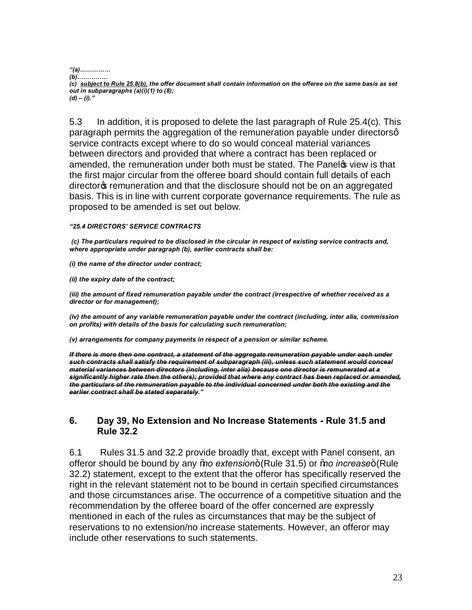*"(a)……………*

*(b)……………*

*(c) subject to Rule 25.8(b), the offer document shall contain information on the offeree on the same basis as set out in subparagraphs (a)(i)(1) to (8); (d) – (i)."*

5.3 In addition, it is proposed to delete the last paragraph of Rule 25.4(c). This paragraph permits the aggregation of the remuneration payable under directorsg service contracts except where to do so would conceal material variances between directors and provided that where a contract has been replaced or amended, the remuneration under both must be stated. The Panel two view is that the first major circular from the offeree board should contain full details of each director<sub>®</sub> remuneration and that the disclosure should not be on an aggregated basis. This is in line with current corporate governance requirements. The rule as proposed to be amended is set out below.

## *"25.4 DIRECTORS' SERVICE CONTRACTS*

*(c) The particulars required to be disclosed in the circular in respect of existing service contracts and, where appropriate under paragraph (b), earlier contracts shall be:*

*(i) the name of the director under contract;*

*(ii) the expiry date of the contract;*

*(iii) the amount of fixed remuneration payable under the contract (irrespective of whether received as a director or for management);*

*(iv) the amount of any variable remuneration payable under the contract (including, inter alia, commission on profits) with details of the basis for calculating such remuneration;*

*(v) arrangements for company payments in respect of a pension or similar scheme.*

*If there is more then one contract, a statement of the aggregate remuneration payable under each under such contracts shall satisfy the requirement of subparagraph (iii), unless such statement would conceal material variances between directors (including, inter alia) because one director is remunerated at a significantly higher rate then the others); provided that where any contract has been replaced or amended, the particulars of the remuneration payable to the individual concerned under both the existing and the earlier contract shall be stated separately."*

# **6. Day 39, No Extension and No Increase Statements - Rule 31.5 and Rule 32.2**

6.1 Rules 31.5 and 32.2 provide broadly that, except with Panel consent, an offeror should be bound by any *% to extension*+ (Rule 31.5) or *% to increase* + (Rule 32.2) statement, except to the extent that the offeror has specifically reserved the right in the relevant statement not to be bound in certain specified circumstances and those circumstances arise. The occurrence of a competitive situation and the recommendation by the offeree board of the offer concerned are expressly mentioned in each of the rules as circumstances that may be the subject of reservations to no extension/no increase statements. However, an offeror may include other reservations to such statements.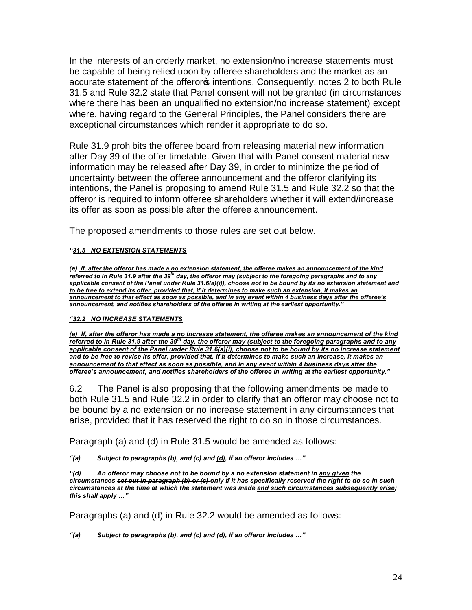In the interests of an orderly market, no extension/no increase statements must be capable of being relied upon by offeree shareholders and the market as an accurate statement of the offeror intentions. Consequently, notes 2 to both Rule 31.5 and Rule 32.2 state that Panel consent will not be granted (in circumstances where there has been an unqualified no extension/no increase statement) except where, having regard to the General Principles, the Panel considers there are exceptional circumstances which render it appropriate to do so.

Rule 31.9 prohibits the offeree board from releasing material new information after Day 39 of the offer timetable. Given that with Panel consent material new information may be released after Day 39, in order to minimize the period of uncertainty between the offeree announcement and the offeror clarifying its intentions, the Panel is proposing to amend Rule 31.5 and Rule 32.2 so that the offeror is required to inform offeree shareholders whether it will extend/increase its offer as soon as possible after the offeree announcement.

The proposed amendments to those rules are set out below.

## *"31.5 NO EXTENSION STATEMENTS*

*(e) If, after the offeror has made a no extension statement, the offeree makes an announcement of the kind referred to in Rule 31.9 after the 39th day, the offeror may (subject to the foregoing paragraphs and to any applicable consent of the Panel under Rule 31.6(a)(i)), choose not to be bound by its no extension statement and to be free to extend its offer, provided that, if it determines to make such an extension, it makes an announcement to that effect as soon as possible, and in any event within 4 business days after the offeree's announcement, and notifies shareholders of the offeree in writing at the earliest opportunity."*

## *"32.2 NO INCREASE STATEMENTS*

*(e) If, after the offeror has made a no increase statement, the offeree makes an announcement of the kind referred to in Rule 31.9 after the 39th day, the offeror may (subject to the foregoing paragraphs and to any applicable consent of the Panel under Rule 31.6(a)(i), choose not to be bound by its no increase statement and to be free to revise its offer, provided that, if it determines to make such an increase, it makes an announcement to that effect as soon as possible, and in any event within 4 business days after the offeree's announcement, and notifies shareholders of the offeree in writing at the earliest opportunity."*

6.2 The Panel is also proposing that the following amendments be made to both Rule 31.5 and Rule 32.2 in order to clarify that an offeror may choose not to be bound by a no extension or no increase statement in any circumstances that arise, provided that it has reserved the right to do so in those circumstances.

Paragraph (a) and (d) in Rule 31.5 would be amended as follows:

*"(a) Subject to paragraphs (b), and (c) and (d), if an offeror includes …"*

*"(d) An offeror may choose not to be bound by a no extension statement in any given the circumstances set out in paragraph (b) or (c) only if it has specifically reserved the right to do so in such circumstances at the time at which the statement was made and such circumstances subsequently arise; this shall apply …"*

Paragraphs (a) and (d) in Rule 32.2 would be amended as follows:

*"(a) Subject to paragraphs (b), and (c) and (d), if an offeror includes …"*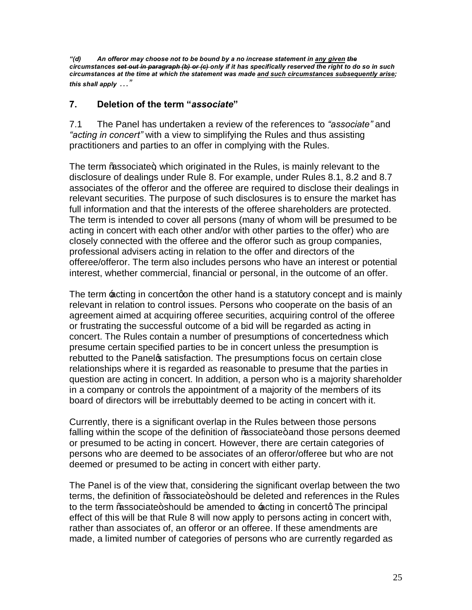*"(d) An offeror may choose not to be bound by a no increase statement in any given the circumstances set out in paragraph (b) or (c) only if it has specifically reserved the right to do so in such circumstances at the time at which the statement was made and such circumstances subsequently arise; this shall apply …"*

# **7. Deletion of the term "***associate***"**

7.1 The Panel has undertaken a review of the references to *"associate"* and *"acting in concert"* with a view to simplifying the Rules and thus assisting practitioners and parties to an offer in complying with the Rules.

The term % associate+, which originated in the Rules, is mainly relevant to the disclosure of dealings under Rule 8. For example, under Rules 8.1, 8.2 and 8.7 associates of the offeror and the offeree are required to disclose their dealings in relevant securities. The purpose of such disclosures is to ensure the market has full information and that the interests of the offeree shareholders are protected. The term is intended to cover all persons (many of whom will be presumed to be acting in concert with each other and/or with other parties to the offer) who are closely connected with the offeree and the offeror such as group companies, professional advisers acting in relation to the offer and directors of the offeree/offeror. The term also includes persons who have an interest or potential interest, whether commercial, financial or personal, in the outcome of an offer.

The term  $\pm$ cting in concertgon the other hand is a statutory concept and is mainly relevant in relation to control issues. Persons who cooperate on the basis of an agreement aimed at acquiring offeree securities, acquiring control of the offeree or frustrating the successful outcome of a bid will be regarded as acting in concert. The Rules contain a number of presumptions of concertedness which presume certain specified parties to be in concert unless the presumption is rebutted to the Panel satisfaction. The presumptions focus on certain close relationships where it is regarded as reasonable to presume that the parties in question are acting in concert. In addition, a person who is a majority shareholder in a company or controls the appointment of a majority of the members of its board of directors will be irrebuttably deemed to be acting in concert with it.

Currently, there is a significant overlap in the Rules between those persons falling within the scope of the definition of % associate+ and those persons deemed or presumed to be acting in concert. However, there are certain categories of persons who are deemed to be associates of an offeror/offeree but who are not deemed or presumed to be acting in concert with either party.

The Panel is of the view that, considering the significant overlap between the two terms, the definition of % associate+ should be deleted and references in the Rules to the term % associate+ should be amended to acting in concerty The principal effect of this will be that Rule 8 will now apply to persons acting in concert with, rather than associates of, an offeror or an offeree. If these amendments are made, a limited number of categories of persons who are currently regarded as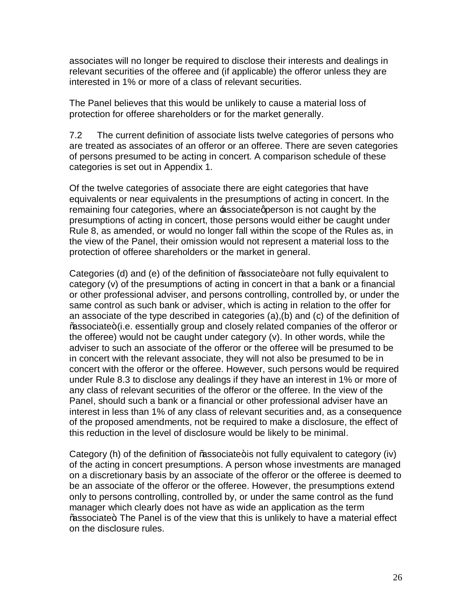associates will no longer be required to disclose their interests and dealings in relevant securities of the offeree and (if applicable) the offeror unless they are interested in 1% or more of a class of relevant securities.

The Panel believes that this would be unlikely to cause a material loss of protection for offeree shareholders or for the market generally.

7.2 The current definition of associate lists twelve categories of persons who are treated as associates of an offeror or an offeree. There are seven categories of persons presumed to be acting in concert. A comparison schedule of these categories is set out in Appendix 1.

Of the twelve categories of associate there are eight categories that have equivalents or near equivalents in the presumptions of acting in concert. In the remaining four categories, where an **Besociate person is not caught by the** presumptions of acting in concert, those persons would either be caught under Rule 8, as amended, or would no longer fall within the scope of the Rules as, in the view of the Panel, their omission would not represent a material loss to the protection of offeree shareholders or the market in general.

Categories (d) and (e) of the definition of  $%$ associate+are not fully equivalent to category (v) of the presumptions of acting in concert in that a bank or a financial or other professional adviser, and persons controlling, controlled by, or under the same control as such bank or adviser, which is acting in relation to the offer for an associate of the type described in categories (a),(b) and (c) of the definition of % associate+ (i.e. essentially group and closely related companies of the offeror or the offeree) would not be caught under category (v). In other words, while the adviser to such an associate of the offeror or the offeree will be presumed to be in concert with the relevant associate, they will not also be presumed to be in concert with the offeror or the offeree. However, such persons would be required under Rule 8.3 to disclose any dealings if they have an interest in 1% or more of any class of relevant securities of the offeror or the offeree. In the view of the Panel, should such a bank or a financial or other professional adviser have an interest in less than 1% of any class of relevant securities and, as a consequence of the proposed amendments, not be required to make a disclosure, the effect of this reduction in the level of disclosure would be likely to be minimal.

Category (h) of the definition of  $%$ associate+is not fully equivalent to category (iv) of the acting in concert presumptions. A person whose investments are managed on a discretionary basis by an associate of the offeror or the offeree is deemed to be an associate of the offeror or the offeree. However, the presumptions extend only to persons controlling, controlled by, or under the same control as the fund manager which clearly does not have as wide an application as the term % associate+. The Panel is of the view that this is unlikely to have a material effect on the disclosure rules.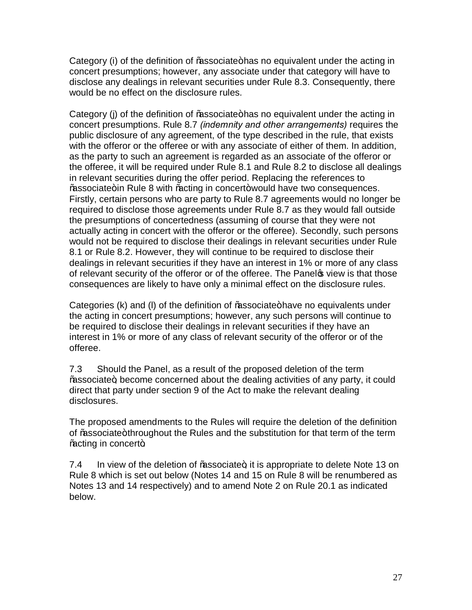Category (i) of the definition of ‰ssociate+has no equivalent under the acting in concert presumptions; however, any associate under that category will have to disclose any dealings in relevant securities under Rule 8.3. Consequently, there would be no effect on the disclosure rules.

Category (j) of the definition of ‰ssociate+has no equivalent under the acting in concert presumptions. Rule 8.7 *(indemnity and other arrangements)* requires the public disclosure of any agreement, of the type described in the rule, that exists with the offeror or the offeree or with any associate of either of them. In addition, as the party to such an agreement is regarded as an associate of the offeror or the offeree, it will be required under Rule 8.1 and Rule 8.2 to disclose all dealings in relevant securities during the offer period. Replacing the references to % associate+in Rule 8 with % acting in concert+ would have two consequences. Firstly, certain persons who are party to Rule 8.7 agreements would no longer be required to disclose those agreements under Rule 8.7 as they would fall outside the presumptions of concertedness (assuming of course that they were not actually acting in concert with the offeror or the offeree). Secondly, such persons would not be required to disclose their dealings in relevant securities under Rule 8.1 or Rule 8.2. However, they will continue to be required to disclose their dealings in relevant securities if they have an interest in 1% or more of any class of relevant security of the offeror or of the offeree. The Panel op view is that those consequences are likely to have only a minimal effect on the disclosure rules.

Categories (k) and (I) of the definition of %associate+have no equivalents under the acting in concert presumptions; however, any such persons will continue to be required to disclose their dealings in relevant securities if they have an interest in 1% or more of any class of relevant security of the offeror or of the offeree.

7.3 Should the Panel, as a result of the proposed deletion of the term % associate+, become concerned about the dealing activities of any party, it could direct that party under section 9 of the Act to make the relevant dealing disclosures.

The proposed amendments to the Rules will require the deletion of the definition of ‰ssociate+throughout the Rules and the substitution for that term of the term % acting in concert+.

7.4 In view of the deletion of % associate to appropriate to delete Note 13 on Rule 8 which is set out below (Notes 14 and 15 on Rule 8 will be renumbered as Notes 13 and 14 respectively) and to amend Note 2 on Rule 20.1 as indicated below.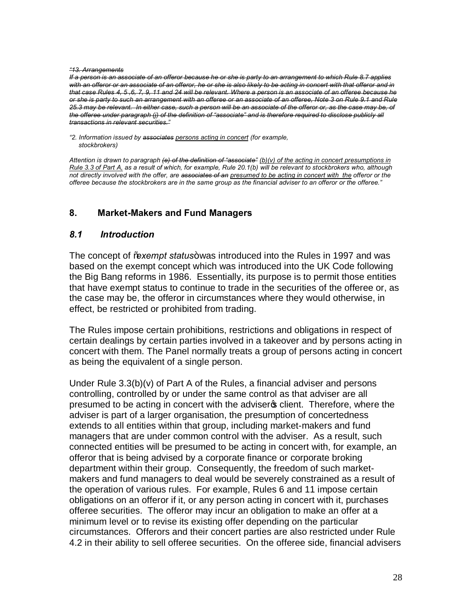### *"13. Arrangements*

*If a person is an associate of an offeror because he or she is party to an arrangement to which Rule 8.7 applies with an offeror or an associate of an offeror, he or she is also likely to be acting in concert with that offeror and in that case Rules 4, 5 ,6, 7, 9, 11 and 24 will be relevant. Where a person is an associate of an offeree because he or she is party to such an arrangement with an offeree or an associate of an offeree, Note 3 on Rule 9.1 and Rule 25.3 may be relevant. In either case, such a person will be an associate of the offeror or, as the case may be, of the offeree under paragraph (j) of the definition of "associate" and is therefore required to disclose publicly all transactions in relevant securities."*

*"2. Information issued by associates persons acting in concert (for example, stockbrokers)*

*Attention is drawn to paragraph (e) of the definition of "associate" (b)(v) of the acting in concert presumptions in Rule 3.3 of Part A, as a result of which, for example, Rule 20.1(b) will be relevant to stockbrokers who, although not directly involved with the offer, are associates of an presumed to be acting in concert with the offeror or the offeree because the stockbrokers are in the same group as the financial adviser to an offeror or the offeree."*

# **8. Market-Makers and Fund Managers**

# *8.1 Introduction*

The concept of *"*exempt status+was introduced into the Rules in 1997 and was based on the exempt concept which was introduced into the UK Code following the Big Bang reforms in 1986. Essentially, its purpose is to permit those entities that have exempt status to continue to trade in the securities of the offeree or, as the case may be, the offeror in circumstances where they would otherwise, in effect, be restricted or prohibited from trading.

The Rules impose certain prohibitions, restrictions and obligations in respect of certain dealings by certain parties involved in a takeover and by persons acting in concert with them. The Panel normally treats a group of persons acting in concert as being the equivalent of a single person.

Under Rule 3.3(b)(v) of Part A of the Rules, a financial adviser and persons controlling, controlled by or under the same control as that adviser are all presumed to be acting in concert with the adviser optiont. Therefore, where the adviser is part of a larger organisation, the presumption of concertedness extends to all entities within that group, including market-makers and fund managers that are under common control with the adviser. As a result, such connected entities will be presumed to be acting in concert with, for example, an offeror that is being advised by a corporate finance or corporate broking department within their group. Consequently, the freedom of such marketmakers and fund managers to deal would be severely constrained as a result of the operation of various rules. For example, Rules 6 and 11 impose certain obligations on an offeror if it, or any person acting in concert with it, purchases offeree securities. The offeror may incur an obligation to make an offer at a minimum level or to revise its existing offer depending on the particular circumstances. Offerors and their concert parties are also restricted under Rule 4.2 in their ability to sell offeree securities. On the offeree side, financial advisers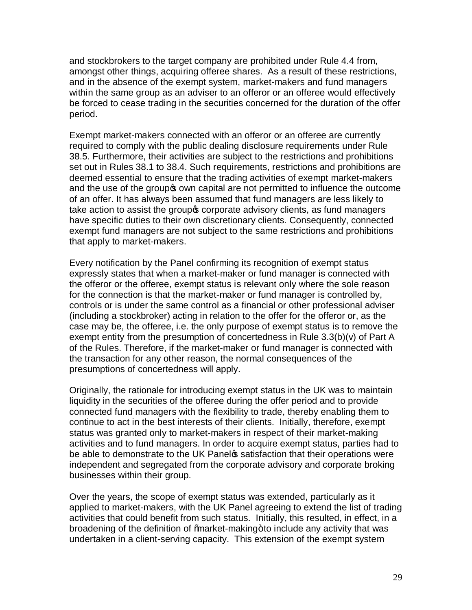and stockbrokers to the target company are prohibited under Rule 4.4 from, amongst other things, acquiring offeree shares. As a result of these restrictions, and in the absence of the exempt system, market-makers and fund managers within the same group as an adviser to an offeror or an offeree would effectively be forced to cease trading in the securities concerned for the duration of the offer period.

Exempt market-makers connected with an offeror or an offeree are currently required to comply with the public dealing disclosure requirements under Rule 38.5. Furthermore, their activities are subject to the restrictions and prohibitions set out in Rules 38.1 to 38.4. Such requirements, restrictions and prohibitions are deemed essential to ensure that the trading activities of exempt market-makers and the use of the group own capital are not permitted to influence the outcome of an offer. It has always been assumed that fund managers are less likely to take action to assist the group ocorporate advisory clients, as fund managers have specific duties to their own discretionary clients. Consequently, connected exempt fund managers are not subject to the same restrictions and prohibitions that apply to market-makers.

Every notification by the Panel confirming its recognition of exempt status expressly states that when a market-maker or fund manager is connected with the offeror or the offeree, exempt status is relevant only where the sole reason for the connection is that the market-maker or fund manager is controlled by, controls or is under the same control as a financial or other professional adviser (including a stockbroker) acting in relation to the offer for the offeror or, as the case may be, the offeree, i.e. the only purpose of exempt status is to remove the exempt entity from the presumption of concertedness in Rule 3.3(b)(v) of Part A of the Rules. Therefore, if the market-maker or fund manager is connected with the transaction for any other reason, the normal consequences of the presumptions of concertedness will apply.

Originally, the rationale for introducing exempt status in the UK was to maintain liquidity in the securities of the offeree during the offer period and to provide connected fund managers with the flexibility to trade, thereby enabling them to continue to act in the best interests of their clients. Initially, therefore, exempt status was granted only to market-makers in respect of their market-making activities and to fund managers. In order to acquire exempt status, parties had to be able to demonstrate to the UK Panel a satisfaction that their operations were independent and segregated from the corporate advisory and corporate broking businesses within their group.

Over the years, the scope of exempt status was extended, particularly as it applied to market-makers, with the UK Panel agreeing to extend the list of trading activities that could benefit from such status. Initially, this resulted, in effect, in a broadening of the definition of *%*narket-making+to include any activity that was undertaken in a client-serving capacity. This extension of the exempt system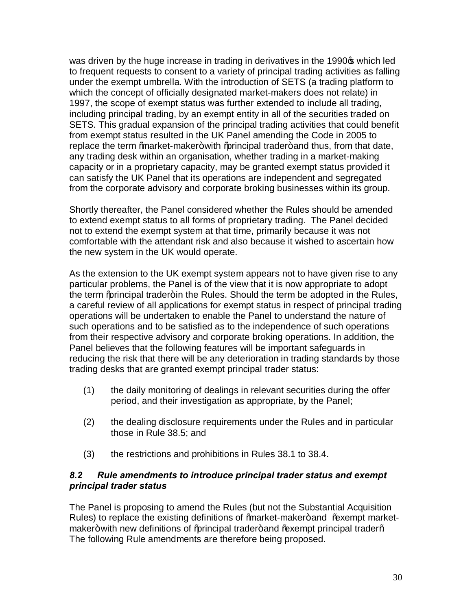was driven by the huge increase in trading in derivatives in the 1990 $\sigma$  which led to frequent requests to consent to a variety of principal trading activities as falling under the exempt umbrella. With the introduction of SETS (a trading platform to which the concept of officially designated market-makers does not relate) in 1997, the scope of exempt status was further extended to include all trading, including principal trading, by an exempt entity in all of the securities traded on SETS. This gradual expansion of the principal trading activities that could benefit from exempt status resulted in the UK Panel amending the Code in 2005 to replace the term "market-maker+with "principal trader+ and thus, from that date, any trading desk within an organisation, whether trading in a market-making capacity or in a proprietary capacity, may be granted exempt status provided it can satisfy the UK Panel that its operations are independent and segregated from the corporate advisory and corporate broking businesses within its group.

Shortly thereafter, the Panel considered whether the Rules should be amended to extend exempt status to all forms of proprietary trading. The Panel decided not to extend the exempt system at that time, primarily because it was not comfortable with the attendant risk and also because it wished to ascertain how the new system in the UK would operate.

As the extension to the UK exempt system appears not to have given rise to any particular problems, the Panel is of the view that it is now appropriate to adopt the term "principal trader+in the Rules. Should the term be adopted in the Rules, a careful review of all applications for exempt status in respect of principal trading operations will be undertaken to enable the Panel to understand the nature of such operations and to be satisfied as to the independence of such operations from their respective advisory and corporate broking operations. In addition, the Panel believes that the following features will be important safeguards in reducing the risk that there will be any deterioration in trading standards by those trading desks that are granted exempt principal trader status:

- (1) the daily monitoring of dealings in relevant securities during the offer period, and their investigation as appropriate, by the Panel;
- (2) the dealing disclosure requirements under the Rules and in particular those in Rule 38.5; and
- (3) the restrictions and prohibitions in Rules 38.1 to 38.4.

# *8.2 Rule amendments to introduce principal trader status and exempt principal trader status*

The Panel is proposing to amend the Rules (but not the Substantial Acquisition Rules) to replace the existing definitions of *%*barket-maker+ and % axempt marketmaker+ with new definitions of % arincipal trader+ and % axempt principal trader % The following Rule amendments are therefore being proposed.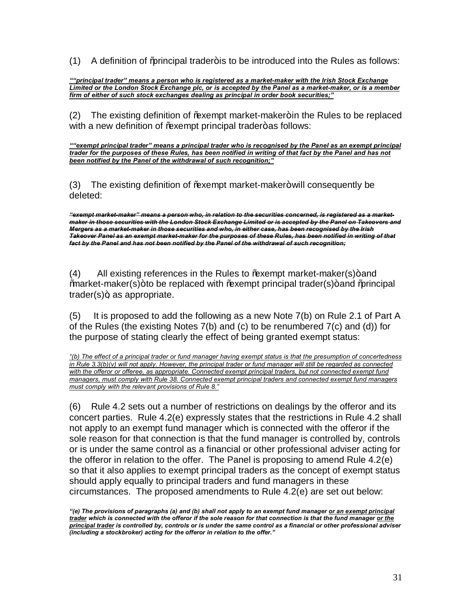$(1)$  A definition of  $%$  a analymic trader+ is to be introduced into the Rules as follows:

*""principal trader" means a person who is registered as a market-maker with the Irish Stock Exchange Limited or the London Stock Exchange plc, or is accepted by the Panel as a market-maker, or is a member firm of either of such stock exchanges dealing as principal in order book securities;"*

(2) The existing definition of % wempt market-maker+in the Rules to be replaced with a new definition of % axempt principal trader+ as follows:

*""exempt principal trader" means a principal trader who is recognised by the Panel as an exempt principal trader for the purposes of these Rules, has been notified in writing of that fact by the Panel and has not been notified by the Panel of the withdrawal of such recognition;"*

(3) The existing definition of % axempt market-maker+ will consequently be deleted:

*"exempt market-maker" means a person who, in relation to the securities concerned, is registered as a marketmaker in those securities with the London Stock Exchange Limited or is accepted by the Panel on Takeovers and Mergers as a market-maker in those securities and who, in either case, has been recognised by the Irish Takeover Panel as an exempt market-maker for the purposes of these Rules, has been notified in writing of that fact by the Panel and has not been notified by the Panel of the withdrawal of such recognition;* 

 $(4)$  All existing references in the Rules to  $%$  Exempt market-maker(s) + and "market-maker(s)" to be replaced with "exempt principal trader(s)" and "principal  $trader(s)$ +, as appropriate.

(5) It is proposed to add the following as a new Note 7(b) on Rule 2.1 of Part A of the Rules (the existing Notes 7(b) and (c) to be renumbered 7(c) and (d)) for the purpose of stating clearly the effect of being granted exempt status:

*"(b) The effect of a principal trader or fund manager having exempt status is that the presumption of concertedness*  in Rule 3.3(b)(v) will not apply. However, the principal trader or fund manager will still be regarded as connected with the offeror or offeree, as appropriate. Connected exempt principal traders, but not connected exempt fund *managers, must comply with Rule 38. Connected exempt principal traders and connected exempt fund managers must comply with the relevant provisions of Rule 8."*

(6) Rule 4.2 sets out a number of restrictions on dealings by the offeror and its concert parties. Rule 4.2(e) expressly states that the restrictions in Rule 4.2 shall not apply to an exempt fund manager which is connected with the offeror if the sole reason for that connection is that the fund manager is controlled by, controls or is under the same control as a financial or other professional adviser acting for the offeror in relation to the offer. The Panel is proposing to amend Rule 4.2(e) so that it also applies to exempt principal traders as the concept of exempt status should apply equally to principal traders and fund managers in these circumstances. The proposed amendments to Rule 4.2(e) are set out below:

*<sup>&</sup>quot;(e) The provisions of paragraphs (a) and (b) shall not apply to an exempt fund manager or an exempt principal trader which is connected with the offeror if the sole reason for that connection is that the fund manager or the principal trader is controlled by, controls or is under the same control as a financial or other professional adviser (including a stockbroker) acting for the offeror in relation to the offer."*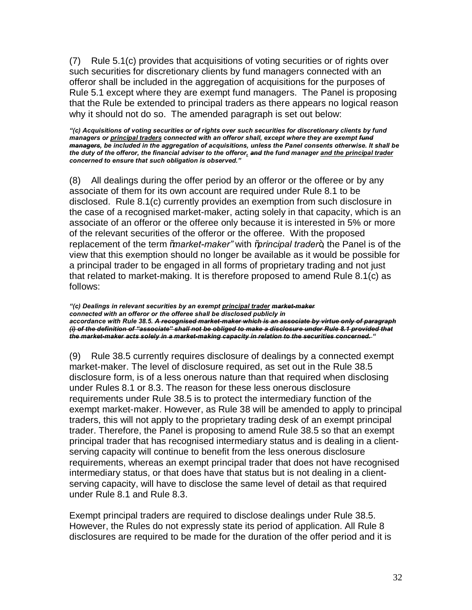(7) Rule 5.1(c) provides that acquisitions of voting securities or of rights over such securities for discretionary clients by fund managers connected with an offeror shall be included in the aggregation of acquisitions for the purposes of Rule 5.1 except where they are exempt fund managers. The Panel is proposing that the Rule be extended to principal traders as there appears no logical reason why it should not do so. The amended paragraph is set out below:

*"(c) Acquisitions of voting securities or of rights over such securities for discretionary clients by fund managers or principal traders connected with an offeror shall, except where they are exempt fund managers, be included in the aggregation of acquisitions, unless the Panel consents otherwise. It shall be the duty of the offeror, the financial adviser to the offeror, and the fund manager and the principal trader concerned to ensure that such obligation is observed."*

(8) All dealings during the offer period by an offeror or the offeree or by any associate of them for its own account are required under Rule 8.1 to be disclosed. Rule 8.1(c) currently provides an exemption from such disclosure in the case of a recognised market-maker, acting solely in that capacity, which is an associate of an offeror or the offeree only because it is interested in 5% or more of the relevant securities of the offeror or the offeree. With the proposed replacement of the term *"market-maker*" with "*principal trader*+, the Panel is of the view that this exemption should no longer be available as it would be possible for a principal trader to be engaged in all forms of proprietary trading and not just that related to market-making. It is therefore proposed to amend Rule 8.1(c) as follows:

*"(c) Dealings in relevant securities by an exempt principal trader market-maker connected with an offeror or the offeree shall be disclosed publicly in accordance with Rule 38.5. A recognised market-maker which is an associate by virtue only of paragraph (i) of the definition of "associate" shall not be obliged to make a disclosure under Rule 8.1 provided that the market-maker acts solely in a market-making capacity in relation to the securities concerned. "*

(9) Rule 38.5 currently requires disclosure of dealings by a connected exempt market-maker. The level of disclosure required, as set out in the Rule 38.5 disclosure form, is of a less onerous nature than that required when disclosing under Rules 8.1 or 8.3. The reason for these less onerous disclosure requirements under Rule 38.5 is to protect the intermediary function of the exempt market-maker. However, as Rule 38 will be amended to apply to principal traders, this will not apply to the proprietary trading desk of an exempt principal trader. Therefore, the Panel is proposing to amend Rule 38.5 so that an exempt principal trader that has recognised intermediary status and is dealing in a clientserving capacity will continue to benefit from the less onerous disclosure requirements, whereas an exempt principal trader that does not have recognised intermediary status, or that does have that status but is not dealing in a clientserving capacity, will have to disclose the same level of detail as that required under Rule 8.1 and Rule 8.3.

Exempt principal traders are required to disclose dealings under Rule 38.5. However, the Rules do not expressly state its period of application. All Rule 8 disclosures are required to be made for the duration of the offer period and it is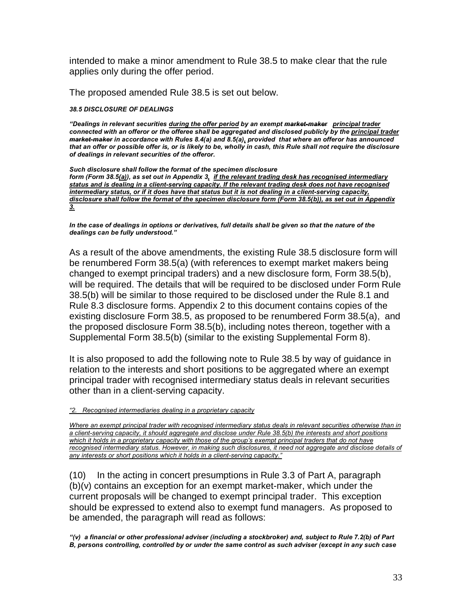intended to make a minor amendment to Rule 38.5 to make clear that the rule applies only during the offer period.

The proposed amended Rule 38.5 is set out below.

## *38.5 DISCLOSURE OF DEALINGS*

*"Dealings in relevant securities during the offer period by an exempt market-maker principal trader connected with an offeror or the offeree shall be aggregated and disclosed publicly by the principal trader market-maker in accordance with Rules 8.4(a) and 8.5(a), provided that where an offeror has announced*  that an offer or possible offer is, or is likely to be, wholly in cash, this Rule shall not require the disclosure *of dealings in relevant securities of the offeror.*

*Such disclosure shall follow the format of the specimen disclosure form (Form 38.5(a)), as set out in Appendix 3, if the relevant trading desk has recognised intermediary status and is dealing in a client-serving capacity. If the relevant trading desk does not have recognised intermediary status, or if it does have that status but it is not dealing in a client-serving capacity, disclosure shall follow the format of the specimen disclosure form (Form 38.5(b)), as set out in Appendix 3.*

*In the case of dealings in options or derivatives, full details shall be given so that the nature of the dealings can be fully understood."*

As a result of the above amendments, the existing Rule 38.5 disclosure form will be renumbered Form 38.5(a) (with references to exempt market makers being changed to exempt principal traders) and a new disclosure form, Form 38.5(b), will be required. The details that will be required to be disclosed under Form Rule 38.5(b) will be similar to those required to be disclosed under the Rule 8.1 and Rule 8.3 disclosure forms. Appendix 2 to this document contains copies of the existing disclosure Form 38.5, as proposed to be renumbered Form 38.5(a), and the proposed disclosure Form 38.5(b), including notes thereon, together with a Supplemental Form 38.5(b) (similar to the existing Supplemental Form 8).

It is also proposed to add the following note to Rule 38.5 by way of guidance in relation to the interests and short positions to be aggregated where an exempt principal trader with recognised intermediary status deals in relevant securities other than in a client-serving capacity.

*"2. Recognised intermediaries dealing in a proprietary capacity*

*Where an exempt principal trader with recognised intermediary status deals in relevant securities otherwise than in a client-serving capacity, it should aggregate and disclose under Rule 38.5(b) the interests and short positions which it holds in a proprietary capacity with those of the group's exempt principal traders that do not have*  recognised intermediary status. However, in making such disclosures, it need not aggregate and disclose details of *any interests or short positions which it holds in a client-serving capacity."*

(10) In the acting in concert presumptions in Rule 3.3 of Part A, paragraph (b)(v) contains an exception for an exempt market-maker, which under the current proposals will be changed to exempt principal trader. This exception should be expressed to extend also to exempt fund managers. As proposed to be amended, the paragraph will read as follows:

*"(v) a financial or other professional adviser (including a stockbroker) and, subject to Rule 7.2(b) of Part B, persons controlling, controlled by or under the same control as such adviser (except in any such case*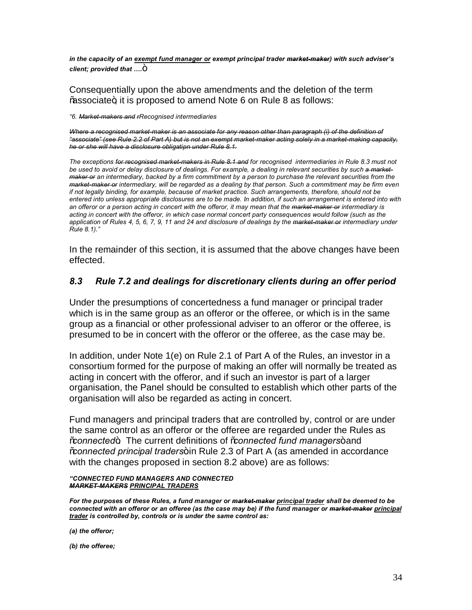*in the capacity of an exempt fund manager or exempt principal trader market-maker) with such adviser's client: provided that ...*.<sup>+</sup>

Consequentially upon the above amendments and the deletion of the term % % associate+, it is proposed to amend Note 6 on Rule 8 as follows:

*"6. Market-makers and rRecognised intermediaries*

*Where a recognised market-maker is an associate for any reason other than paragraph (i) of the definition of "associate" (see Rule 2.2 of Part A) but is not an exempt market-maker acting solely in a market-making capacity, he or she will have a disclosure obligatipn under Rule 8.1.*

*The exceptions for recognised market-makers in Rule 8.1 and for recognised intermediaries in Rule 8.3 must not be used to avoid or delay disclosure of dealings. For example, a dealing in relevant securities by such a marketmaker or an intermediary, backed by a firm commitment by a person to purchase the relevant securities from the market-maker or intermediary, will be regarded as a dealing by that person. Such a commitment may be firm even if not legally binding, for example, because of market practice. Such arrangements, therefore, should not be entered into unless appropriate disclosures are to be made. In addition, if such an arrangement is entered into with an offeror or a person acting in concert with the offeror, it may mean that the market-maker or intermediary is acting in concert with the offeror, in which case normal concert party consequences would follow (such as the application of Rules 4, 5, 6, 7, 9, 11 and 24 and disclosure of dealings by the market-maker or intermediary under Rule 8.1)."*

In the remainder of this section, it is assumed that the above changes have been effected.

# *8.3 Rule 7.2 and dealings for discretionary clients during an offer period*

Under the presumptions of concertedness a fund manager or principal trader which is in the same group as an offeror or the offeree, or which is in the same group as a financial or other professional adviser to an offeror or the offeree, is presumed to be in concert with the offeror or the offeree, as the case may be.

In addition, under Note 1(e) on Rule 2.1 of Part A of the Rules, an investor in a consortium formed for the purpose of making an offer will normally be treated as acting in concert with the offeror, and if such an investor is part of a larger organisation, the Panel should be consulted to establish which other parts of the organisation will also be regarded as acting in concert.

Fund managers and principal traders that are controlled by, control or are under the same control as an offeror or the offeree are regarded under the Rules as "*connected*". The current definitions of "*connected fund managers*" and "*connected principal traders*" in Rule 2.3 of Part A (as amended in accordance with the changes proposed in section 8.2 above) are as follows:

## *"CONNECTED FUND MANAGERS AND CONNECTED MARKET-MAKERS PRINCIPAL TRADERS*

*For the purposes of these Rules, a fund manager or market-maker principal trader shall be deemed to be connected with an offeror or an offeree (as the case may be) if the fund manager or market-maker principal trader is controlled by, controls or is under the same control as:*

*(a) the offeror;*

*(b) the offeree;*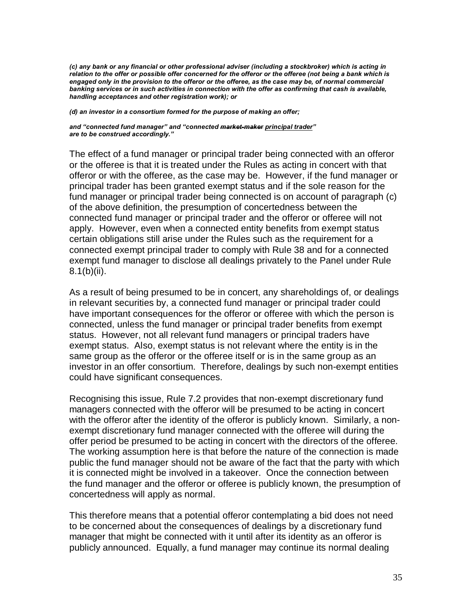*(c) any bank or any financial or other professional adviser (including a stockbroker) which is acting in relation to the offer or possible offer concerned for the offeror or the offeree (not being a bank which is engaged only in the provision to the offeror or the offeree, as the case may be, of normal commercial banking services or in such activities in connection with the offer as confirming that cash is available, handling acceptances and other registration work); or*

*(d) an investor in a consortium formed for the purpose of making an offer;*

*and "connected fund manager" and "connected market-maker principal trader" are to be construed accordingly."*

The effect of a fund manager or principal trader being connected with an offeror or the offeree is that it is treated under the Rules as acting in concert with that offeror or with the offeree, as the case may be. However, if the fund manager or principal trader has been granted exempt status and if the sole reason for the fund manager or principal trader being connected is on account of paragraph (c) of the above definition, the presumption of concertedness between the connected fund manager or principal trader and the offeror or offeree will not apply. However, even when a connected entity benefits from exempt status certain obligations still arise under the Rules such as the requirement for a connected exempt principal trader to comply with Rule 38 and for a connected exempt fund manager to disclose all dealings privately to the Panel under Rule 8.1(b)(ii).

As a result of being presumed to be in concert, any shareholdings of, or dealings in relevant securities by, a connected fund manager or principal trader could have important consequences for the offeror or offeree with which the person is connected, unless the fund manager or principal trader benefits from exempt status. However, not all relevant fund managers or principal traders have exempt status. Also, exempt status is not relevant where the entity is in the same group as the offeror or the offeree itself or is in the same group as an investor in an offer consortium. Therefore, dealings by such non-exempt entities could have significant consequences.

Recognising this issue, Rule 7.2 provides that non-exempt discretionary fund managers connected with the offeror will be presumed to be acting in concert with the offeror after the identity of the offeror is publicly known. Similarly, a nonexempt discretionary fund manager connected with the offeree will during the offer period be presumed to be acting in concert with the directors of the offeree. The working assumption here is that before the nature of the connection is made public the fund manager should not be aware of the fact that the party with which it is connected might be involved in a takeover. Once the connection between the fund manager and the offeror or offeree is publicly known, the presumption of concertedness will apply as normal.

This therefore means that a potential offeror contemplating a bid does not need to be concerned about the consequences of dealings by a discretionary fund manager that might be connected with it until after its identity as an offeror is publicly announced. Equally, a fund manager may continue its normal dealing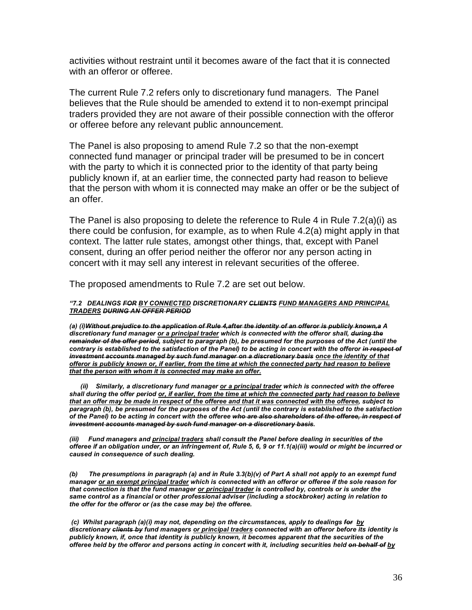activities without restraint until it becomes aware of the fact that it is connected with an offeror or offeree.

The current Rule 7.2 refers only to discretionary fund managers. The Panel believes that the Rule should be amended to extend it to non-exempt principal traders provided they are not aware of their possible connection with the offeror or offeree before any relevant public announcement.

The Panel is also proposing to amend Rule 7.2 so that the non-exempt connected fund manager or principal trader will be presumed to be in concert with the party to which it is connected prior to the identity of that party being publicly known if, at an earlier time, the connected party had reason to believe that the person with whom it is connected may make an offer or be the subject of an offer.

The Panel is also proposing to delete the reference to Rule 4 in Rule 7.2(a)(i) as there could be confusion, for example, as to when Rule 4.2(a) might apply in that context. The latter rule states, amongst other things, that, except with Panel consent, during an offer period neither the offeror nor any person acting in concert with it may sell any interest in relevant securities of the offeree.

The proposed amendments to Rule 7.2 are set out below.

### *"7.2 DEALINGS FOR BY CONNECTED DISCRETIONARY CLIENTS FUND MANAGERS AND PRINCIPAL TRADERS DURING AN OFFER PERIOD*

*(a) (i)Without prejudice to the application of Rule 4,after the identity of an offeror is publicly known,a A discretionary fund manager or a principal trader which is connected with the offeror shall, during the remainder of the offer period, subject to paragraph (b), be presumed for the purposes of the Act (until the contrary is established to the satisfaction of the Panel) to be acting in concert with the offeror in respect of investment accounts managed by such fund manager on a discretionary basis once the identity of that offeror is publicly known or, if earlier, from the time at which the connected party had reason to believe that the person with whom it is connected may make an offer.*

 *(ii) Similarly, a discretionary fund manager or a principal trader which is connected with the offeree shall during the offer period or, if earlier, from the time at which the connected party had reason to believe that an offer may be made in respect of the offeree and that it was connected with the offeree, subject to paragraph (b), be presumed for the purposes of the Act (until the contrary is established to the satisfaction of the Panel) to be acting in concert with the offeree who are also shareholders of the offeree, in respect of investment accounts managed by such fund manager on a discretionary basis.*

*(iii) Fund managers and principal traders shall consult the Panel before dealing in securities of the offeree if an obligation under, or an infringement of, Rule 5, 6, 9 or 11.1(a)(iii) would or might be incurred or caused in consequence of such dealing.*

*(b) The presumptions in paragraph (a) and in Rule 3.3(b)(v) of Part A shall not apply to an exempt fund manager or an exempt principal trader which is connected with an offeror or offeree if the sole reason for that connection is that the fund manager or principal trader is controlled by, controls or is under the same control as a financial or other professional adviser (including a stockbroker) acting in relation to the offer for the offeror or (as the case may be) the offeree.*

*(c) Whilst paragraph (a)(i) may not, depending on the circumstances, apply to dealings for by discretionary clients by fund managers or principal traders connected with an offeror before its identity is publicly known, if, once that identity is publicly known, it becomes apparent that the securities of the offeree held by the offeror and persons acting in concert with it, including securities held on behalf of by*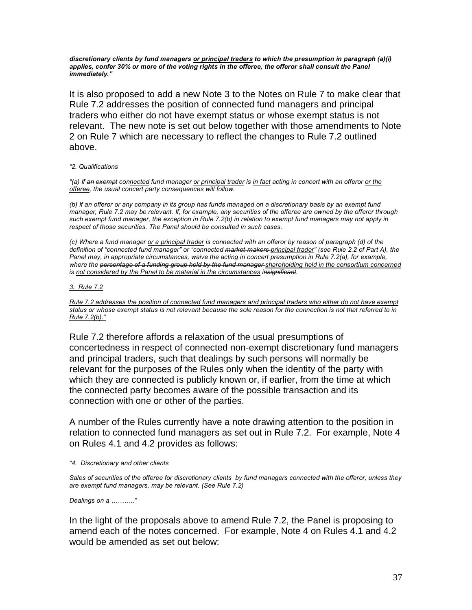*discretionary clients by fund managers or principal traders to which the presumption in paragraph (a)(i)*  applies, confer 30% or more of the voting rights in the offeree, the offeror shall consult the Panel *immediately."*

It is also proposed to add a new Note 3 to the Notes on Rule 7 to make clear that Rule 7.2 addresses the position of connected fund managers and principal traders who either do not have exempt status or whose exempt status is not relevant. The new note is set out below together with those amendments to Note 2 on Rule 7 which are necessary to reflect the changes to Rule 7.2 outlined above.

#### *"2. Qualifications*

*"(a) If an exempt connected fund manager or principal trader is in fact acting in concert with an offeror or the offeree, the usual concert party consequences will follow.*

*(b) If an offeror or any company in its group has funds managed on a discretionary basis by an exempt fund manager, Rule 7.2 may be relevant. If, for example, any securities of the offeree are owned by the offeror through such exempt fund manager, the exception in Rule 7.2(b) in relation to exempt fund managers may not apply in respect of those securities. The Panel should be consulted in such cases.*

*(c) Where a fund manager or a principal trader is connected with an offeror by reason of paragraph (d) of the definition of "connected fund manager" or "connected market-makers principal trader" (see Rule 2.2 of Part A), the Panel may, in appropriate circumstances, waive the acting in concert presumption in Rule 7.2(a), for example, where the percentage of a funding group held by the fund manager shareholding held in the consortium concerned is not considered by the Panel to be material in the circumstances insignificant.* 

#### *3. Rule 7.2*

*Rule 7.2 addresses the position of connected fund managers and principal traders who either do not have exempt status or whose exempt status is not relevant because the sole reason for the connection is not that referred to in Rule 7.2(b)."*

Rule 7.2 therefore affords a relaxation of the usual presumptions of concertedness in respect of connected non-exempt discretionary fund managers and principal traders, such that dealings by such persons will normally be relevant for the purposes of the Rules only when the identity of the party with which they are connected is publicly known or, if earlier, from the time at which the connected party becomes aware of the possible transaction and its connection with one or other of the parties.

A number of the Rules currently have a note drawing attention to the position in relation to connected fund managers as set out in Rule 7.2. For example, Note 4 on Rules 4.1 and 4.2 provides as follows:

#### *"4. Discretionary and other clients*

*Sales of securities of the offeree for discretionary clients by fund managers connected with the offeror, unless they are exempt fund managers, may be relevant. (See Rule 7.2)*

*Dealings on a ……….."*

In the light of the proposals above to amend Rule 7.2, the Panel is proposing to amend each of the notes concerned. For example, Note 4 on Rules 4.1 and 4.2 would be amended as set out below: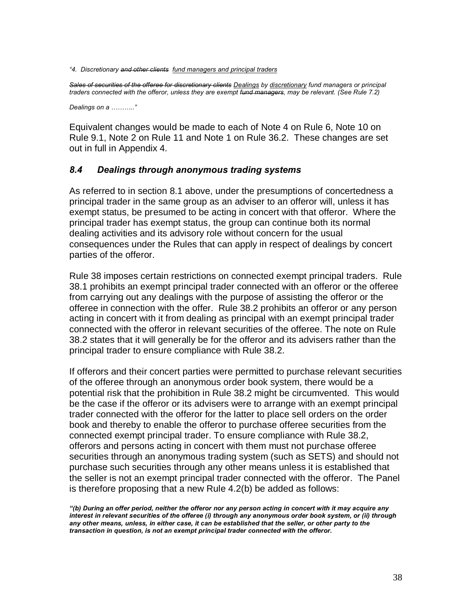*"4. Discretionary and other clients fund managers and principal traders* 

*Sales of securities of the offeree for discretionary clients Dealings by discretionary fund managers or principal traders connected with the offeror, unless they are exempt fund managers, may be relevant. (See Rule 7.2)*

*Dealings on a ……….."*

Equivalent changes would be made to each of Note 4 on Rule 6, Note 10 on Rule 9.1, Note 2 on Rule 11 and Note 1 on Rule 36.2. These changes are set out in full in Appendix 4*.*

# *8.4 Dealings through anonymous trading systems*

As referred to in section 8.1 above, under the presumptions of concertedness a principal trader in the same group as an adviser to an offeror will, unless it has exempt status, be presumed to be acting in concert with that offeror. Where the principal trader has exempt status, the group can continue both its normal dealing activities and its advisory role without concern for the usual consequences under the Rules that can apply in respect of dealings by concert parties of the offeror.

Rule 38 imposes certain restrictions on connected exempt principal traders. Rule 38.1 prohibits an exempt principal trader connected with an offeror or the offeree from carrying out any dealings with the purpose of assisting the offeror or the offeree in connection with the offer. Rule 38.2 prohibits an offeror or any person acting in concert with it from dealing as principal with an exempt principal trader connected with the offeror in relevant securities of the offeree. The note on Rule 38.2 states that it will generally be for the offeror and its advisers rather than the principal trader to ensure compliance with Rule 38.2.

If offerors and their concert parties were permitted to purchase relevant securities of the offeree through an anonymous order book system, there would be a potential risk that the prohibition in Rule 38.2 might be circumvented. This would be the case if the offeror or its advisers were to arrange with an exempt principal trader connected with the offeror for the latter to place sell orders on the order book and thereby to enable the offeror to purchase offeree securities from the connected exempt principal trader. To ensure compliance with Rule 38.2, offerors and persons acting in concert with them must not purchase offeree securities through an anonymous trading system (such as SETS) and should not purchase such securities through any other means unless it is established that the seller is not an exempt principal trader connected with the offeror. The Panel is therefore proposing that a new Rule 4.2(b) be added as follows:

*<sup>&</sup>quot;(b) During an offer period, neither the offeror nor any person acting in concert with it may acquire any interest in relevant securities of the offeree (i) through any anonymous order book system, or (ii) through any other means, unless, in either case, it can be established that the seller, or other party to the transaction in question, is not an exempt principal trader connected with the offeror.*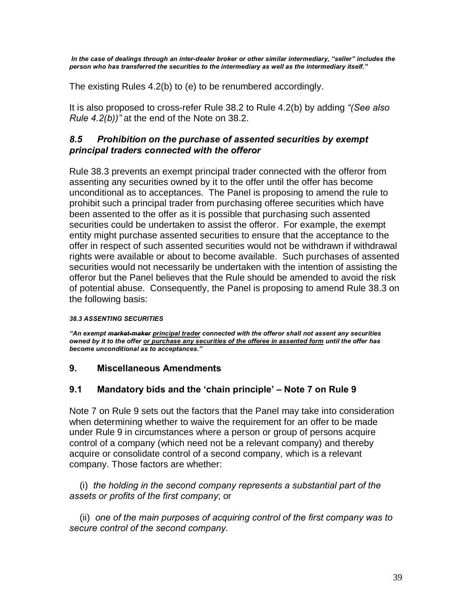*In the case of dealings through an inter-dealer broker or other similar intermediary, "seller" includes the person who has transferred the securities to the intermediary as well as the intermediary itself."*

The existing Rules 4.2(b) to (e) to be renumbered accordingly.

It is also proposed to cross-refer Rule 38.2 to Rule 4.2(b) by adding *"(See also Rule 4.2(b))"* at the end of the Note on 38.2.

# *8.5 Prohibition on the purchase of assented securities by exempt principal traders connected with the offeror*

Rule 38.3 prevents an exempt principal trader connected with the offeror from assenting any securities owned by it to the offer until the offer has become unconditional as to acceptances. The Panel is proposing to amend the rule to prohibit such a principal trader from purchasing offeree securities which have been assented to the offer as it is possible that purchasing such assented securities could be undertaken to assist the offeror. For example, the exempt entity might purchase assented securities to ensure that the acceptance to the offer in respect of such assented securities would not be withdrawn if withdrawal rights were available or about to become available. Such purchases of assented securities would not necessarily be undertaken with the intention of assisting the offeror but the Panel believes that the Rule should be amended to avoid the risk of potential abuse. Consequently, the Panel is proposing to amend Rule 38.3 on the following basis:

# *38.3 ASSENTING SECURITIES*

*"An exempt market-maker principal trader connected with the offeror shall not assent any securities owned by it to the offer or purchase any securities of the offeree in assented form until the offer has become unconditional as to acceptances."*

# **9. Miscellaneous Amendments**

# **9.1 Mandatory bids and the 'chain principle' – Note 7 on Rule 9**

Note 7 on Rule 9 sets out the factors that the Panel may take into consideration when determining whether to waive the requirement for an offer to be made under Rule 9 in circumstances where a person or group of persons acquire control of a company (which need not be a relevant company) and thereby acquire or consolidate control of a second company, which is a relevant company. Those factors are whether:

 (i) *the holding in the second company represents a substantial part of the assets or profits of the first company*; or

 (ii) *one of the main purposes of acquiring control of the first company was to secure control of the second company.*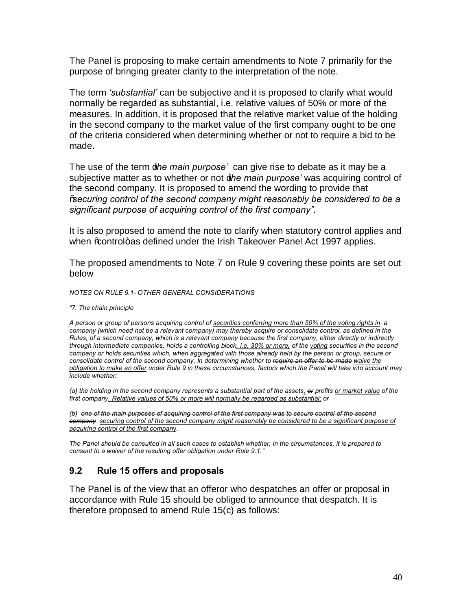The Panel is proposing to make certain amendments to Note 7 primarily for the purpose of bringing greater clarity to the interpretation of the note.

The term *'substantial'* can be subjective and it is proposed to clarify what would normally be regarded as substantial, i.e. relative values of 50% or more of the measures. In addition, it is proposed that the relative market value of the holding in the second company to the market value of the first company ought to be one of the criteria considered when determining whether or not to require a bid to be made*.*

The use of the term *the main purpose*<sup>*'*</sup> can give rise to debate as it may be a subjective matter as to whether or not **#he main purpose**' was acquiring control of the second company. It is proposed to amend the wording to provide that "*securing control of the second company might reasonably be considered to be a significant purpose of acquiring control of the first company"*.

It is also proposed to amend the note to clarify when statutory control applies and when % control+ as defined under the Irish Takeover Panel Act 1997 applies.

The proposed amendments to Note 7 on Rule 9 covering these points are set out below

*NOTES ON RULE 9.1- OTHER GENERAL CONSIDERATIONS*

*"7. The chain principle*

*A person or group of persons acquiring control of securities conferring more than 50% of the voting rights in a company (which need not be a relevant company) may thereby acquire or consolidate control, as defined in the Rules, of a second company, which is a relevant company because the first company, either directly or indirectly through intermediate companies, holds a controlling block, i.e. 30% or more, of the voting securities in the second company or holds securities which, when aggregated with those already held by the person or group, secure or consolidate control of the second company. In determining whether to require an offer to be made waive the obligation to make an offer under Rule 9 in these circumstances, factors which the Panel will take into account may include whether:*

*(a) the holding in the second company represents a substantial part of the assets, or profits or market value of the first company. Relative values of 50% or more will normally be regarded as substantial; or*

*(b) one of the main purposes of acquiring control of the first company was to secure control of the second company securing control of the second company might reasonably be considered to be a significant purpose of acquiring control of the first compan*y*.*

*The Panel should be consulted in all such cases to establish whether, in the circumstances, it is prepared to consent to a waiver of the resulting offer obligation under Rule 9.1."*

# **9.2 Rule 15 offers and proposals**

The Panel is of the view that an offeror who despatches an offer or proposal in accordance with Rule 15 should be obliged to announce that despatch. It is therefore proposed to amend Rule 15(c) as follows: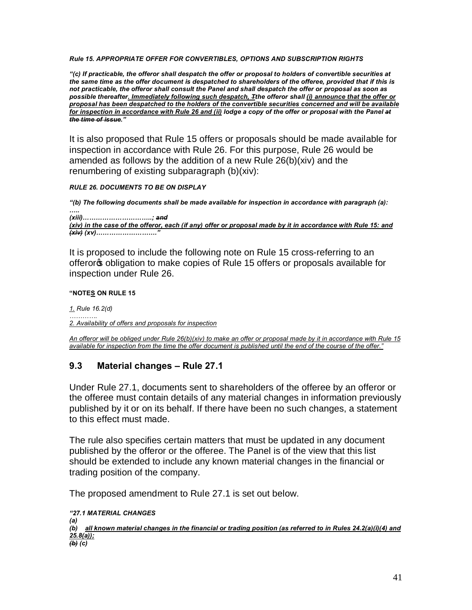*Rule 15. APPROPRIATE OFFER FOR CONVERTIBLES, OPTIONS AND SUBSCRIPTION RIGHTS*

*"(c) If practicable, the offeror shall despatch the offer or proposal to holders of convertible securities at the same time as the offer document is despatched to shareholders of the offeree, provided that if this is not practicable, the offeror shall consult the Panel and shall despatch the offer or proposal as soon as possible thereafter. Immediately following such despatch, Tthe offeror shall (i) announce that the offer or proposal has been despatched to the holders of the convertible securities concerned and will be available for inspection in accordance with Rule 26 and (ii) lodge a copy of the offer or proposal with the Panel at the time of issue."*

It is also proposed that Rule 15 offers or proposals should be made available for inspection in accordance with Rule 26. For this purpose, Rule 26 would be amended as follows by the addition of a new Rule 26(b)(xiv) and the renumbering of existing subparagraph (b)(xiv):

*RULE 26. DOCUMENTS TO BE ON DISPLAY*

*"(b) The following documents shall be made available for inspection in accordance with paragraph (a): ….. (xiii)…………………………..; and (xiv) in the case of the offeror, each (if any) offer or proposal made by it in accordance with Rule 15: and (xiv) (xv)………………………."*

It is proposed to include the following note on Rule 15 cross-referring to an offeror obligation to make copies of Rule 15 offers or proposals available for inspection under Rule 26.

# **"NOTES ON RULE 15**

*1. Rule 16.2(d)*

*…………. 2. Availability of offers and proposals for inspection*

*An offeror will be obliged under Rule 26(b)(xiv) to make an offer or proposal made by it in accordance with Rule 15 available for inspection from the time the offer document is published until the end of the course of the offer."*

# **9.3 Material changes – Rule 27.1**

Under Rule 27.1, documents sent to shareholders of the offeree by an offeror or the offeree must contain details of any material changes in information previously published by it or on its behalf. If there have been no such changes, a statement to this effect must made.

The rule also specifies certain matters that must be updated in any document published by the offeror or the offeree. The Panel is of the view that this list should be extended to include any known material changes in the financial or trading position of the company.

The proposed amendment to Rule 27.1 is set out below.

*"27.1 MATERIAL CHANGES (a) (b) all known material changes in the financial or trading position (as referred to in Rules 24.2(a)(i)(4) and 25.8(a)); (b) (c)*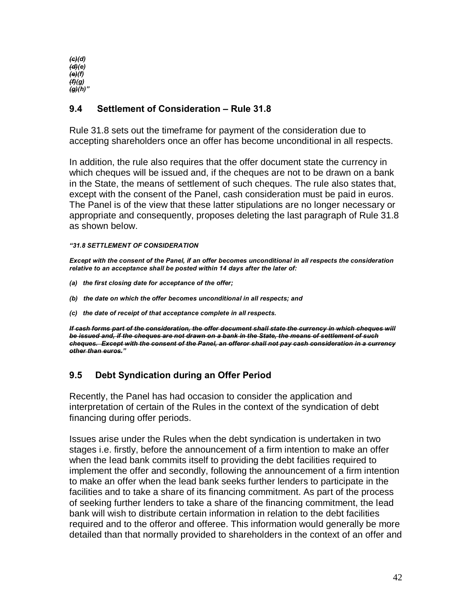*(c)(d) (d)(e) (e)(f) (f)(g) (g)(h)"* 

# **9.4 Settlement of Consideration – Rule 31.8**

Rule 31.8 sets out the timeframe for payment of the consideration due to accepting shareholders once an offer has become unconditional in all respects.

In addition, the rule also requires that the offer document state the currency in which cheques will be issued and, if the cheques are not to be drawn on a bank in the State, the means of settlement of such cheques. The rule also states that, except with the consent of the Panel, cash consideration must be paid in euros. The Panel is of the view that these latter stipulations are no longer necessary or appropriate and consequently, proposes deleting the last paragraph of Rule 31.8 as shown below.

# *"31.8 SETTLEMENT OF CONSIDERATION*

*Except with the consent of the Panel, if an offer becomes unconditional in all respects the consideration relative to an acceptance shall be posted within 14 days after the later of:*

- *(a) the first closing date for acceptance of the offer;*
- *(b) the date on which the offer becomes unconditional in all respects; and*
- *(c) the date of receipt of that acceptance complete in all respects.*

*If cash forms part of the consideration, the offer document shall state the currency in which cheques will be issued and, if the cheques are not drawn on a bank in the State, the means of settlement of such cheques. Except with the consent of the Panel, an offeror shall not pay cash consideration in a currency other than euros."*

# **9.5 Debt Syndication during an Offer Period**

Recently, the Panel has had occasion to consider the application and interpretation of certain of the Rules in the context of the syndication of debt financing during offer periods.

Issues arise under the Rules when the debt syndication is undertaken in two stages i.e. firstly, before the announcement of a firm intention to make an offer when the lead bank commits itself to providing the debt facilities required to implement the offer and secondly, following the announcement of a firm intention to make an offer when the lead bank seeks further lenders to participate in the facilities and to take a share of its financing commitment. As part of the process of seeking further lenders to take a share of the financing commitment, the lead bank will wish to distribute certain information in relation to the debt facilities required and to the offeror and offeree. This information would generally be more detailed than that normally provided to shareholders in the context of an offer and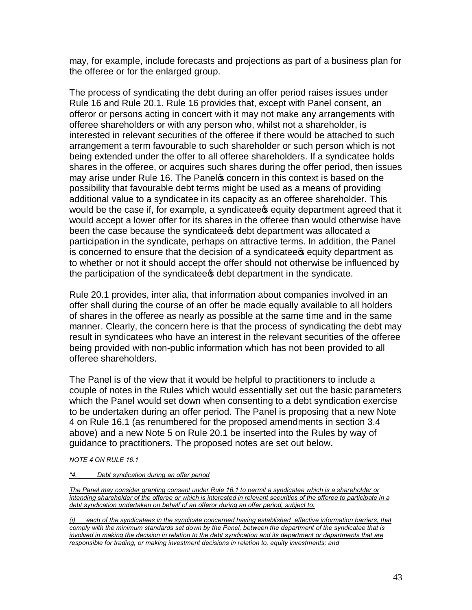may, for example, include forecasts and projections as part of a business plan for the offeree or for the enlarged group.

The process of syndicating the debt during an offer period raises issues under Rule 16 and Rule 20.1. Rule 16 provides that, except with Panel consent, an offeror or persons acting in concert with it may not make any arrangements with offeree shareholders or with any person who, whilst not a shareholder, is interested in relevant securities of the offeree if there would be attached to such arrangement a term favourable to such shareholder or such person which is not being extended under the offer to all offeree shareholders. If a syndicatee holds shares in the offeree, or acquires such shares during the offer period, then issues may arise under Rule 16. The Panel to concern in this context is based on the possibility that favourable debt terms might be used as a means of providing additional value to a syndicatee in its capacity as an offeree shareholder. This would be the case if, for example, a syndicatee **s** equity department agreed that it would accept a lower offer for its shares in the offeree than would otherwise have been the case because the syndicatee the debt department was allocated a participation in the syndicate, perhaps on attractive terms. In addition, the Panel is concerned to ensure that the decision of a syndicatee sequity department as to whether or not it should accept the offer should not otherwise be influenced by the participation of the syndicatees debt department in the syndicate.

Rule 20.1 provides, inter alia, that information about companies involved in an offer shall during the course of an offer be made equally available to all holders of shares in the offeree as nearly as possible at the same time and in the same manner. Clearly, the concern here is that the process of syndicating the debt may result in syndicatees who have an interest in the relevant securities of the offeree being provided with non-public information which has not been provided to all offeree shareholders.

The Panel is of the view that it would be helpful to practitioners to include a couple of notes in the Rules which would essentially set out the basic parameters which the Panel would set down when consenting to a debt syndication exercise to be undertaken during an offer period. The Panel is proposing that a new Note 4 on Rule 16.1 (as renumbered for the proposed amendments in section 3.4 above) and a new Note 5 on Rule 20.1 be inserted into the Rules by way of guidance to practitioners. The proposed notes are set out below**.**

*NOTE 4 ON RULE 16.1*

#### *"4. Debt syndication during an offer period*

*The Panel may consider granting consent under Rule 16.1 to permit a syndicatee which is a shareholder or intending shareholder of the offeree or which is interested in relevant securities of the offeree to participate in a debt syndication undertaken on behalf of an offeror during an offer period, subject to:*

*(i) each of the syndicatees in the syndicate concerned having established effective information barriers, that comply with the minimum standards set down by the Panel, between the department of the syndicatee that is involved in making the decision in relation to the debt syndication and its department or departments that are responsible for trading, or making investment decisions in relation to, equity investments; and*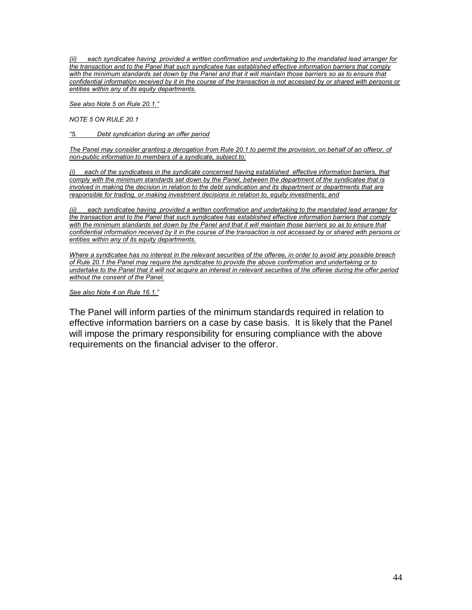*(ii) each syndicatee having provided a written confirmation and undertaking to the mandated lead arranger for the transaction and to the Panel that such syndicatee has established effective information barriers that comply*  with the minimum standards set down by the Panel and that it will maintain those barriers so as to ensure that *confidential information received by it in the course of the transaction is not accessed by or shared with persons or entities within any of its equity departments.*

*See also Note 5 on Rule 20.1."*

*NOTE 5 ON RULE 20.1*

*"5. Debt syndication during an offer period*

*The Panel may consider granting a derogation from Rule 20.1 to permit the provision, on behalf of an offeror, of non-public information to members of a syndicate, subject to:*

*(i) each of the syndicatees in the syndicate concerned having established effective information barriers, that comply with the minimum standards set down by the Panel, between the department of the syndicatee that is involved in making the decision in relation to the debt syndication and its department or departments that are responsible for trading, or making investment decisions in relation to, equity investments; and*

*(ii) each syndicatee having provided a written confirmation and undertaking to the mandated lead arranger for the transaction and to the Panel that such syndicatee has established effective information barriers that comply*  with the minimum standards set down by the Panel and that it will maintain those barriers so as to ensure that *confidential information received by it in the course of the transaction is not accessed by or shared with persons or entities within any of its equity departments.*

*Where a syndicatee has no interest in the relevant securities of the offeree, in order to avoid any possible breach of Rule 20.1 the Panel may require the syndicatee to provide the above confirmation and undertaking or to undertake to the Panel that it will not acquire an interest in relevant securities of the offeree during the offer period without the consent of the Panel.*

*See also Note 4 on Rule 16.1."*

The Panel will inform parties of the minimum standards required in relation to effective information barriers on a case by case basis. It is likely that the Panel will impose the primary responsibility for ensuring compliance with the above requirements on the financial adviser to the offeror.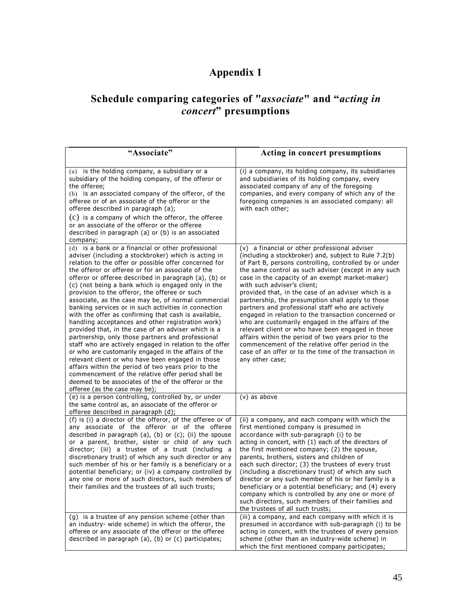# **Appendix 1**

# **Schedule comparing categories of "***associate***" and "***acting in concert***" presumptions**

| "Associate"                                                                                                                                                                                                                                                                                                                                                                                                                                                                                                                                                                                                                                                                                                                                                                                                                                                                                                                                                                                                                                                                                                    | Acting in concert presumptions                                                                                                                                                                                                                                                                                                                                                                                                                                                                                                                                                                                                                                                                                                                                                                                                     |
|----------------------------------------------------------------------------------------------------------------------------------------------------------------------------------------------------------------------------------------------------------------------------------------------------------------------------------------------------------------------------------------------------------------------------------------------------------------------------------------------------------------------------------------------------------------------------------------------------------------------------------------------------------------------------------------------------------------------------------------------------------------------------------------------------------------------------------------------------------------------------------------------------------------------------------------------------------------------------------------------------------------------------------------------------------------------------------------------------------------|------------------------------------------------------------------------------------------------------------------------------------------------------------------------------------------------------------------------------------------------------------------------------------------------------------------------------------------------------------------------------------------------------------------------------------------------------------------------------------------------------------------------------------------------------------------------------------------------------------------------------------------------------------------------------------------------------------------------------------------------------------------------------------------------------------------------------------|
| (a) is the holding company, a subsidiary or a<br>subsidiary of the holding company, of the offeror or<br>the offeree:<br>(b) is an associated company of the offeror, of the<br>offeree or of an associate of the offeror or the<br>offeree described in paragraph (a);<br>$(c)$ is a company of which the offeror, the offeree<br>or an associate of the offeror or the offeree<br>described in paragraph (a) or (b) is an associated<br>company;                                                                                                                                                                                                                                                                                                                                                                                                                                                                                                                                                                                                                                                             | (i) a company, its holding company, its subsidiaries<br>and subsidiaries of its holding company, every<br>associated company of any of the foregoing<br>companies, and every company of which any of the<br>foregoing companies is an associated company: all<br>with each other;                                                                                                                                                                                                                                                                                                                                                                                                                                                                                                                                                  |
| (d) is a bank or a financial or other professional<br>adviser (including a stockbroker) which is acting in<br>relation to the offer or possible offer concerned for<br>the offeror or offeree or for an associate of the<br>offeror or offeree described in paragraph (a), (b) or<br>(c) (not being a bank which is engaged only in the<br>provision to the offeror, the offeree or such<br>associate, as the case may be, of normal commercial<br>banking services or in such activities in connection<br>with the offer as confirming that cash is available,<br>handling acceptances and other registration work)<br>provided that, in the case of an adviser which is a<br>partnership, only those partners and professional<br>staff who are actively engaged in relation to the offer<br>or who are customarily engaged in the affairs of the<br>relevant client or who have been engaged in those<br>affairs within the period of two years prior to the<br>commencement of the relative offer period shall be<br>deemed to be associates of the of the offeror or the<br>offeree (as the case may be); | (v) a financial or other professional adviser<br>(including a stockbroker) and, subject to Rule 7.2(b)<br>of Part B, persons controlling, controlled by or under<br>the same control as such adviser (except in any such<br>case in the capacity of an exempt market-maker)<br>with such adviser's client;<br>provided that, in the case of an adviser which is a<br>partnership, the presumption shall apply to those<br>partners and professional staff who are actively<br>engaged in relation to the transaction concerned or<br>who are customarily engaged in the affairs of the<br>relevant client or who have been engaged in those<br>affairs within the period of two years prior to the<br>commencement of the relative offer period in the<br>case of an offer or to the time of the transaction in<br>any other case; |
| (e) is a person controlling, controlled by, or under<br>the same control as, an associate of the offeror or<br>offeree described in paragraph (d);                                                                                                                                                                                                                                                                                                                                                                                                                                                                                                                                                                                                                                                                                                                                                                                                                                                                                                                                                             | $(v)$ as above                                                                                                                                                                                                                                                                                                                                                                                                                                                                                                                                                                                                                                                                                                                                                                                                                     |
| (f) is (i) a director of the offeror, of the offeree or of<br>any associate of the offeror or of the offeree<br>described in paragraph (a), (b) or (c); (ii) the spouse<br>or a parent, brother, sister or child of any such<br>director; (iii) a trustee of a trust (including a<br>discretionary trust) of which any such director or any<br>such member of his or her family is a beneficiary or a<br>potential beneficiary; or (iv) a company controlled by<br>any one or more of such directors, such members of<br>their families and the trustees of all such trusts;                                                                                                                                                                                                                                                                                                                                                                                                                                                                                                                                   | (ii) a company, and each company with which the<br>first mentioned company is presumed in<br>accordance with sub-paragraph (i) to be<br>acting in concert, with (1) each of the directors of<br>the first mentioned company; (2) the spouse,<br>parents, brothers, sisters and children of<br>each such director; (3) the trustees of every trust<br>(including a discretionary trust) of which any such<br>director or any such member of his or her family is a<br>beneficiary or a potential beneficiary; and (4) every<br>company which is controlled by any one or more of<br>such directors, such members of their families and<br>the trustees of all such trusts;                                                                                                                                                          |
| (g) is a trustee of any pension scheme (other than<br>an industry- wide scheme) in which the offeror, the<br>offeree or any associate of the offeror or the offeree<br>described in paragraph (a), (b) or (c) participates;                                                                                                                                                                                                                                                                                                                                                                                                                                                                                                                                                                                                                                                                                                                                                                                                                                                                                    | (iii) a company, and each company with which it is<br>presumed in accordance with sub-paragraph (i) to be<br>acting in concert, with the trustees of every pension<br>scheme (other than an industry-wide scheme) in<br>which the first mentioned company participates;                                                                                                                                                                                                                                                                                                                                                                                                                                                                                                                                                            |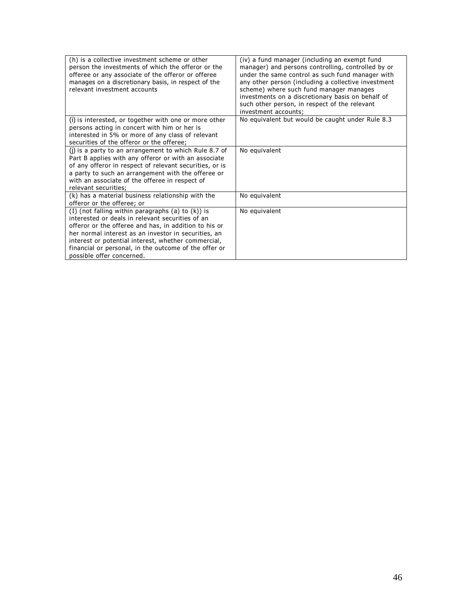| (h) is a collective investment scheme or other<br>person the investments of which the offeror or the<br>offeree or any associate of the offeror or offeree<br>manages on a discretionary basis, in respect of the<br>relevant investment accounts | (iv) a fund manager (including an exempt fund<br>manager) and persons controlling, controlled by or<br>under the same control as such fund manager with<br>any other person (including a collective investment<br>scheme) where such fund manager manages<br>investments on a discretionary basis on behalf of<br>such other person, in respect of the relevant<br>investment accounts; |
|---------------------------------------------------------------------------------------------------------------------------------------------------------------------------------------------------------------------------------------------------|-----------------------------------------------------------------------------------------------------------------------------------------------------------------------------------------------------------------------------------------------------------------------------------------------------------------------------------------------------------------------------------------|
| (i) is interested, or together with one or more other                                                                                                                                                                                             | No equivalent but would be caught under Rule 8.3                                                                                                                                                                                                                                                                                                                                        |
| persons acting in concert with him or her is                                                                                                                                                                                                      |                                                                                                                                                                                                                                                                                                                                                                                         |
| interested in 5% or more of any class of relevant                                                                                                                                                                                                 |                                                                                                                                                                                                                                                                                                                                                                                         |
| securities of the offeror or the offeree;                                                                                                                                                                                                         |                                                                                                                                                                                                                                                                                                                                                                                         |
| (i) is a party to an arrangement to which Rule 8.7 of                                                                                                                                                                                             | No equivalent                                                                                                                                                                                                                                                                                                                                                                           |
| Part B applies with any offeror or with an associate                                                                                                                                                                                              |                                                                                                                                                                                                                                                                                                                                                                                         |
| of any offeror in respect of relevant securities, or is                                                                                                                                                                                           |                                                                                                                                                                                                                                                                                                                                                                                         |
| a party to such an arrangement with the offeree or                                                                                                                                                                                                |                                                                                                                                                                                                                                                                                                                                                                                         |
| with an associate of the offeree in respect of                                                                                                                                                                                                    |                                                                                                                                                                                                                                                                                                                                                                                         |
| relevant securities;                                                                                                                                                                                                                              |                                                                                                                                                                                                                                                                                                                                                                                         |
| (k) has a material business relationship with the                                                                                                                                                                                                 | No equivalent                                                                                                                                                                                                                                                                                                                                                                           |
| offeror or the offeree; or                                                                                                                                                                                                                        |                                                                                                                                                                                                                                                                                                                                                                                         |
| (I) (not falling within paragraphs (a) to (k)) is                                                                                                                                                                                                 | No equivalent                                                                                                                                                                                                                                                                                                                                                                           |
| interested or deals in relevant securities of an                                                                                                                                                                                                  |                                                                                                                                                                                                                                                                                                                                                                                         |
| offeror or the offeree and has, in addition to his or                                                                                                                                                                                             |                                                                                                                                                                                                                                                                                                                                                                                         |
| her normal interest as an investor in securities, an                                                                                                                                                                                              |                                                                                                                                                                                                                                                                                                                                                                                         |
| interest or potential interest, whether commercial,                                                                                                                                                                                               |                                                                                                                                                                                                                                                                                                                                                                                         |
| financial or personal, in the outcome of the offer or                                                                                                                                                                                             |                                                                                                                                                                                                                                                                                                                                                                                         |
| possible offer concerned.                                                                                                                                                                                                                         |                                                                                                                                                                                                                                                                                                                                                                                         |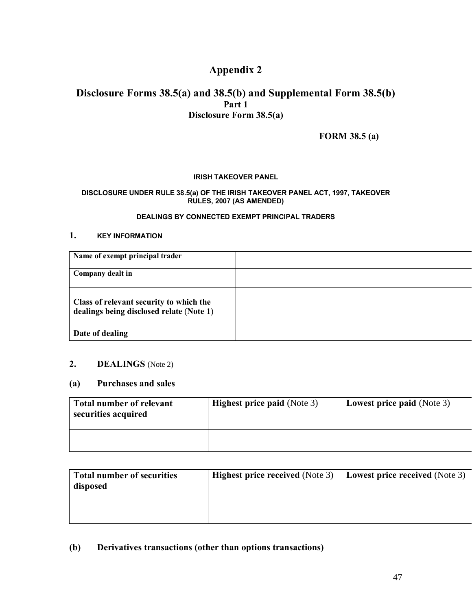# **Appendix 2**

# **Disclosure Forms 38.5(a) and 38.5(b) and Supplemental Form 38.5(b) Part 1 Disclosure Form 38.5(a)**

**FORM 38.5 (a)**

# **IRISH TAKEOVER PANEL**

#### **DISCLOSURE UNDER RULE 38.5(a) OF THE IRISH TAKEOVER PANEL ACT, 1997, TAKEOVER RULES, 2007 (AS AMENDED)**

# **DEALINGS BY CONNECTED EXEMPT PRINCIPAL TRADERS**

# **1. KEY INFORMATION**

| Name of exempt principal trader                                                     |  |
|-------------------------------------------------------------------------------------|--|
| Company dealt in                                                                    |  |
| Class of relevant security to which the<br>dealings being disclosed relate (Note 1) |  |
| Date of dealing                                                                     |  |

# **2. DEALINGS** (Note 2)

# **(a) Purchases and sales**

| <b>Total number of relevant</b><br>securities acquired | <b>Highest price paid (Note 3)</b> | <b>Lowest price paid (Note 3)</b> |
|--------------------------------------------------------|------------------------------------|-----------------------------------|
|                                                        |                                    |                                   |

| <b>Total number of securities</b><br>disposed | <b>Highest price received (Note 3)</b> | Lowest price received (Note 3) |
|-----------------------------------------------|----------------------------------------|--------------------------------|
|                                               |                                        |                                |

# **(b) Derivatives transactions (other than options transactions)**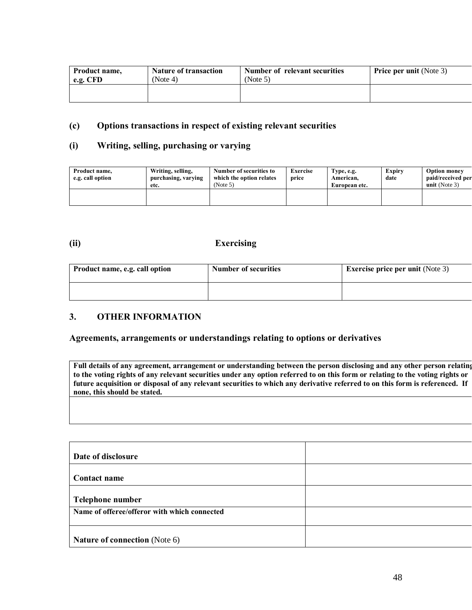| Product name, | <b>Nature of transaction</b> | Number of relevant securities | <b>Price per unit (Note 3)</b> |
|---------------|------------------------------|-------------------------------|--------------------------------|
| e.g. CFD      | (Note 4)                     | (Note 5)                      |                                |
|               |                              |                               |                                |

# **(c) Options transactions in respect of existing relevant securities**

# **(i) Writing, selling, purchasing or varying**

| Product name,<br>e.g. call option | Writing, selling,<br>purchasing, varying<br>etc. | Number of securities to<br>which the option relates<br>(Note 5) | Exercise<br>price | Type, e.g.<br>American.<br>European etc. | Expiry<br>date | <b>Option money</b><br>paid/received per<br>unit (Note $3$ ) |
|-----------------------------------|--------------------------------------------------|-----------------------------------------------------------------|-------------------|------------------------------------------|----------------|--------------------------------------------------------------|
|                                   |                                                  |                                                                 |                   |                                          |                |                                                              |

# **(ii) Exercising**

| Product name, e.g. call option | <b>Number of securities</b> | <b>Exercise price per unit (Note 3)</b> |
|--------------------------------|-----------------------------|-----------------------------------------|
|                                |                             |                                         |

# **3. OTHER INFORMATION**

# **Agreements, arrangements or understandings relating to options or derivatives**

**Full details of any agreement, arrangement or understanding between the person disclosing and any other person relating to the voting rights of any relevant securities under any option referred to on this form or relating to the voting rights or future acquisition or disposal of any relevant securities to which any derivative referred to on this form is referenced. If none, this should be stated.** 

| Date of disclosure                           |  |
|----------------------------------------------|--|
| Contact name                                 |  |
| Telephone number                             |  |
| Name of offeree/offeror with which connected |  |
| <b>Nature of connection</b> (Note 6)         |  |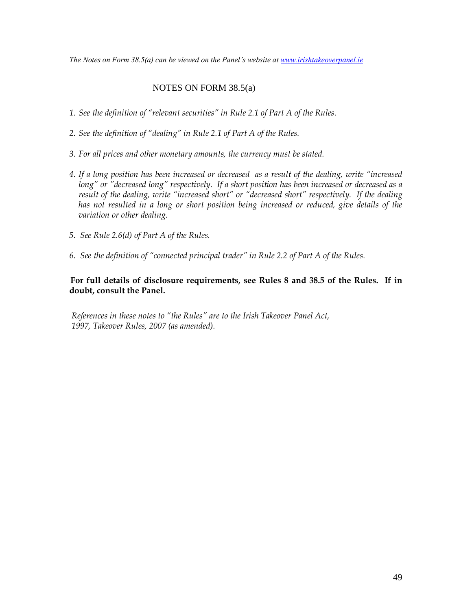*The Notes on Form 38.5(a) can be viewed on the Panel's website at [www.irishtakeoverpanel.ie](http://www.irishtakeoverpanel.ie/)*

# NOTES ON FORM 38.5(a)

- *1. See the definition of "relevant securities" in Rule 2.1 of Part A of the Rules.*
- *2. See the definition of "dealing" in Rule 2.1 of Part A of the Rules.*
- *3. For all prices and other monetary amounts, the currency must be stated.*
- *4. If a long position has been increased or decreased as a result of the dealing, write "increased long" or "decreased long" respectively. If a short position has been increased or decreased as a result of the dealing, write "increased short" or "decreased short" respectively. If the dealing has not resulted in a long or short position being increased or reduced, give details of the variation or other dealing.*
- *5. See Rule 2.6(d) of Part A of the Rules.*
- *6. See the definition of "connected principal trader" in Rule 2.2 of Part A of the Rules*.

# **For full details of disclosure requirements, see Rules 8 and 38.5 of the Rules. If in doubt, consult the Panel.**

*References in these notes to "the Rules" are to the Irish Takeover Panel Act, 1997, Takeover Rules, 2007 (as amended).*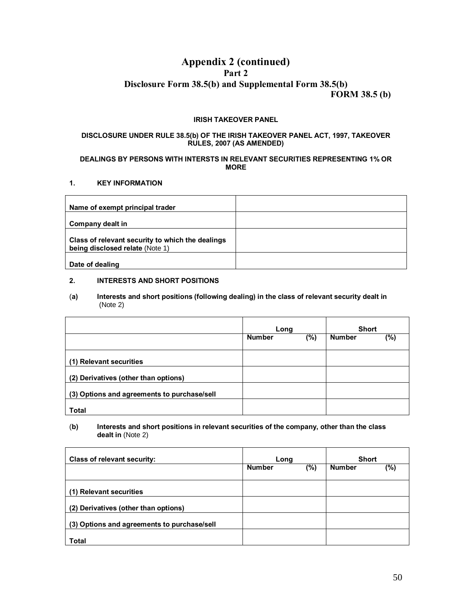# **Appendix 2 (continued) Part 2 Disclosure Form 38.5(b) and Supplemental Form 38.5(b)**

**FORM 38.5 (b)**

#### **IRISH TAKEOVER PANEL**

#### **DISCLOSURE UNDER RULE 38.5(b) OF THE IRISH TAKEOVER PANEL ACT, 1997, TAKEOVER RULES, 2007 (AS AMENDED)**

#### **DEALINGS BY PERSONS WITH INTERSTS IN RELEVANT SECURITIES REPRESENTING 1% OR MORE**

#### **1. KEY INFORMATION**

| Name of exempt principal trader                                                     |  |
|-------------------------------------------------------------------------------------|--|
| Company dealt in                                                                    |  |
| Class of relevant security to which the dealings<br>being disclosed relate (Note 1) |  |
| Date of dealing                                                                     |  |

#### **2. INTERESTS AND SHORT POSITIONS**

#### (**a) Interests and short positions (following dealing) in the class of relevant security dealt in** (Note 2)

|                                             | Long                    |  | <b>Short</b>  |     |
|---------------------------------------------|-------------------------|--|---------------|-----|
|                                             | $(\%)$<br><b>Number</b> |  | <b>Number</b> | (%) |
| (1) Relevant securities                     |                         |  |               |     |
| (2) Derivatives (other than options)        |                         |  |               |     |
| (3) Options and agreements to purchase/sell |                         |  |               |     |
| <b>Total</b>                                |                         |  |               |     |

#### (**b) Interests and short positions in relevant securities of the company, other than the class dealt in** (Note 2)

| <b>Class of relevant security:</b>          | Long                 |  | <b>Short</b>  |     |
|---------------------------------------------|----------------------|--|---------------|-----|
|                                             | <b>Number</b><br>(%) |  | <b>Number</b> | (%) |
| (1) Relevant securities                     |                      |  |               |     |
| (2) Derivatives (other than options)        |                      |  |               |     |
| (3) Options and agreements to purchase/sell |                      |  |               |     |
| <b>Total</b>                                |                      |  |               |     |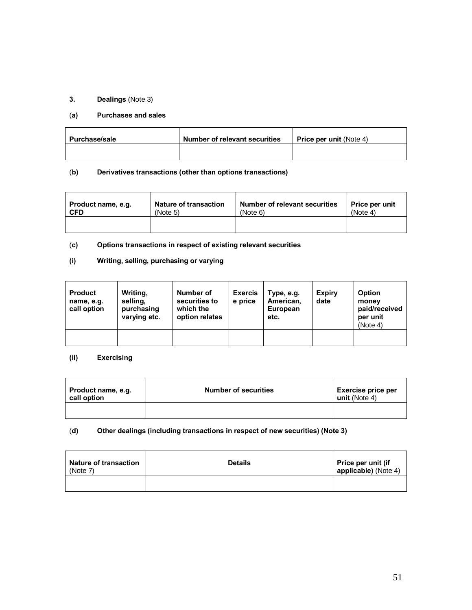# **3. Dealings** (Note 3)

#### (**a) Purchases and sales**

| Purchase/sale | Number of relevant securities |  |
|---------------|-------------------------------|--|
|               |                               |  |

# (**b) Derivatives transactions (other than options transactions)**

| Product name, e.g. | <b>Nature of transaction</b> | <b>Number of relevant securities</b> | Price per unit |
|--------------------|------------------------------|--------------------------------------|----------------|
| <b>CFD</b>         | (Note 5)                     | (Note 6)                             | (Note 4)       |
|                    |                              |                                      |                |

# (**c) Options transactions in respect of existing relevant securities**

# **(i) Writing, selling, purchasing or varying**

| <b>Product</b><br>name, e.g.<br>call option | Writing,<br>selling,<br>purchasing<br>varying etc. | Number of<br>securities to<br>which the<br>option relates | <b>Exercis</b><br>e price | Type, e.g.<br>American,<br>European<br>etc. | <b>Expiry</b><br>date | <b>Option</b><br>money<br>paid/received<br>per unit<br>(Note 4) |
|---------------------------------------------|----------------------------------------------------|-----------------------------------------------------------|---------------------------|---------------------------------------------|-----------------------|-----------------------------------------------------------------|
|                                             |                                                    |                                                           |                           |                                             |                       |                                                                 |

# **(ii) Exercising**

| Product name, e.g.<br>call option | <b>Number of securities</b> | Exercise price per<br>unit (Note 4) |
|-----------------------------------|-----------------------------|-------------------------------------|
|                                   |                             |                                     |

# (**d) Other dealings (including transactions in respect of new securities) (Note 3)**

| <b>Nature of transaction</b><br>(Note 7) | <b>Details</b> | <b>Price per unit (if</b><br>applicable) (Note 4) |
|------------------------------------------|----------------|---------------------------------------------------|
|                                          |                |                                                   |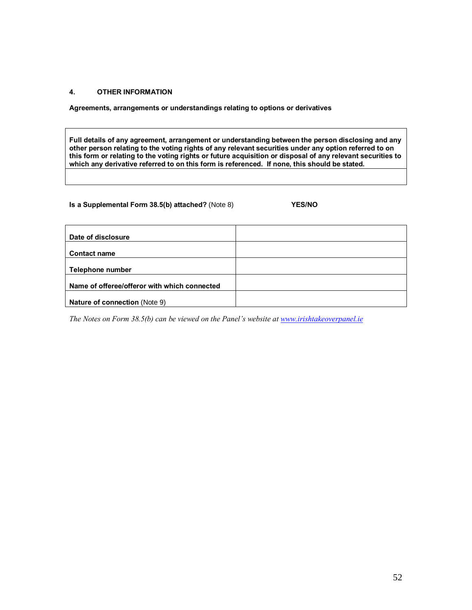#### **4. OTHER INFORMATION**

**Agreements, arrangements or understandings relating to options or derivatives**

**Full details of any agreement, arrangement or understanding between the person disclosing and any other person relating to the voting rights of any relevant securities under any option referred to on this form or relating to the voting rights or future acquisition or disposal of any relevant securities to which any derivative referred to on this form is referenced. If none, this should be stated.**

# **Is a Supplemental Form 38.5(b) attached?** (Note 8) **YES/NO**

| Date of disclosure                           |  |
|----------------------------------------------|--|
|                                              |  |
| <b>Contact name</b>                          |  |
|                                              |  |
| Telephone number                             |  |
|                                              |  |
| Name of offeree/offeror with which connected |  |
|                                              |  |
| Nature of connection (Note 9)                |  |

*The Notes on Form 38.5(b) can be viewed on the Panel's website at [www.irishtakeoverpanel.ie](http://www.irishtakeoverpanel.ie/)*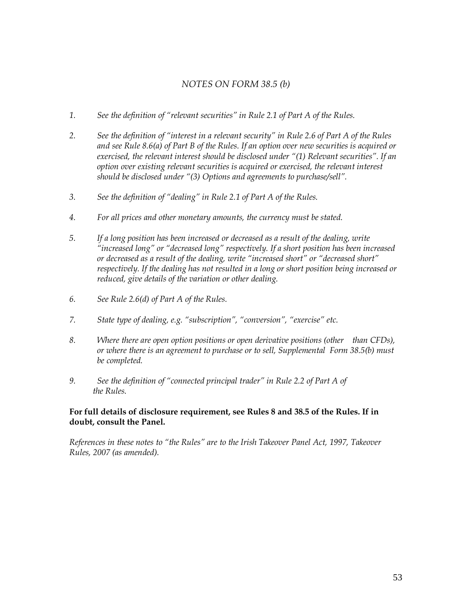# *NOTES ON FORM 38.5 (b)*

- *1. See the definition of "relevant securities" in Rule 2.1 of Part A of the Rules.*
- *2. See the definition of "interest in a relevant security" in Rule 2.6 of Part A of the Rules and see Rule 8.6(a) of Part B of the Rules. If an option over new securities is acquired or exercised, the relevant interest should be disclosed under "(1) Relevant securities". If an option over existing relevant securities is acquired or exercised, the relevant interest should be disclosed under "(3) Options and agreements to purchase/sell".*
- *3. See the definition of "dealing" in Rule 2.1 of Part A of the Rules.*
- *4. For all prices and other monetary amounts, the currency must be stated.*
- *5. If a long position has been increased or decreased as a result of the dealing, write "increased long" or "decreased long" respectively. If a short position has been increased or decreased as a result of the dealing, write "increased short" or "decreased short" respectively. If the dealing has not resulted in a long or short position being increased or reduced, give details of the variation or other dealing.*
- *6. See Rule 2.6(d) of Part A of the Rules.*
- *7. State type of dealing, e.g. "subscription", "conversion", "exercise" etc.*
- *8. Where there are open option positions or open derivative positions (other than CFDs), or where there is an agreement to purchase or to sell, Supplemental Form 38.5(b) must be completed.*
- *9. See the definition of "connected principal trader" in Rule 2.2 of Part A of the Rules.*

# **For full details of disclosure requirement, see Rules 8 and 38.5 of the Rules. If in doubt, consult the Panel.**

*References in these notes to "the Rules" are to the Irish Takeover Panel Act, 1997, Takeover Rules, 2007 (as amended).*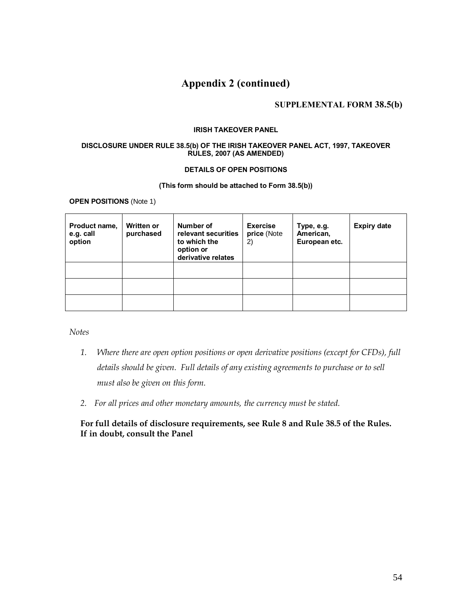# **Appendix 2 (continued)**

# **SUPPLEMENTAL FORM 38.5(b)**

#### **IRISH TAKEOVER PANEL**

#### **DISCLOSURE UNDER RULE 38.5(b) OF THE IRISH TAKEOVER PANEL ACT, 1997, TAKEOVER RULES, 2007 (AS AMENDED)**

# **DETAILS OF OPEN POSITIONS**

#### **(This form should be attached to Form 38.5(b))**

**OPEN POSITIONS** (Note 1)

| Product name,<br>e.g. call<br>option | <b>Written or</b><br>purchased | Number of<br>relevant securities<br>to which the<br>option or<br>derivative relates | <b>Exercise</b><br>price (Note<br>2) | Type, e.g.<br>American,<br>European etc. | <b>Expiry date</b> |
|--------------------------------------|--------------------------------|-------------------------------------------------------------------------------------|--------------------------------------|------------------------------------------|--------------------|
|                                      |                                |                                                                                     |                                      |                                          |                    |
|                                      |                                |                                                                                     |                                      |                                          |                    |
|                                      |                                |                                                                                     |                                      |                                          |                    |

*Notes*

- *1. Where there are open option positions or open derivative positions (except for CFDs), full details should be given. Full details of any existing agreements to purchase or to sell must also be given on this form.*
- *2. For all prices and other monetary amounts, the currency must be stated.*

# **For full details of disclosure requirements, see Rule 8 and Rule 38.5 of the Rules. If in doubt, consult the Panel**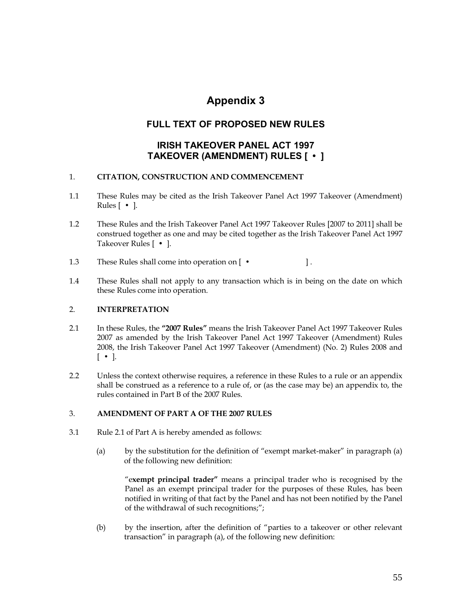# **Appendix 3**

# **FULL TEXT OF PROPOSED NEW RULES**

# **IRISH TAKEOVER PANEL ACT 1997 TAKEOVER (AMENDMENT) RULES [ • ]**

# 1. **CITATION, CONSTRUCTION AND COMMENCEMENT**

- 1.1 These Rules may be cited as the Irish Takeover Panel Act 1997 Takeover (Amendment) Rules [ **•** ].
- 1.2 These Rules and the Irish Takeover Panel Act 1997 Takeover Rules [2007 to 2011] shall be construed together as one and may be cited together as the Irish Takeover Panel Act 1997 Takeover Rules [ • ].
- 1.3 These Rules shall come into operation on [ **•** ] .
- 1.4 These Rules shall not apply to any transaction which is in being on the date on which these Rules come into operation.

# 2. **INTERPRETATION**

- 2.1 In these Rules, the **"2007 Rules"** means the Irish Takeover Panel Act 1997 Takeover Rules 2007 as amended by the Irish Takeover Panel Act 1997 Takeover (Amendment) Rules 2008, the Irish Takeover Panel Act 1997 Takeover (Amendment) (No. 2) Rules 2008 and [ **•** ].
- 2.2 Unless the context otherwise requires, a reference in these Rules to a rule or an appendix shall be construed as a reference to a rule of, or (as the case may be) an appendix to, the rules contained in Part B of the 2007 Rules.

# 3. **AMENDMENT OF PART A OF THE 2007 RULES**

- 3.1 Rule 2.1 of Part A is hereby amended as follows:
	- (a) by the substitution for the definition of "exempt market-maker" in paragraph (a) of the following new definition:

"e**xempt principal trader"** means a principal trader who is recognised by the Panel as an exempt principal trader for the purposes of these Rules, has been notified in writing of that fact by the Panel and has not been notified by the Panel of the withdrawal of such recognitions;";

(b) by the insertion, after the definition of "parties to a takeover or other relevant transaction" in paragraph (a), of the following new definition: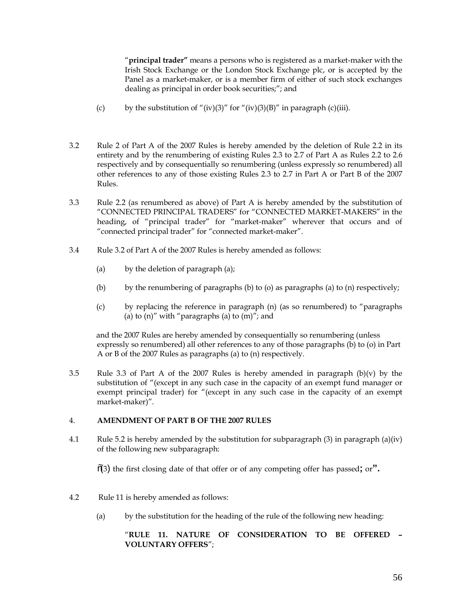"**principal trader"** means a persons who is registered as a market-maker with the Irish Stock Exchange or the London Stock Exchange plc, or is accepted by the Panel as a market-maker, or is a member firm of either of such stock exchanges dealing as principal in order book securities;"; and

- (c) by the substitution of "(iv)(3)" for "(iv)(3)(B)" in paragraph (c)(iii).
- 3.2 Rule 2 of Part A of the 2007 Rules is hereby amended by the deletion of Rule 2.2 in its entirety and by the renumbering of existing Rules 2.3 to 2.7 of Part A as Rules 2.2 to 2.6 respectively and by consequentially so renumbering (unless expressly so renumbered) all other references to any of those existing Rules 2.3 to 2.7 in Part A or Part B of the 2007 Rules.
- 3.3 Rule 2.2 (as renumbered as above) of Part A is hereby amended by the substitution of "CONNECTED PRINCIPAL TRADERS" for "CONNECTED MARKET-MAKERS" in the heading, of "principal trader" for "market-maker" wherever that occurs and of "connected principal trader" for "connected market-maker".
- 3.4 Rule 3.2 of Part A of the 2007 Rules is hereby amended as follows:
	- (a) by the deletion of paragraph (a);
	- (b) by the renumbering of paragraphs (b) to (o) as paragraphs (a) to (n) respectively;
	- (c) by replacing the reference in paragraph (n) (as so renumbered) to "paragraphs (a) to  $(n)''$  with "paragraphs (a) to  $(m)''$ ; and

and the 2007 Rules are hereby amended by consequentially so renumbering (unless expressly so renumbered) all other references to any of those paragraphs (b) to (o) in Part A or B of the 2007 Rules as paragraphs (a) to (n) respectively.

3.5 Rule 3.3 of Part A of the 2007 Rules is hereby amended in paragraph  $(b)(v)$  by the substitution of "(except in any such case in the capacity of an exempt fund manager or exempt principal trader) for "(except in any such case in the capacity of an exempt market-maker)".

# 4. **AMENDMENT OF PART B OF THE 2007 RULES**

4.1 Rule 5.2 is hereby amended by the substitution for subparagraph (3) in paragraph (a)(iv) of the following new subparagraph:

"(3) the first closing date of that offer or of any competing offer has passed**;** or**".**

- 4.2Rule 11 is hereby amended as follows:
	- (a) by the substitution for the heading of the rule of the following new heading:

# "**RULE 11. NATURE OF CONSIDERATION TO BE OFFERED – VOLUNTARY OFFERS**";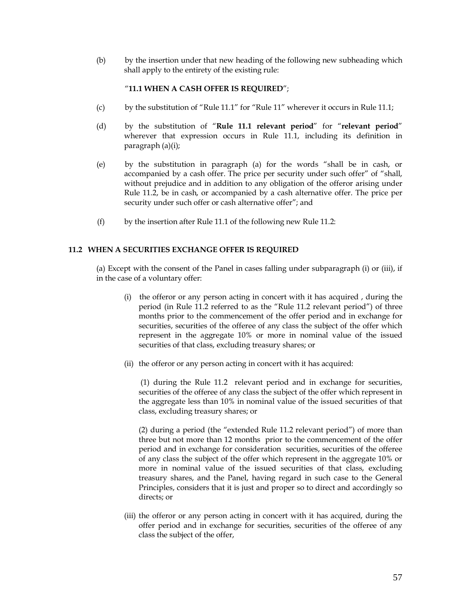(b) by the insertion under that new heading of the following new subheading which shall apply to the entirety of the existing rule:

# "**11.1 WHEN A CASH OFFER IS REQUIRED**";

- (c) by the substitution of "Rule  $11.1$ " for "Rule  $11$ " wherever it occurs in Rule  $11.1$ ;
- (d) by the substitution of "**Rule 11.1 relevant period**" for "**relevant period**" wherever that expression occurs in Rule 11.1, including its definition in paragraph (a)(i);
- (e) by the substitution in paragraph (a) for the words "shall be in cash, or accompanied by a cash offer. The price per security under such offer" of "shall, without prejudice and in addition to any obligation of the offeror arising under Rule 11.2, be in cash, or accompanied by a cash alternative offer. The price per security under such offer or cash alternative offer"; and
- (f) by the insertion after Rule 11.1 of the following new Rule 11.2:

# **11.2 WHEN A SECURITIES EXCHANGE OFFER IS REQUIRED**

(a) Except with the consent of the Panel in cases falling under subparagraph (i) or (iii), if in the case of a voluntary offer:

- (i) the offeror or any person acting in concert with it has acquired , during the period (in Rule 11.2 referred to as the "Rule 11.2 relevant period") of three months prior to the commencement of the offer period and in exchange for securities, securities of the offeree of any class the subject of the offer which represent in the aggregate 10% or more in nominal value of the issued securities of that class, excluding treasury shares; or
- (ii) the offeror or any person acting in concert with it has acquired:

(1) during the Rule 11.2 relevant period and in exchange for securities, securities of the offeree of any class the subject of the offer which represent in the aggregate less than 10% in nominal value of the issued securities of that class, excluding treasury shares; or

(2) during a period (the "extended Rule 11.2 relevant period") of more than three but not more than 12 months prior to the commencement of the offer period and in exchange for consideration securities, securities of the offeree of any class the subject of the offer which represent in the aggregate 10% or more in nominal value of the issued securities of that class, excluding treasury shares, and the Panel, having regard in such case to the General Principles, considers that it is just and proper so to direct and accordingly so directs; or

(iii) the offeror or any person acting in concert with it has acquired, during the offer period and in exchange for securities, securities of the offeree of any class the subject of the offer,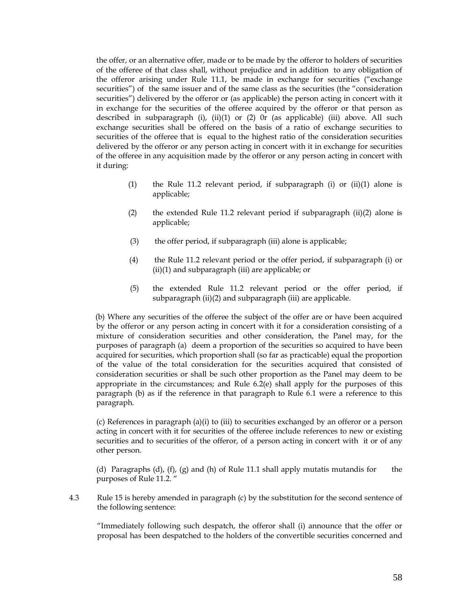the offer, or an alternative offer, made or to be made by the offeror to holders of securities of the offeree of that class shall, without prejudice and in addition to any obligation of the offeror arising under Rule 11.1, be made in exchange for securities ("exchange securities") of the same issuer and of the same class as the securities (the "consideration securities") delivered by the offeror or (as applicable) the person acting in concert with it in exchange for the securities of the offeree acquired by the offeror or that person as described in subparagraph (i), (ii)(1) or (2) 0r (as applicable) (iii) above. All such exchange securities shall be offered on the basis of a ratio of exchange securities to securities of the offeree that is equal to the highest ratio of the consideration securities delivered by the offeror or any person acting in concert with it in exchange for securities of the offeree in any acquisition made by the offeror or any person acting in concert with it during:

- (1) the Rule 11.2 relevant period, if subparagraph (i) or  $(ii)(1)$  alone is applicable;
- (2) the extended Rule 11.2 relevant period if subparagraph (ii)(2) alone is applicable;
- (3) the offer period, if subparagraph (iii) alone is applicable;
- (4) the Rule 11.2 relevant period or the offer period, if subparagraph (i) or (ii)(1) and subparagraph (iii) are applicable; or
- (5) the extended Rule 11.2 relevant period or the offer period, if subparagraph (ii)(2) and subparagraph (iii) are applicable.

 (b) Where any securities of the offeree the subject of the offer are or have been acquired by the offeror or any person acting in concert with it for a consideration consisting of a mixture of consideration securities and other consideration, the Panel may, for the purposes of paragraph (a) deem a proportion of the securities so acquired to have been acquired for securities, which proportion shall (so far as practicable) equal the proportion of the value of the total consideration for the securities acquired that consisted of consideration securities or shall be such other proportion as the Panel may deem to be appropriate in the circumstances; and Rule 6.2(e) shall apply for the purposes of this paragraph (b) as if the reference in that paragraph to Rule 6.1 were a reference to this paragraph.

(c) References in paragraph (a)(i) to (iii) to securities exchanged by an offeror or a person acting in concert with it for securities of the offeree include references to new or existing securities and to securities of the offeror, of a person acting in concert with it or of any other person.

(d) Paragraphs (d), (f), (g) and (h) of Rule 11.1 shall apply mutatis mutandis for the purposes of Rule 11.2.

4.3 Rule 15 is hereby amended in paragraph (c) by the substitution for the second sentence of the following sentence:

"Immediately following such despatch, the offeror shall (i) announce that the offer or proposal has been despatched to the holders of the convertible securities concerned and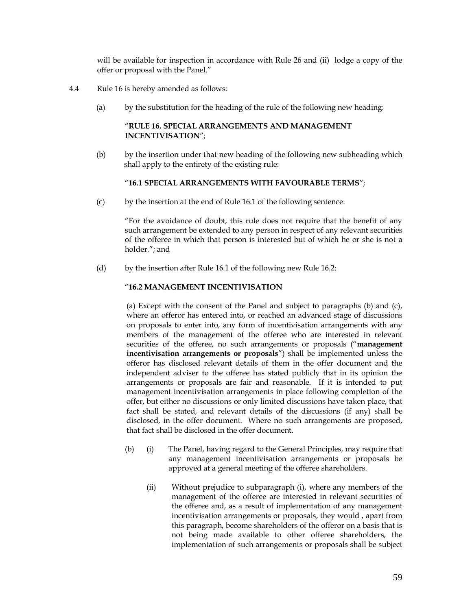will be available for inspection in accordance with Rule 26 and (ii) lodge a copy of the offer or proposal with the Panel."

- 4.4 Rule 16 is hereby amended as follows:
	- (a) by the substitution for the heading of the rule of the following new heading:

# "**RULE 16. SPECIAL ARRANGEMENTS AND MANAGEMENT INCENTIVISATION**";

(b) by the insertion under that new heading of the following new subheading which shall apply to the entirety of the existing rule:

### "**16.1 SPECIAL ARRANGEMENTS WITH FAVOURABLE TERMS**";

(c) by the insertion at the end of Rule 16.1 of the following sentence:

"For the avoidance of doubt, this rule does not require that the benefit of any such arrangement be extended to any person in respect of any relevant securities of the offeree in which that person is interested but of which he or she is not a holder."; and

(d) by the insertion after Rule 16.1 of the following new Rule 16.2:

#### "**16.2 MANAGEMENT INCENTIVISATION**

(a) Except with the consent of the Panel and subject to paragraphs (b) and (c), where an offeror has entered into, or reached an advanced stage of discussions on proposals to enter into, any form of incentivisation arrangements with any members of the management of the offeree who are interested in relevant securities of the offeree, no such arrangements or proposals ("**management incentivisation arrangements or proposals**") shall be implemented unless the offeror has disclosed relevant details of them in the offer document and the independent adviser to the offeree has stated publicly that in its opinion the arrangements or proposals are fair and reasonable. If it is intended to put management incentivisation arrangements in place following completion of the offer, but either no discussions or only limited discussions have taken place, that fact shall be stated, and relevant details of the discussions (if any) shall be disclosed, in the offer document. Where no such arrangements are proposed, that fact shall be disclosed in the offer document.

- (b) (i) The Panel, having regard to the General Principles, may require that any management incentivisation arrangements or proposals be approved at a general meeting of the offeree shareholders.
	- (ii) Without prejudice to subparagraph (i), where any members of the management of the offeree are interested in relevant securities of the offeree and, as a result of implementation of any management incentivisation arrangements or proposals, they would , apart from this paragraph, become shareholders of the offeror on a basis that is not being made available to other offeree shareholders, the implementation of such arrangements or proposals shall be subject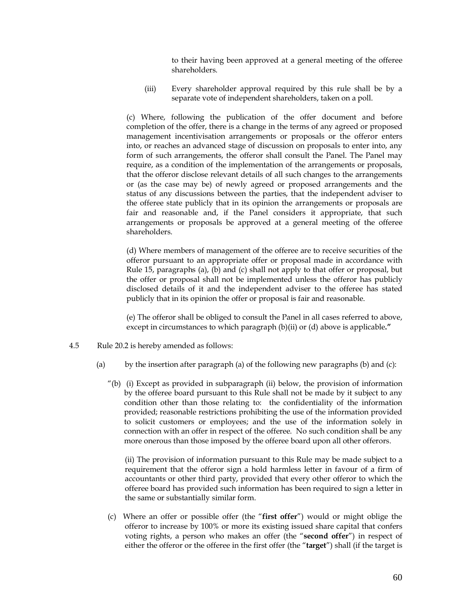to their having been approved at a general meeting of the offeree shareholders.

 (iii) Every shareholder approval required by this rule shall be by a separate vote of independent shareholders, taken on a poll.

(c) Where, following the publication of the offer document and before completion of the offer, there is a change in the terms of any agreed or proposed management incentivisation arrangements or proposals or the offeror enters into, or reaches an advanced stage of discussion on proposals to enter into, any form of such arrangements, the offeror shall consult the Panel. The Panel may require, as a condition of the implementation of the arrangements or proposals, that the offeror disclose relevant details of all such changes to the arrangements or (as the case may be) of newly agreed or proposed arrangements and the status of any discussions between the parties, that the independent adviser to the offeree state publicly that in its opinion the arrangements or proposals are fair and reasonable and, if the Panel considers it appropriate, that such arrangements or proposals be approved at a general meeting of the offeree shareholders.

(d) Where members of management of the offeree are to receive securities of the offeror pursuant to an appropriate offer or proposal made in accordance with Rule 15, paragraphs (a), (b) and (c) shall not apply to that offer or proposal, but the offer or proposal shall not be implemented unless the offeror has publicly disclosed details of it and the independent adviser to the offeree has stated publicly that in its opinion the offer or proposal is fair and reasonable.

(e) The offeror shall be obliged to consult the Panel in all cases referred to above, except in circumstances to which paragraph (b)(ii) or (d) above is applicable**."**

- 4.5 Rule 20.2 is hereby amended as follows:
	- (a) by the insertion after paragraph (a) of the following new paragraphs (b) and (c):
		- "(b) (i) Except as provided in subparagraph (ii) below, the provision of information by the offeree board pursuant to this Rule shall not be made by it subject to any condition other than those relating to: the confidentiality of the information provided; reasonable restrictions prohibiting the use of the information provided to solicit customers or employees; and the use of the information solely in connection with an offer in respect of the offeree. No such condition shall be any more onerous than those imposed by the offeree board upon all other offerors.

(ii) The provision of information pursuant to this Rule may be made subject to a requirement that the offeror sign a hold harmless letter in favour of a firm of accountants or other third party, provided that every other offeror to which the offeree board has provided such information has been required to sign a letter in the same or substantially similar form.

 (c) Where an offer or possible offer (the "**first offer**") would or might oblige the offeror to increase by 100% or more its existing issued share capital that confers voting rights, a person who makes an offer (the "**second offer**") in respect of either the offeror or the offeree in the first offer (the "**target**") shall (if the target is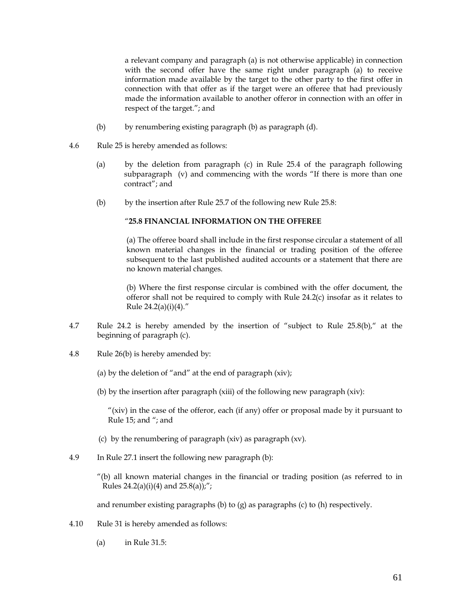a relevant company and paragraph (a) is not otherwise applicable) in connection with the second offer have the same right under paragraph (a) to receive information made available by the target to the other party to the first offer in connection with that offer as if the target were an offeree that had previously made the information available to another offeror in connection with an offer in respect of the target."; and

- (b) by renumbering existing paragraph (b) as paragraph (d).
- 4.6 Rule 25 is hereby amended as follows:
	- (a) by the deletion from paragraph (c) in Rule 25.4 of the paragraph following subparagraph (v) and commencing with the words "If there is more than one contract"; and
	- (b) by the insertion after Rule 25.7 of the following new Rule 25.8:

# "**25.8 FINANCIAL INFORMATION ON THE OFFEREE**

(a) The offeree board shall include in the first response circular a statement of all known material changes in the financial or trading position of the offeree subsequent to the last published audited accounts or a statement that there are no known material changes.

(b) Where the first response circular is combined with the offer document, the offeror shall not be required to comply with Rule 24.2(c) insofar as it relates to Rule  $24.2(a)(i)(4)$ ."

- 4.7 Rule 24.2 is hereby amended by the insertion of "subject to Rule 25.8(b)," at the beginning of paragraph (c).
- 4.8 Rule 26(b) is hereby amended by:
	- (a) by the deletion of "and" at the end of paragraph  $(xiv)$ ;
	- (b) by the insertion after paragraph (xiii) of the following new paragraph (xiv):

"(xiv) in the case of the offeror, each (if any) offer or proposal made by it pursuant to Rule 15; and "; and

- (c) by the renumbering of paragraph (xiv) as paragraph (xv).
- 4.9 In Rule 27.1 insert the following new paragraph (b):
	- "(b) all known material changes in the financial or trading position (as referred to in Rules  $24.2(a)(i)(4)$  and  $25.8(a)$ ;";

and renumber existing paragraphs (b) to (g) as paragraphs (c) to (h) respectively.

- 4.10 Rule 31 is hereby amended as follows:
	- (a) in Rule 31.5: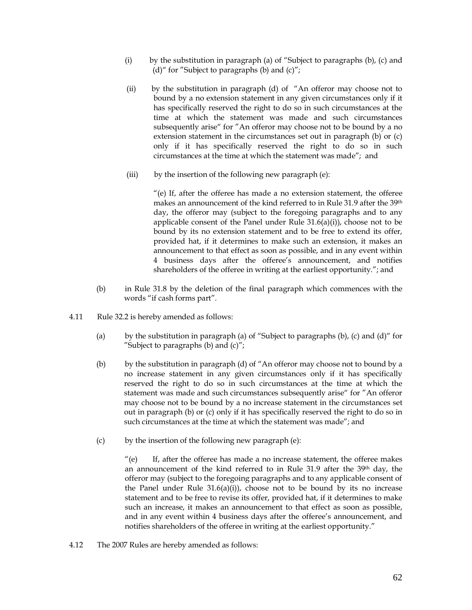- (i) by the substitution in paragraph (a) of "Subject to paragraphs (b), (c) and (d)" for "Subject to paragraphs (b) and  $(c)$ ";
- (ii) by the substitution in paragraph (d) of "An offeror may choose not to bound by a no extension statement in any given circumstances only if it has specifically reserved the right to do so in such circumstances at the time at which the statement was made and such circumstances subsequently arise" for "An offeror may choose not to be bound by a no extension statement in the circumstances set out in paragraph (b) or (c) only if it has specifically reserved the right to do so in such circumstances at the time at which the statement was made"; and
- (iii) by the insertion of the following new paragraph (e):

"(e) If, after the offeree has made a no extension statement, the offeree makes an announcement of the kind referred to in Rule 31.9 after the 39th day, the offeror may (subject to the foregoing paragraphs and to any applicable consent of the Panel under Rule  $31.6(a)(i)$ ), choose not to be bound by its no extension statement and to be free to extend its offer, provided hat, if it determines to make such an extension, it makes an announcement to that effect as soon as possible, and in any event within 4 business days after the offeree's announcement, and notifies shareholders of the offeree in writing at the earliest opportunity."; and

- (b) in Rule 31.8 by the deletion of the final paragraph which commences with the words "if cash forms part".
- 4.11 Rule 32.2 is hereby amended as follows:
	- (a) by the substitution in paragraph (a) of "Subject to paragraphs (b), (c) and  $(d)$ " for "Subject to paragraphs  $(b)$  and  $(c)$ ";
	- (b) by the substitution in paragraph (d) of "An offeror may choose not to bound by a no increase statement in any given circumstances only if it has specifically reserved the right to do so in such circumstances at the time at which the statement was made and such circumstances subsequently arise" for "An offeror may choose not to be bound by a no increase statement in the circumstances set out in paragraph (b) or (c) only if it has specifically reserved the right to do so in such circumstances at the time at which the statement was made"; and
	- (c) by the insertion of the following new paragraph (e):

 $"$ (e) If, after the offeree has made a no increase statement, the offeree makes an announcement of the kind referred to in Rule 31.9 after the 39th day, the offeror may (subject to the foregoing paragraphs and to any applicable consent of the Panel under Rule  $31.6(a)(i)$ , choose not to be bound by its no increase statement and to be free to revise its offer, provided hat, if it determines to make such an increase, it makes an announcement to that effect as soon as possible, and in any event within 4 business days after the offeree's announcement, and notifies shareholders of the offeree in writing at the earliest opportunity."

4.12 The 2007 Rules are hereby amended as follows: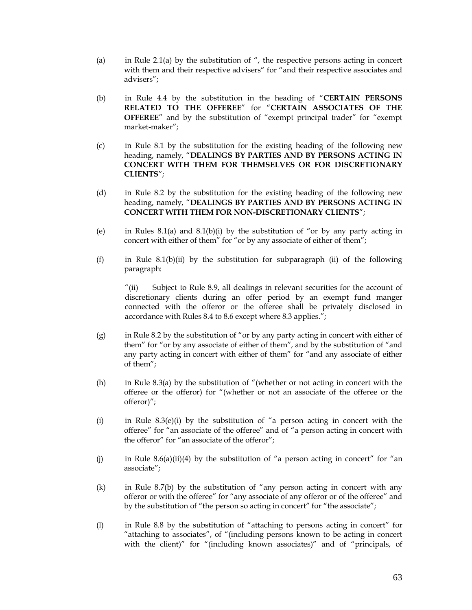- (a) in Rule 2.1(a) by the substitution of  $\theta$ , the respective persons acting in concert with them and their respective advisers" for "and their respective associates and advisers";
- (b) in Rule 4.4 by the substitution in the heading of "**CERTAIN PERSONS RELATED TO THE OFFEREE**" for "**CERTAIN ASSOCIATES OF THE OFFEREE**" and by the substitution of "exempt principal trader" for "exempt market-maker";
- (c) in Rule 8.1 by the substitution for the existing heading of the following new heading, namely, "**DEALINGS BY PARTIES AND BY PERSONS ACTING IN CONCERT WITH THEM FOR THEMSELVES OR FOR DISCRETIONARY CLIENTS**";
- (d) in Rule 8.2 by the substitution for the existing heading of the following new heading, namely, "**DEALINGS BY PARTIES AND BY PERSONS ACTING IN CONCERT WITH THEM FOR NON-DISCRETIONARY CLIENTS**";
- (e) in Rules 8.1(a) and 8.1(b)(i) by the substitution of "or by any party acting in concert with either of them" for "or by any associate of either of them";
- (f) in Rule 8.1(b)(ii) by the substitution for subparagraph (ii) of the following paragraph:

"(ii) Subject to Rule 8.9, all dealings in relevant securities for the account of discretionary clients during an offer period by an exempt fund manger connected with the offeror or the offeree shall be privately disclosed in accordance with Rules 8.4 to 8.6 except where 8.3 applies.";

- (g) in Rule 8.2 by the substitution of "or by any party acting in concert with either of them" for "or by any associate of either of them", and by the substitution of "and any party acting in concert with either of them" for "and any associate of either of them";
- (h) in Rule 8.3(a) by the substitution of "(whether or not acting in concert with the offeree or the offeror) for "(whether or not an associate of the offeree or the offeror)";
- (i) in Rule 8.3(e)(i) by the substitution of "a person acting in concert with the offeree" for "an associate of the offeree" and of "a person acting in concert with the offeror" for "an associate of the offeror";
- (i) in Rule 8.6(a)(ii)(4) by the substitution of "a person acting in concert" for "an associate";
- (k) in Rule 8.7(b) by the substitution of "any person acting in concert with any offeror or with the offeree" for "any associate of any offeror or of the offeree" and by the substitution of "the person so acting in concert" for "the associate";
- (l) in Rule 8.8 by the substitution of "attaching to persons acting in concert" for "attaching to associates", of "(including persons known to be acting in concert with the client)" for "(including known associates)" and of "principals, of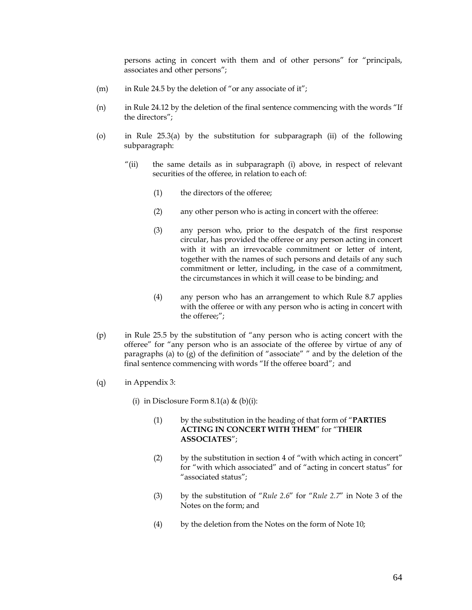persons acting in concert with them and of other persons" for "principals, associates and other persons";

- (m) in Rule 24.5 by the deletion of "or any associate of it";
- (n) in Rule 24.12 by the deletion of the final sentence commencing with the words "If the directors";
- (o) in Rule 25.3(a) by the substitution for subparagraph (ii) of the following subparagraph:
	- "(ii) the same details as in subparagraph (i) above, in respect of relevant securities of the offeree, in relation to each of:
		- (1) the directors of the offeree;
		- (2) any other person who is acting in concert with the offeree:
		- (3) any person who, prior to the despatch of the first response circular, has provided the offeree or any person acting in concert with it with an irrevocable commitment or letter of intent, together with the names of such persons and details of any such commitment or letter, including, in the case of a commitment, the circumstances in which it will cease to be binding; and
		- (4) any person who has an arrangement to which Rule 8.7 applies with the offeree or with any person who is acting in concert with the offeree;";
- (p) in Rule 25.5 by the substitution of "any person who is acting concert with the offeree" for "any person who is an associate of the offeree by virtue of any of paragraphs (a) to  $(g)$  of the definition of "associate" " and by the deletion of the final sentence commencing with words "If the offeree board"; and
- (q) in Appendix 3:
	- (i) in Disclosure Form  $8.1(a) \& (b)(i)$ :
		- (1) by the substitution in the heading of that form of "**PARTIES ACTING IN CONCERT WITH THEM**" for "**THEIR ASSOCIATES**";
		- (2) by the substitution in section 4 of "with which acting in concert" for "with which associated" and of "acting in concert status" for "associated status";
		- (3) by the substitution of "*Rule 2.6*" for "*Rule 2.7*" in Note 3 of the Notes on the form; and
		- (4) by the deletion from the Notes on the form of Note 10;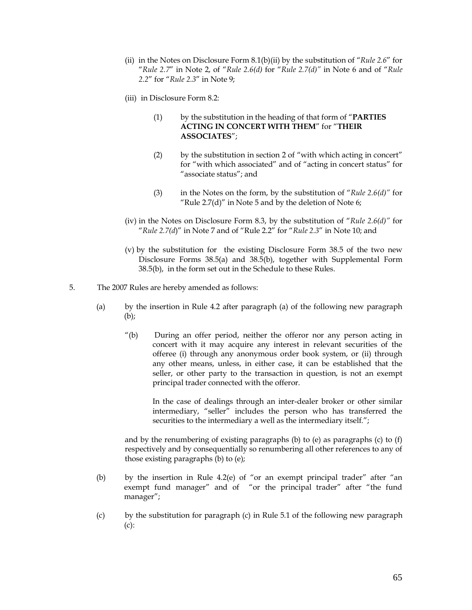- (ii) in the Notes on Disclosure Form 8.1(b)(ii) by the substitution of "*Rule 2.6*" for "*Rule 2.7*" in Note 2, of "*Rule 2.6(d)* for "*Rule 2.7(d)"* in Note 6 and of "*Rule 2.2*" for "*Rule 2.3*" in Note 9;
- (iii) in Disclosure Form 8.2:
	- (1) by the substitution in the heading of that form of "**PARTIES ACTING IN CONCERT WITH THEM**" for "**THEIR ASSOCIATES**";
	- (2) by the substitution in section 2 of "with which acting in concert" for "with which associated" and of "acting in concert status" for "associate status"; and
	- (3) in the Notes on the form, by the substitution of "*Rule 2.6(d)"* for "Rule  $2.7(d)$ " in Note 5 and by the deletion of Note 6;
- (iv) in the Notes on Disclosure Form 8.3, by the substitution of "*Rule 2.6(d)"* for "*Rule 2.7(d*)" in Note 7 and of "Rule 2.2" for "*Rule 2.3*" in Note 10; and
- (v) by the substitution for the existing Disclosure Form 38.5 of the two new Disclosure Forms 38.5(a) and 38.5(b), together with Supplemental Form 38.5(b), in the form set out in the Schedule to these Rules.
- 5. The 2007 Rules are hereby amended as follows:
	- (a) by the insertion in Rule 4.2 after paragraph (a) of the following new paragraph (b);
		- "(b) During an offer period, neither the offeror nor any person acting in concert with it may acquire any interest in relevant securities of the offeree (i) through any anonymous order book system, or (ii) through any other means, unless, in either case, it can be established that the seller, or other party to the transaction in question, is not an exempt principal trader connected with the offeror.

In the case of dealings through an inter-dealer broker or other similar intermediary, "seller" includes the person who has transferred the securities to the intermediary a well as the intermediary itself.";

and by the renumbering of existing paragraphs (b) to (e) as paragraphs (c) to (f) respectively and by consequentially so renumbering all other references to any of those existing paragraphs (b) to (e);

- (b) by the insertion in Rule 4.2(e) of "or an exempt principal trader" after "an exempt fund manager" and of "or the principal trader" after "the fund manager";
- (c) by the substitution for paragraph (c) in Rule 5.1 of the following new paragraph (c):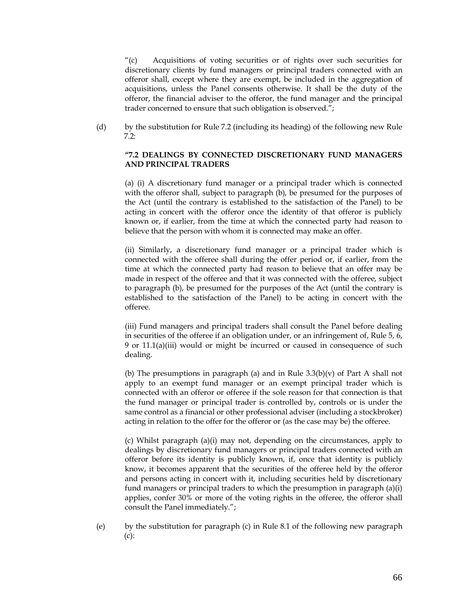"(c) Acquisitions of voting securities or of rights over such securities for discretionary clients by fund managers or principal traders connected with an offeror shall, except where they are exempt, be included in the aggregation of acquisitions, unless the Panel consents otherwise. It shall be the duty of the offeror, the financial adviser to the offeror, the fund manager and the principal trader concerned to ensure that such obligation is observed.";

(d) by the substitution for Rule 7.2 (including its heading) of the following new Rule 7.2:

#### **"7.2 DEALINGS BY CONNECTED DISCRETIONARY FUND MANAGERS AND PRINCIPAL TRADERS**

(a) (i) A discretionary fund manager or a principal trader which is connected with the offeror shall, subject to paragraph (b), be presumed for the purposes of the Act (until the contrary is established to the satisfaction of the Panel) to be acting in concert with the offeror once the identity of that offeror is publicly known or, if earlier, from the time at which the connected party had reason to believe that the person with whom it is connected may make an offer.

(ii) Similarly, a discretionary fund manager or a principal trader which is connected with the offeree shall during the offer period or, if earlier, from the time at which the connected party had reason to believe that an offer may be made in respect of the offeree and that it was connected with the offeree, subject to paragraph (b), be presumed for the purposes of the Act (until the contrary is established to the satisfaction of the Panel) to be acting in concert with the offeree.

(iii) Fund managers and principal traders shall consult the Panel before dealing in securities of the offeree if an obligation under, or an infringement of, Rule 5, 6, 9 or 11.1(a)(iii) would or might be incurred or caused in consequence of such dealing.

(b) The presumptions in paragraph (a) and in Rule  $3.3(b)(v)$  of Part A shall not apply to an exempt fund manager or an exempt principal trader which is connected with an offeror or offeree if the sole reason for that connection is that the fund manager or principal trader is controlled by, controls or is under the same control as a financial or other professional adviser (including a stockbroker) acting in relation to the offer for the offeror or (as the case may be) the offeree.

(c) Whilst paragraph (a)(i) may not, depending on the circumstances, apply to dealings by discretionary fund managers or principal traders connected with an offeror before its identity is publicly known, if, once that identity is publicly know, it becomes apparent that the securities of the offeree held by the offeror and persons acting in concert with it, including securities held by discretionary fund managers or principal traders to which the presumption in paragraph (a)(i) applies, confer 30% or more of the voting rights in the offeree, the offeror shall consult the Panel immediately.";

(e) by the substitution for paragraph (c) in Rule 8.1 of the following new paragraph (c):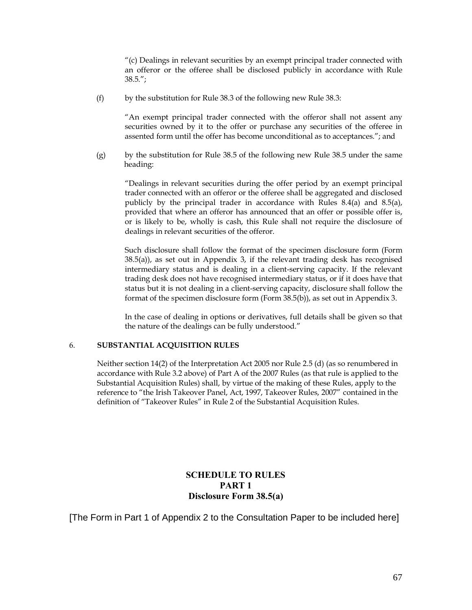$"$ (c) Dealings in relevant securities by an exempt principal trader connected with an offeror or the offeree shall be disclosed publicly in accordance with Rule  $38.5."$ 

(f) by the substitution for Rule 38.3 of the following new Rule 38.3:

"An exempt principal trader connected with the offeror shall not assent any securities owned by it to the offer or purchase any securities of the offeree in assented form until the offer has become unconditional as to acceptances."; and

(g) by the substitution for Rule 38.5 of the following new Rule 38.5 under the same heading:

"Dealings in relevant securities during the offer period by an exempt principal trader connected with an offeror or the offeree shall be aggregated and disclosed publicly by the principal trader in accordance with Rules 8.4(a) and 8.5(a), provided that where an offeror has announced that an offer or possible offer is, or is likely to be, wholly is cash, this Rule shall not require the disclosure of dealings in relevant securities of the offeror.

Such disclosure shall follow the format of the specimen disclosure form (Form 38.5(a)), as set out in Appendix 3, if the relevant trading desk has recognised intermediary status and is dealing in a client-serving capacity. If the relevant trading desk does not have recognised intermediary status, or if it does have that status but it is not dealing in a client-serving capacity, disclosure shall follow the format of the specimen disclosure form (Form 38.5(b)), as set out in Appendix 3.

In the case of dealing in options or derivatives, full details shall be given so that the nature of the dealings can be fully understood."

#### 6. **SUBSTANTIAL ACQUISITION RULES**

Neither section 14(2) of the Interpretation Act 2005 nor Rule 2.5 (d) (as so renumbered in accordance with Rule 3.2 above) of Part A of the 2007 Rules (as that rule is applied to the Substantial Acquisition Rules) shall, by virtue of the making of these Rules, apply to the reference to "the Irish Takeover Panel, Act, 1997, Takeover Rules, 2007" contained in the definition of "Takeover Rules" in Rule 2 of the Substantial Acquisition Rules.

# **SCHEDULE TO RULES PART 1 Disclosure Form 38.5(a)**

[The Form in Part 1 of Appendix 2 to the Consultation Paper to be included here]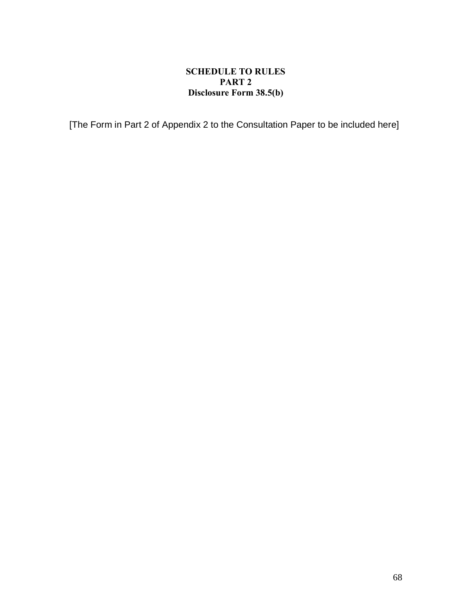# **SCHEDULE TO RULES PART 2 Disclosure Form 38.5(b)**

[The Form in Part 2 of Appendix 2 to the Consultation Paper to be included here]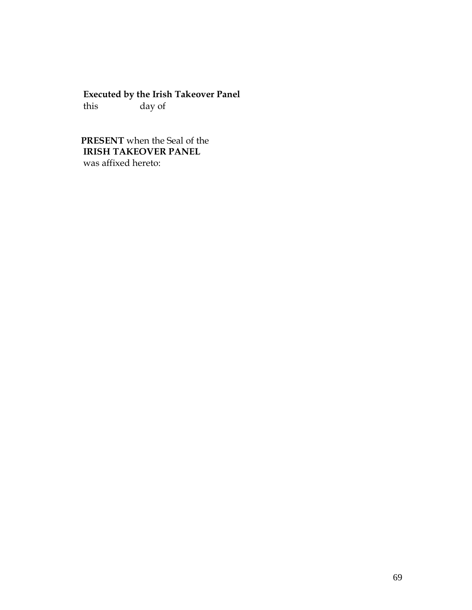# **Executed by the Irish Takeover Panel**<br>this day of

day of

# **PRESENT** when the Seal of the  **IRISH TAKEOVER PANEL** was affixed hereto: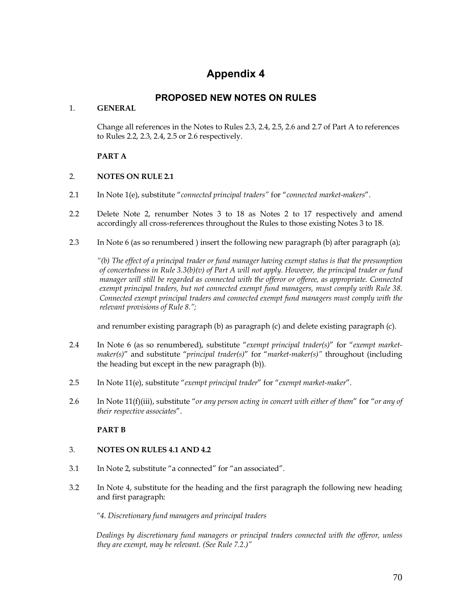# **Appendix 4**

# **PROPOSED NEW NOTES ON RULES**

# 1. **GENERAL**

Change all references in the Notes to Rules 2.3, 2.4, 2.5, 2.6 and 2.7 of Part A to references to Rules 2.2, 2.3, 2.4, 2.5 or 2.6 respectively.

# **PART A**

# 2. **NOTES ON RULE 2.1**

- 2.1 In Note 1(e), substitute "*connected principal traders"* for "*connected market-makers*".
- 2.2 Delete Note 2, renumber Notes 3 to 18 as Notes 2 to 17 respectively and amend accordingly all cross-references throughout the Rules to those existing Notes 3 to 18.
- 2.3 In Note 6 (as so renumbered ) insert the following new paragraph (b) after paragraph (a);

*"(b) The effect of a principal trader or fund manager having exempt status is that the presumption of concertedness in Rule 3.3(b)(v) of Part A will not apply. However, the principal trader or fund manager will still be regarded as connected with the offeror or offeree, as appropriate. Connected exempt principal traders, but not connected exempt fund managers, must comply with Rule 38. Connected exempt principal traders and connected exempt fund managers must comply with the relevant provisions of Rule 8.";*

and renumber existing paragraph (b) as paragraph (c) and delete existing paragraph (c).

- 2.4 In Note 6 (as so renumbered), substitute "*exempt principal trader(s)*" for "*exempt marketmaker(s)*" and substitute "*principal trader(s)*" for "*market-maker(s)"* throughout (including the heading but except in the new paragraph (b)).
- 2.5 In Note 11(e), substitute "*exempt principal trader*" for "*exempt market-maker*".
- 2.6 In Note 11(f)(iii), substitute "*or any person acting in concert with either of them*" for "*or any of their respective associates*".

# **PART B**

# 3. **NOTES ON RULES 4.1 AND 4.2**

- 3.1 In Note 2, substitute "a connected" for "an associated".
- 3.2 In Note 4, substitute for the heading and the first paragraph the following new heading and first paragraph:

*"4. Discretionary fund managers and principal traders* 

*Dealings by discretionary fund managers or principal traders connected with the offeror, unless they are exempt, may be relevant. (See Rule 7.2.)"*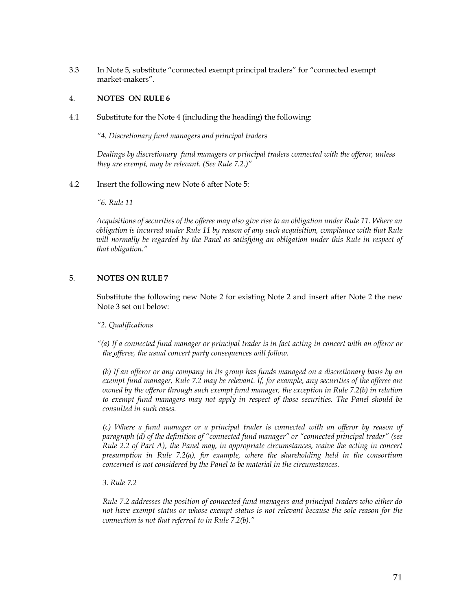3.3 In Note 5, substitute "connected exempt principal traders" for "connected exempt market-makers".

# 4. **NOTES ON RULE 6**

4.1 Substitute for the Note 4 (including the heading) the following:

*"4. Discretionary fund managers and principal traders* 

*Dealings by discretionary fund managers or principal traders connected with the offeror, unless they are exempt, may be relevant*. *(See Rule 7.2.)"*

4.2 Insert the following new Note 6 after Note 5:

*"6. Rule 11*

*Acquisitions of securities of the offeree may also give rise to an obligation under Rule 11. Where an obligation is incurred under Rule 11 by reason of any such acquisition, compliance with that Rule will normally be regarded by the Panel as satisfying an obligation under this Rule in respect of that obligation."*

#### 5. **NOTES ON RULE 7**

Substitute the following new Note 2 for existing Note 2 and insert after Note 2 the new Note 3 set out below:

#### *"2. Qualifications*

*"(a) If a connected fund manager or principal trader is in fact acting in concert with an offeror or the offeree, the usual concert party consequences will follow.*

*(b) If an offeror or any company in its group has funds managed on a discretionary basis by an exempt fund manager, Rule 7.2 may be relevant. If, for example, any securities of the offeree are owned by the offeror through such exempt fund manager, the exception in Rule 7.2(b) in relation to exempt fund managers may not apply in respect of those securities. The Panel should be consulted in such cases.* 

*(c) Where a fund manager or a principal trader is connected with an offeror by reason of paragraph (d) of the definition of "connected fund manager" or "connected principal trader" (see Rule 2.2 of Part A), the Panel may, in appropriate circumstances, waive the acting in concert presumption in Rule 7.2(a), for example, where the shareholding held in the consortium concerned is not considered by the Panel to be material in the circumstances.*

#### *3. Rule 7.2*

*Rule 7.2 addresses the position of connected fund managers and principal traders who either do not have exempt status or whose exempt status is not relevant because the sole reason for the connection is not that referred to in Rule 7.2(b)."*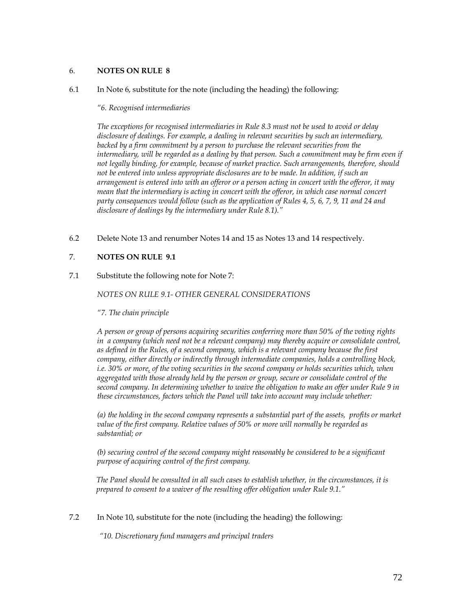#### 6. **NOTES ON RULE 8**

6.1 In Note 6, substitute for the note (including the heading) the following:

*"6. Recognised intermediaries*

*The exceptions for recognised intermediaries in Rule 8.3 must not be used to avoid or delay disclosure of dealings. For example, a dealing in relevant securities by such an intermediary,*  backed by a firm commitment by a person to purchase the relevant securities from the *intermediary, will be regarded as a dealing by that person. Such a commitment may be firm even if not legally binding, for example, because of market practice. Such arrangements, therefore, should*  not be entered into unless appropriate disclosures are to be made. In addition, if such an *arrangement is entered into with an offeror or a person acting in concert with the offeror, it may mean that the intermediary is acting in concert with the offeror, in which case normal concert party consequences would follow (such as the application of Rules 4, 5, 6, 7, 9, 11 and 24 and disclosure of dealings by the intermediary under Rule 8.1)."*

6.2 Delete Note 13 and renumber Notes 14 and 15 as Notes 13 and 14 respectively.

# 7. **NOTES ON RULE 9.1**

7.1 Substitute the following note for Note 7:

# *NOTES ON RULE 9.1- OTHER GENERAL CONSIDERATIONS*

*"7. The chain principle*

*A person or group of persons acquiring securities conferring more than 50% of the voting rights in a company (which need not be a relevant company) may thereby acquire or consolidate control, as defined in the Rules, of a second company, which is a relevant company because the first company, either directly or indirectly through intermediate companies, holds a controlling block, i.e. 30% or more, of the voting securities in the second company or holds securities which, when aggregated with those already held by the person or group, secure or consolidate control of the second company. In determining whether to waive the obligation to make an offer under Rule 9 in these circumstances, factors which the Panel will take into account may include whether:*

*(a) the holding in the second company represents a substantial part of the assets, profits or market value of the first company. Relative values of 50% or more will normally be regarded as substantial; or*

*(b) securing control of the second company might reasonably be considered to be a significant purpose of acquiring control of the first company.*

*The Panel should be consulted in all such cases to establish whether, in the circumstances, it is prepared to consent to a waiver of the resulting offer obligation under Rule 9.1."*

7.2 In Note 10, substitute for the note (including the heading) the following:

*"10. Discretionary fund managers and principal traders*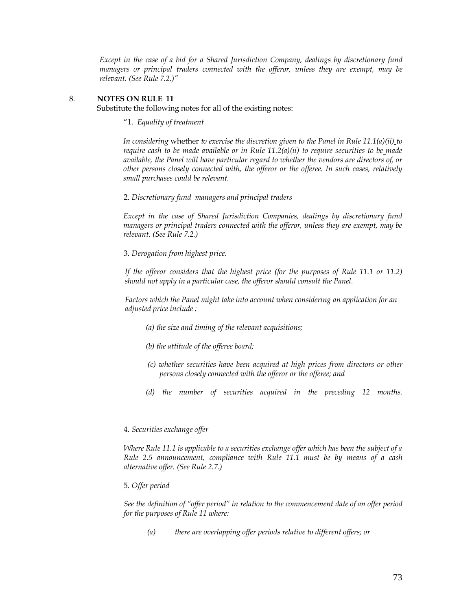*Except in the case of a bid for a Shared Jurisdiction Company, dealings by discretionary fund managers or principal traders connected with the offeror, unless they are exempt, may be relevant. (See Rule 7.2.)"*

# 8. **NOTES ON RULE 11**

Substitute the following notes for all of the existing notes:

"1*. Equality of treatment* 

*In considering* whether *to exercise the discretion given to the Panel in Rule 11.1(a)(ii) to require cash to be made available or in Rule 11.2(a)(ii) to require securities to be made available, the Panel will have particular regard to whether the vendors are directors of, or other persons closely connected with, the offeror or the offeree. In such cases, relatively small purchases could be relevant.*

2. *Discretionary fund managers and principal traders* 

*Except in the case of Shared Jurisdiction Companies, dealings by discretionary fund managers or principal traders connected with the offeror, unless they are exempt, may be relevant. (See Rule 7.2.)*

3. *Derogation from highest price.* 

*If the offeror considers that the highest price (for the purposes of Rule 11.1 or 11.2) should not apply in a particular case, the offeror should consult the Panel.*

*Factors which the Panel might take into account when considering an application for an adjusted price include :*

- *(a) the size and timing of the relevant acquisitions;*
- *(b) the attitude of the offeree board;*
- *(c) whether securities have been acquired at high prices from directors or other persons closely connected with the offeror or the offeree; and*
- *(d) the number of securities acquired in the preceding 12 months.*

## 4. *Securities exchange offer*

*Where Rule 11.1 is applicable to a securities exchange offer which has been the subject of a Rule 2.5 announcement, compliance with Rule 11.1 must be by means of a cash alternative offer. (See Rule 2.7.)*

## 5. *Offer period*

*See the definition of "offer period" in relation to the commencement date of an offer period for the purposes of Rule 11 where:*

*(a) there are overlapping offer periods relative to different offers; or*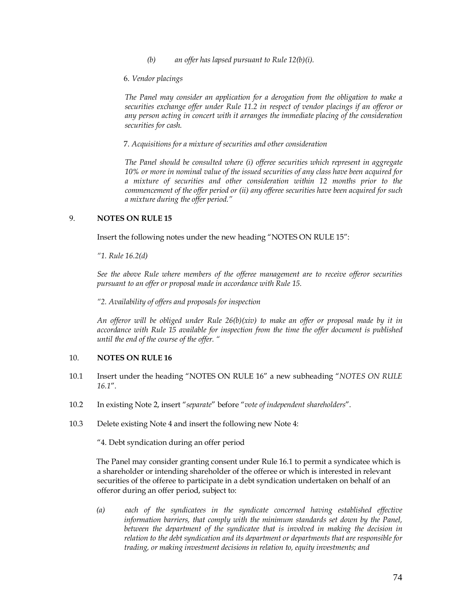- *(b) an offer has lapsed pursuant to Rule 12(b)(i).*
- 6. *Vendor placings*

*The Panel may consider an application for a derogation from the obligation to make a securities exchange offer under Rule 11.2 in respect of vendor placings if an offeror or any person acting in concert with it arranges the immediate placing of the consideration securities for cash.*

7. *Acquisitions for a mixture of securities and other consideration*

*The Panel should be consulted where (i) offeree securities which represent in aggregate 10% or more in nominal value of the issued securities of any class have been acquired for a mixture of securities and other consideration within 12 months prior to the commencement of the offer period or (ii) any offeree securities have been acquired for such a mixture during the offer period."*

## 9. **NOTES ON RULE 15**

Insert the following notes under the new heading "NOTES ON RULE 15":

*"1. Rule 16.2(d)*

*See the above Rule where members of the offeree management are to receive offeror securities pursuant to an offer or proposal made in accordance with Rule 15.*

*"2. Availability of offers and proposals for inspection*

*An offeror will be obliged under Rule 26(b)(xiv) to make an offer or proposal made by it in accordance with Rule 15 available for inspection from the time the offer document is published until the end of the course of the offer. "*

## 10. **NOTES ON RULE 16**

- 10.1 Insert under the heading "NOTES ON RULE 16" a new subheading "*NOTES ON RULE 16.1*".
- 10.2 In existing Note 2, insert "*separate*" before "*vote of independent shareholders*".
- 10.3 Delete existing Note 4 and insert the following new Note 4:

"4. Debt syndication during an offer period

The Panel may consider granting consent under Rule 16.1 to permit a syndicatee which is a shareholder or intending shareholder of the offeree or which is interested in relevant securities of the offeree to participate in a debt syndication undertaken on behalf of an offeror during an offer period, subject to:

*(a) each of the syndicatees in the syndicate concerned having established effective information barriers, that comply with the minimum standards set down by the Panel,*  between the department of the syndicatee that is involved in making the decision in *relation to the debt syndication and its department or departments that are responsible for trading, or making investment decisions in relation to, equity investments; and*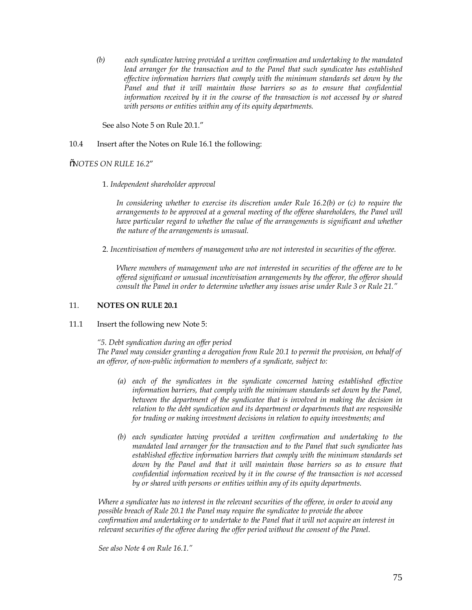*(b) each syndicatee having provided a written confirmation and undertaking to the mandated lead arranger for the transaction and to the Panel that such syndicatee has established effective information barriers that comply with the minimum standards set down by the*  Panel and that it will maintain those barriers so as to ensure that confidential *information received by it in the course of the transaction is not accessed by or shared with persons or entities within any of its equity departments.*

See also Note 5 on Rule 20.1."

#### 10.4 Insert after the Notes on Rule 16.1 the following:

"*NOTES ON RULE 16.2*"

1. *Independent shareholder approval*

*In considering whether to exercise its discretion under Rule 16.2(b) or (c) to require the*  arrangements to be approved at a general meeting of the offeree shareholders, the Panel will *have particular regard to whether the value of the arrangements is significant and whether the nature of the arrangements is unusual.*

2. *Incentivisation of members of management who are not interested in securities of the offeree.*

*Where members of management who are not interested in securities of the offeree are to be offered significant or unusual incentivisation arrangements by the offeror, the offeror should consult the Panel in order to determine whether any issues arise under Rule 3 or Rule 21."*

#### 11. **NOTES ON RULE 20.1**

11.1 Insert the following new Note 5:

*"5. Debt syndication during an offer period*

*The Panel may consider granting a derogation from Rule 20.1 to permit the provision, on behalf of an offeror, of non-public information to members of a syndicate, subject to:*

- *(a) each of the syndicatees in the syndicate concerned having established effective information barriers, that comply with the minimum standards set down by the Panel, between the department of the syndicatee that is involved in making the decision in relation to the debt syndication and its department or departments that are responsible for trading or making investment decisions in relation to equity investments; and*
- *(b) each syndicatee having provided a written confirmation and undertaking to the mandated lead arranger for the transaction and to the Panel that such syndicatee has established effective information barriers that comply with the minimum standards set*  down by the Panel and that it will maintain those barriers so as to ensure that *confidential information received by it in the course of the transaction is not accessed by or shared with persons or entities within any of its equity departments.*

*Where a syndicatee has no interest in the relevant securities of the offeree, in order to avoid any*  *possible breach of Rule 20.1 the Panel may require the syndicatee to provide the above*  *confirmation and undertaking or to undertake to the Panel that it will not acquire an interest in*  *relevant securities of the offeree during the offer period without the consent of the Panel.*

*See also Note 4 on Rule 16.1."*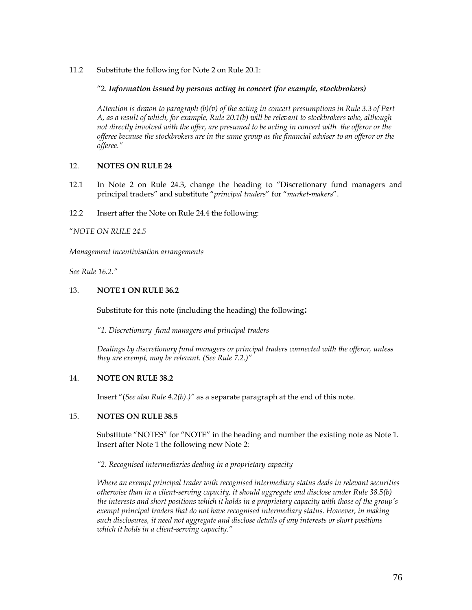11.2 Substitute the following for Note 2 on Rule 20.1:

# "2. *Information issued by persons acting in concert (for example, stockbrokers)*

*Attention is drawn to paragraph (b)(v) of the acting in concert presumptions in Rule 3.3 of Part A, as a result of which, for example, Rule 20.1(b) will be relevant to stockbrokers who, although not directly involved with the offer, are presumed to be acting in concert with the offeror or the offeree because the stockbrokers are in the same group as the financial adviser to an offeror or the offeree."*

# 12. **NOTES ON RULE 24**

- 12.1 In Note 2 on Rule 24.3, change the heading to "Discretionary fund managers and principal traders" and substitute "*principal traders*" for "*market-makers*".
- 12.2 Insert after the Note on Rule 24.4 the following:

# "*NOTE ON RULE 24.5*

*Management incentivisation arrangements* 

*See Rule 16.2."*

# 13. **NOTE 1 ON RULE 36.2**

Substitute for this note (including the heading) the following**:**

*"1. Discretionary fund managers and principal traders* 

*Dealings by discretionary fund managers or principal traders connected with the offeror, unless they are exempt, may be relevant. (See Rule 7.2.)"*

## 14. **NOTE ON RULE 38.2**

Insert "(*See also Rule 4.2(b)*.*)"* as a separate paragraph at the end of this note.

# 15. **NOTES ON RULE 38.5**

Substitute "NOTES" for "NOTE" in the heading and number the existing note as Note 1. Insert after Note 1 the following new Note 2:

## *"2. Recognised intermediaries dealing in a proprietary capacity*

*Where an exempt principal trader with recognised intermediary status deals in relevant securities otherwise than in a client-serving capacity, it should aggregate and disclose under Rule 38.5(b) the interests and short positions which it holds in a proprietary capacity with those of the group's exempt principal traders that do not have recognised intermediary status. However, in making such disclosures, it need not aggregate and disclose details of any interests or short positions which it holds in a client-serving capacity."*